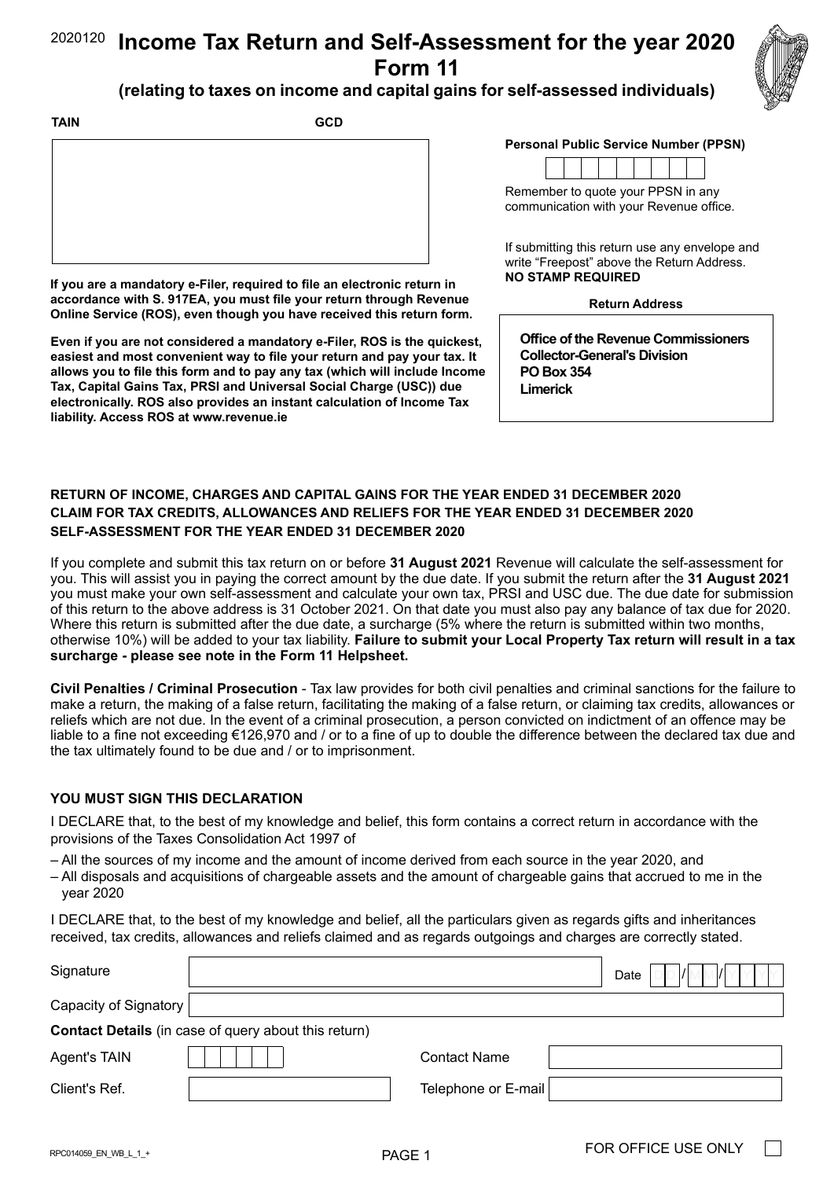#### **Income Tax Return and Self-Assessment for the year 2020 Form 11** 2020120



# **(relating to taxes on income and capital gains for self-assessed individuals)**

| <b>TAIN</b> | <b>GCD</b> |
|-------------|------------|
|             |            |
|             |            |
|             |            |
|             |            |
|             |            |

**If you are a mandatory e-Filer, required to file an electronic return in accordance with S. 917EA, you must file your return through Revenue Online Service (ROS), even though you have received this return form.** 

**Even if you are not considered a mandatory e-Filer, ROS is the quickest, easiest and most convenient way to file your return and pay your tax. It allows you to file this form and to pay any tax (which will include Income Tax, Capital Gains Tax, PRSI and Universal Social Charge (USC)) due electronically. ROS also provides an instant calculation of Income Tax liability. Access ROS at [www.revenue.ie](https://www.revenue.ie/en/Home.aspx)** 

#### **Personal Public Service Number (PPSN)**



Remember to quote your PPSN in any communication with your Revenue office.

If submitting this return use any envelope and write "Freepost" above the Return Address. **NO STAMP REQUIRED**

#### **Return Address**

**Office of the Revenue Commissioners Collector-General's Division PO Box 354 Limerick**

## **RETURN OF INCOME, CHARGES AND CAPITAL GAINS FOR THE YEAR ENDED 31 DECEMBER 2020 CLAIM FOR TAX CREDITS, ALLOWANCES AND RELIEFS FOR THE YEAR ENDED 31 DECEMBER 2020 SELF-ASSESSMENT FOR THE YEAR ENDED 31 DECEMBER 2020**

If you complete and submit this tax return on or before **31 August 2021** Revenue will calculate the self-assessment for you. This will assist you in paying the correct amount by the due date. If you submit the return after the **31 August 2021** you must make your own self-assessment and calculate your own tax, PRSI and USC due. The due date for submission of this return to the above address is 31 October 2021. On that date you must also pay any balance of tax due for 2020. Where this return is submitted after the due date, a surcharge (5% where the return is submitted within two months, otherwise 10%) will be added to your tax liability. **Failure to submit your Local Property Tax return will result in a tax surcharge - please see note in the Form 11 Helpsheet.**

**Civil Penalties / Criminal Prosecution** - Tax law provides for both civil penalties and criminal sanctions for the failure to make a return, the making of a false return, facilitating the making of a false return, or claiming tax credits, allowances or reliefs which are not due. In the event of a criminal prosecution, a person convicted on indictment of an offence may be liable to a fine not exceeding €126,970 and / or to a fine of up to double the difference between the declared tax due and the tax ultimately found to be due and / or to imprisonment.

#### **YOU MUST SIGN THIS DECLARATION**

I DECLARE that, to the best of my knowledge and belief, this form contains a correct return in accordance with the provisions of the Taxes Consolidation Act 1997 of

– All the sources of my income and the amount of income derived from each source in the year 2020, and

– All disposals and acquisitions of chargeable assets and the amount of chargeable gains that accrued to me in the year 2020

I DECLARE that, to the best of my knowledge and belief, all the particulars given as regards gifts and inheritances received, tax credits, allowances and reliefs claimed and as regards outgoings and charges are correctly stated.

| Signature             |                                                             |                     | LDD <i>  </i>  MM <i> </i>  Y Y <br>Date<br>Y |
|-----------------------|-------------------------------------------------------------|---------------------|-----------------------------------------------|
| Capacity of Signatory |                                                             |                     |                                               |
|                       | <b>Contact Details</b> (in case of query about this return) |                     |                                               |
| Agent's TAIN          |                                                             | <b>Contact Name</b> |                                               |
| Client's Ref.         |                                                             | Telephone or E-mail |                                               |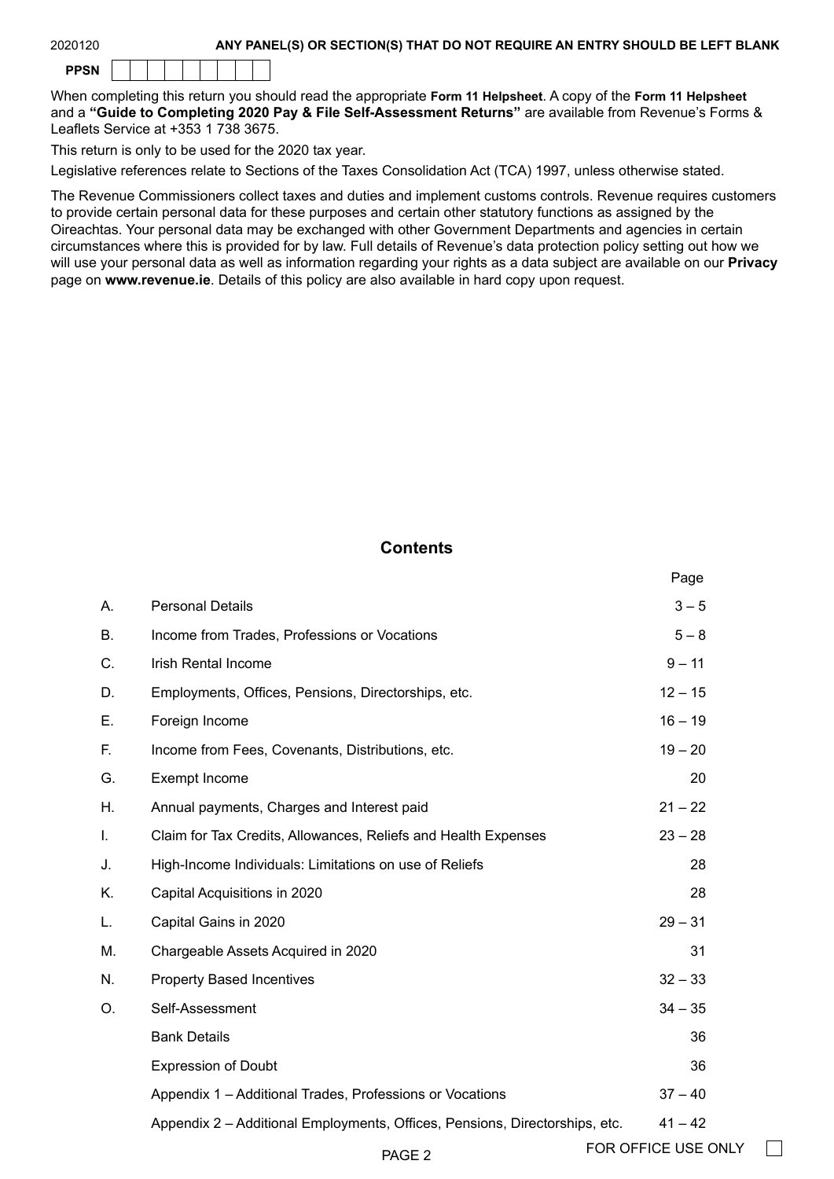| 2020120 |  |
|---------|--|
|---------|--|

#### ANY PANEL(S) OR SECTION(S) THAT DO NOT REQUIRE AN ENTRY SHOULD BE LEFT BLANK

When completing this return you should read the appropriate **Form 11 Helpsheet**. A copy of the **Form 11 Helpsheet** and a **"Guide to Completing 2020 Pay & File Self-Assessment Returns"** are available from Revenue's Forms & Leaflets Service at +353 1 738 3675.

This return is only to be used for the 2020 tax year.

Legislative references relate to Sections of the Taxes Consolidation Act (TCA) 1997, unless otherwise stated.

The Revenue Commissioners collect taxes and duties and implement customs controls. Revenue requires customers to provide certain personal data for these purposes and certain other statutory functions as assigned by the Oireachtas. Your personal data may be exchanged with other Government Departments and agencies in certain circumstances where this is provided for by law. Full details of Revenue's data protection policy setting out how we will use your personal data as well as information regarding your rights as a data subject are available on our **[Privacy](https://www.revenue.ie/en/online-services/support/data-and-security/privacy/index.aspx)** page on **[www.revenue.ie](https://www.revenue.ie/en/Home.aspx)**. Details of this policy are also available in hard copy upon request.

## **Contents**

|              |                                                                             | Page                |  |
|--------------|-----------------------------------------------------------------------------|---------------------|--|
| А.           | <b>Personal Details</b>                                                     | $3 - 5$             |  |
| <b>B.</b>    | Income from Trades, Professions or Vocations                                | $5 - 8$             |  |
| C.           | Irish Rental Income                                                         | $9 - 11$            |  |
| D.           | Employments, Offices, Pensions, Directorships, etc.                         | $12 - 15$           |  |
| Ε.           | Foreign Income                                                              | $16 - 19$           |  |
| F.           | Income from Fees, Covenants, Distributions, etc.                            | $19 - 20$           |  |
| G.           | Exempt Income                                                               | 20                  |  |
| Η.           | Annual payments, Charges and Interest paid                                  | $21 - 22$           |  |
| $\mathbf{L}$ | Claim for Tax Credits, Allowances, Reliefs and Health Expenses              | $23 - 28$           |  |
| J.           | High-Income Individuals: Limitations on use of Reliefs                      | 28                  |  |
| Κ.           | Capital Acquisitions in 2020                                                | 28                  |  |
| L.           | Capital Gains in 2020                                                       | $29 - 31$           |  |
| M.           | Chargeable Assets Acquired in 2020                                          | 31                  |  |
| N.           | <b>Property Based Incentives</b>                                            | $32 - 33$           |  |
| O.           | Self-Assessment                                                             | $34 - 35$           |  |
|              | <b>Bank Details</b>                                                         | 36                  |  |
|              | <b>Expression of Doubt</b>                                                  | 36                  |  |
|              | Appendix 1 - Additional Trades, Professions or Vocations                    | $37 - 40$           |  |
|              | Appendix 2 - Additional Employments, Offices, Pensions, Directorships, etc. | $41 - 42$           |  |
|              | PAGE <sub>2</sub>                                                           | FOR OFFICE USE ONLY |  |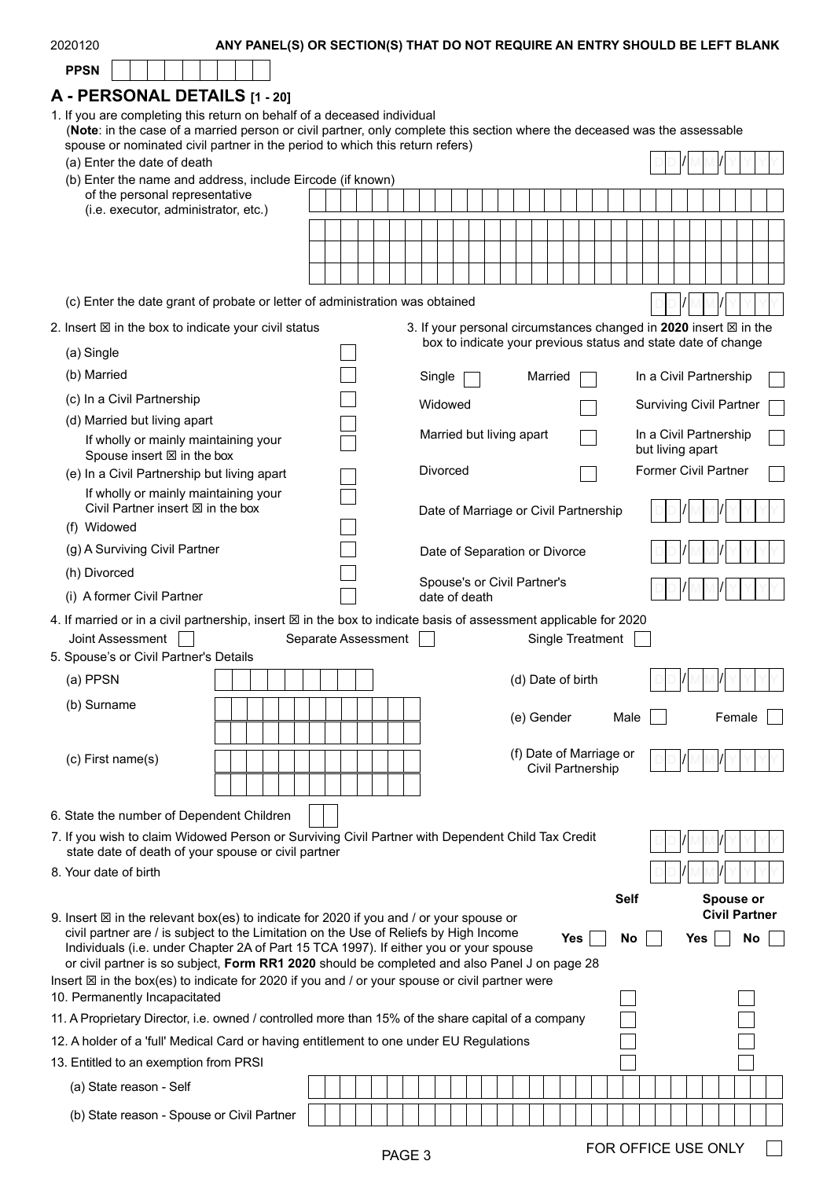| <b>PPSN</b><br>A - PERSONAL DETAILS [1 - 20]<br>1. If you are completing this return on behalf of a deceased individual<br>(Note: in the case of a married person or civil partner, only complete this section where the deceased was the assessable<br>spouse or nominated civil partner in the period to which this return refers)<br>(a) Enter the date of death<br>(b) Enter the name and address, include Eircode (if known)<br>of the personal representative<br>(i.e. executor, administrator, etc.) |  |
|-------------------------------------------------------------------------------------------------------------------------------------------------------------------------------------------------------------------------------------------------------------------------------------------------------------------------------------------------------------------------------------------------------------------------------------------------------------------------------------------------------------|--|
|                                                                                                                                                                                                                                                                                                                                                                                                                                                                                                             |  |
|                                                                                                                                                                                                                                                                                                                                                                                                                                                                                                             |  |
|                                                                                                                                                                                                                                                                                                                                                                                                                                                                                                             |  |
|                                                                                                                                                                                                                                                                                                                                                                                                                                                                                                             |  |
|                                                                                                                                                                                                                                                                                                                                                                                                                                                                                                             |  |
|                                                                                                                                                                                                                                                                                                                                                                                                                                                                                                             |  |
|                                                                                                                                                                                                                                                                                                                                                                                                                                                                                                             |  |
|                                                                                                                                                                                                                                                                                                                                                                                                                                                                                                             |  |
|                                                                                                                                                                                                                                                                                                                                                                                                                                                                                                             |  |
| (c) Enter the date grant of probate or letter of administration was obtained                                                                                                                                                                                                                                                                                                                                                                                                                                |  |
| 3. If your personal circumstances changed in 2020 insert ⊠ in the<br>2. Insert $\boxtimes$ in the box to indicate your civil status                                                                                                                                                                                                                                                                                                                                                                         |  |
| box to indicate your previous status and state date of change<br>(a) Single                                                                                                                                                                                                                                                                                                                                                                                                                                 |  |
| (b) Married<br>In a Civil Partnership<br>Single<br>Married                                                                                                                                                                                                                                                                                                                                                                                                                                                  |  |
| (c) In a Civil Partnership<br>Widowed<br><b>Surviving Civil Partner</b>                                                                                                                                                                                                                                                                                                                                                                                                                                     |  |
| (d) Married but living apart                                                                                                                                                                                                                                                                                                                                                                                                                                                                                |  |
| Married but living apart<br>In a Civil Partnership<br>If wholly or mainly maintaining your<br>but living apart<br>Spouse insert ⊠ in the box                                                                                                                                                                                                                                                                                                                                                                |  |
| Divorced<br><b>Former Civil Partner</b><br>(e) In a Civil Partnership but living apart                                                                                                                                                                                                                                                                                                                                                                                                                      |  |
| If wholly or mainly maintaining your<br>Civil Partner insert $\boxtimes$ in the box<br>Date of Marriage or Civil Partnership                                                                                                                                                                                                                                                                                                                                                                                |  |
| (f) Widowed                                                                                                                                                                                                                                                                                                                                                                                                                                                                                                 |  |
| (g) A Surviving Civil Partner<br>Date of Separation or Divorce<br>(h) Divorced                                                                                                                                                                                                                                                                                                                                                                                                                              |  |
| Spouse's or Civil Partner's<br>(i) A former Civil Partner<br>date of death                                                                                                                                                                                                                                                                                                                                                                                                                                  |  |
| 4. If married or in a civil partnership, insert $\boxtimes$ in the box to indicate basis of assessment applicable for 2020                                                                                                                                                                                                                                                                                                                                                                                  |  |
| Joint Assessment<br>Separate Assessment<br>Single Treatment                                                                                                                                                                                                                                                                                                                                                                                                                                                 |  |
| 5. Spouse's or Civil Partner's Details                                                                                                                                                                                                                                                                                                                                                                                                                                                                      |  |
| (a) PPSN<br>(d) Date of birth                                                                                                                                                                                                                                                                                                                                                                                                                                                                               |  |
| (b) Surname                                                                                                                                                                                                                                                                                                                                                                                                                                                                                                 |  |
| (e) Gender<br>Female<br>Male                                                                                                                                                                                                                                                                                                                                                                                                                                                                                |  |
| (f) Date of Marriage or<br>$(c)$ First name $(s)$                                                                                                                                                                                                                                                                                                                                                                                                                                                           |  |
| Civil Partnership                                                                                                                                                                                                                                                                                                                                                                                                                                                                                           |  |
|                                                                                                                                                                                                                                                                                                                                                                                                                                                                                                             |  |
| 6. State the number of Dependent Children                                                                                                                                                                                                                                                                                                                                                                                                                                                                   |  |
| 7. If you wish to claim Widowed Person or Surviving Civil Partner with Dependent Child Tax Credit<br>state date of death of your spouse or civil partner                                                                                                                                                                                                                                                                                                                                                    |  |
| 8. Your date of birth                                                                                                                                                                                                                                                                                                                                                                                                                                                                                       |  |
| <b>Self</b><br>Spouse or                                                                                                                                                                                                                                                                                                                                                                                                                                                                                    |  |
| <b>Civil Partner</b><br>9. Insert $\boxtimes$ in the relevant box(es) to indicate for 2020 if you and / or your spouse or                                                                                                                                                                                                                                                                                                                                                                                   |  |
| civil partner are / is subject to the Limitation on the Use of Reliefs by High Income<br>Yes<br>No<br>Yes<br>No<br>Individuals (i.e. under Chapter 2A of Part 15 TCA 1997). If either you or your spouse                                                                                                                                                                                                                                                                                                    |  |
| or civil partner is so subject, Form RR1 2020 should be completed and also Panel J on page 28                                                                                                                                                                                                                                                                                                                                                                                                               |  |
| Insert $\boxtimes$ in the box(es) to indicate for 2020 if you and / or your spouse or civil partner were<br>10. Permanently Incapacitated                                                                                                                                                                                                                                                                                                                                                                   |  |
| 11. A Proprietary Director, i.e. owned / controlled more than 15% of the share capital of a company                                                                                                                                                                                                                                                                                                                                                                                                         |  |
| 12. A holder of a 'full' Medical Card or having entitlement to one under EU Regulations                                                                                                                                                                                                                                                                                                                                                                                                                     |  |
| 13. Entitled to an exemption from PRSI                                                                                                                                                                                                                                                                                                                                                                                                                                                                      |  |
| (a) State reason - Self                                                                                                                                                                                                                                                                                                                                                                                                                                                                                     |  |
| (b) State reason - Spouse or Civil Partner                                                                                                                                                                                                                                                                                                                                                                                                                                                                  |  |
|                                                                                                                                                                                                                                                                                                                                                                                                                                                                                                             |  |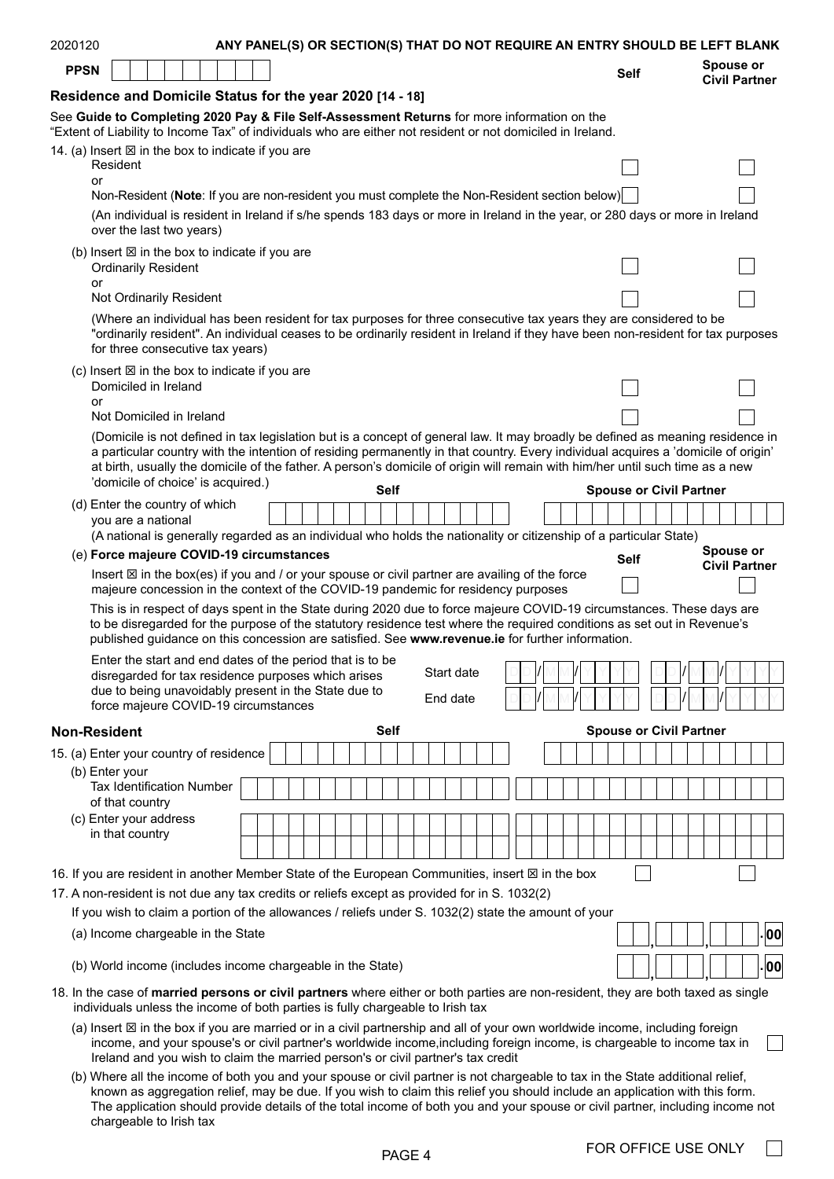| 2020120                                                                                                                                                                                                                                                                    |                                                                                                                                                                                                                                                                                                                                                                                                                                            | ANY PANEL(S) OR SECTION(S) THAT DO NOT REQUIRE AN ENTRY SHOULD BE LEFT BLANK |  |  |             |          |            |  |  |  |             |  |                                |                                   |     |
|----------------------------------------------------------------------------------------------------------------------------------------------------------------------------------------------------------------------------------------------------------------------------|--------------------------------------------------------------------------------------------------------------------------------------------------------------------------------------------------------------------------------------------------------------------------------------------------------------------------------------------------------------------------------------------------------------------------------------------|------------------------------------------------------------------------------|--|--|-------------|----------|------------|--|--|--|-------------|--|--------------------------------|-----------------------------------|-----|
| <b>PPSN</b>                                                                                                                                                                                                                                                                |                                                                                                                                                                                                                                                                                                                                                                                                                                            |                                                                              |  |  |             |          |            |  |  |  | <b>Self</b> |  |                                | Spouse or<br><b>Civil Partner</b> |     |
| Residence and Domicile Status for the year 2020 [14 - 18]                                                                                                                                                                                                                  |                                                                                                                                                                                                                                                                                                                                                                                                                                            |                                                                              |  |  |             |          |            |  |  |  |             |  |                                |                                   |     |
| See Guide to Completing 2020 Pay & File Self-Assessment Returns for more information on the<br>"Extent of Liability to Income Tax" of individuals who are either not resident or not domiciled in Ireland.<br>14. (a) Insert $\boxtimes$ in the box to indicate if you are |                                                                                                                                                                                                                                                                                                                                                                                                                                            |                                                                              |  |  |             |          |            |  |  |  |             |  |                                |                                   |     |
| Resident<br>or                                                                                                                                                                                                                                                             |                                                                                                                                                                                                                                                                                                                                                                                                                                            |                                                                              |  |  |             |          |            |  |  |  |             |  |                                |                                   |     |
| over the last two years)                                                                                                                                                                                                                                                   | Non-Resident (Note: If you are non-resident you must complete the Non-Resident section below)<br>(An individual is resident in Ireland if s/he spends 183 days or more in Ireland in the year, or 280 days or more in Ireland                                                                                                                                                                                                              |                                                                              |  |  |             |          |            |  |  |  |             |  |                                |                                   |     |
| (b) Insert $\boxtimes$ in the box to indicate if you are<br><b>Ordinarily Resident</b><br>or                                                                                                                                                                               |                                                                                                                                                                                                                                                                                                                                                                                                                                            |                                                                              |  |  |             |          |            |  |  |  |             |  |                                |                                   |     |
| Not Ordinarily Resident                                                                                                                                                                                                                                                    |                                                                                                                                                                                                                                                                                                                                                                                                                                            |                                                                              |  |  |             |          |            |  |  |  |             |  |                                |                                   |     |
|                                                                                                                                                                                                                                                                            | (Where an individual has been resident for tax purposes for three consecutive tax years they are considered to be<br>"ordinarily resident". An individual ceases to be ordinarily resident in Ireland if they have been non-resident for tax purposes<br>for three consecutive tax years)                                                                                                                                                  |                                                                              |  |  |             |          |            |  |  |  |             |  |                                |                                   |     |
| (c) Insert $\boxtimes$ in the box to indicate if you are<br>Domiciled in Ireland                                                                                                                                                                                           |                                                                                                                                                                                                                                                                                                                                                                                                                                            |                                                                              |  |  |             |          |            |  |  |  |             |  |                                |                                   |     |
| or<br>Not Domiciled in Ireland                                                                                                                                                                                                                                             |                                                                                                                                                                                                                                                                                                                                                                                                                                            |                                                                              |  |  |             |          |            |  |  |  |             |  |                                |                                   |     |
|                                                                                                                                                                                                                                                                            | (Domicile is not defined in tax legislation but is a concept of general law. It may broadly be defined as meaning residence in<br>a particular country with the intention of residing permanently in that country. Every individual acquires a 'domicile of origin'<br>at birth, usually the domicile of the father. A person's domicile of origin will remain with him/her until such time as a new<br>'domicile of choice' is acquired.) |                                                                              |  |  | <b>Self</b> |          |            |  |  |  |             |  | <b>Spouse or Civil Partner</b> |                                   |     |
| (d) Enter the country of which                                                                                                                                                                                                                                             |                                                                                                                                                                                                                                                                                                                                                                                                                                            |                                                                              |  |  |             |          |            |  |  |  |             |  |                                |                                   |     |
| you are a national                                                                                                                                                                                                                                                         | (A national is generally regarded as an individual who holds the nationality or citizenship of a particular State)                                                                                                                                                                                                                                                                                                                         |                                                                              |  |  |             |          |            |  |  |  |             |  |                                |                                   |     |
| (e) Force majeure COVID-19 circumstances                                                                                                                                                                                                                                   |                                                                                                                                                                                                                                                                                                                                                                                                                                            |                                                                              |  |  |             |          |            |  |  |  |             |  |                                | Spouse or                         |     |
|                                                                                                                                                                                                                                                                            | Insert $\boxtimes$ in the box(es) if you and / or your spouse or civil partner are availing of the force<br>majeure concession in the context of the COVID-19 pandemic for residency purposes                                                                                                                                                                                                                                              |                                                                              |  |  |             |          |            |  |  |  | <b>Self</b> |  |                                | <b>Civil Partner</b>              |     |
|                                                                                                                                                                                                                                                                            | This is in respect of days spent in the State during 2020 due to force majeure COVID-19 circumstances. These days are<br>to be disregarded for the purpose of the statutory residence test where the required conditions as set out in Revenue's<br>published guidance on this concession are satisfied. See www.revenue.ie for further information.                                                                                       |                                                                              |  |  |             |          |            |  |  |  |             |  |                                |                                   |     |
|                                                                                                                                                                                                                                                                            | Enter the start and end dates of the period that is to be<br>disregarded for tax residence purposes which arises                                                                                                                                                                                                                                                                                                                           |                                                                              |  |  |             |          | Start date |  |  |  |             |  |                                |                                   |     |
|                                                                                                                                                                                                                                                                            | due to being unavoidably present in the State due to<br>force majeure COVID-19 circumstances                                                                                                                                                                                                                                                                                                                                               |                                                                              |  |  |             | End date |            |  |  |  |             |  |                                |                                   |     |
| <b>Non-Resident</b>                                                                                                                                                                                                                                                        |                                                                                                                                                                                                                                                                                                                                                                                                                                            |                                                                              |  |  | <b>Self</b> |          |            |  |  |  |             |  | <b>Spouse or Civil Partner</b> |                                   |     |
| 15. (a) Enter your country of residence                                                                                                                                                                                                                                    |                                                                                                                                                                                                                                                                                                                                                                                                                                            |                                                                              |  |  |             |          |            |  |  |  |             |  |                                |                                   |     |
| (b) Enter your                                                                                                                                                                                                                                                             | Tax Identification Number                                                                                                                                                                                                                                                                                                                                                                                                                  |                                                                              |  |  |             |          |            |  |  |  |             |  |                                |                                   |     |
| of that country<br>(c) Enter your address                                                                                                                                                                                                                                  |                                                                                                                                                                                                                                                                                                                                                                                                                                            |                                                                              |  |  |             |          |            |  |  |  |             |  |                                |                                   |     |
| in that country                                                                                                                                                                                                                                                            |                                                                                                                                                                                                                                                                                                                                                                                                                                            |                                                                              |  |  |             |          |            |  |  |  |             |  |                                |                                   |     |
| 16. If you are resident in another Member State of the European Communities, insert $\boxtimes$ in the box                                                                                                                                                                 |                                                                                                                                                                                                                                                                                                                                                                                                                                            |                                                                              |  |  |             |          |            |  |  |  |             |  |                                |                                   |     |
| 17. A non-resident is not due any tax credits or reliefs except as provided for in S. 1032(2)<br>If you wish to claim a portion of the allowances / reliefs under S. 1032(2) state the amount of your                                                                      |                                                                                                                                                                                                                                                                                                                                                                                                                                            |                                                                              |  |  |             |          |            |  |  |  |             |  |                                |                                   |     |
| (a) Income chargeable in the State                                                                                                                                                                                                                                         |                                                                                                                                                                                                                                                                                                                                                                                                                                            |                                                                              |  |  |             |          |            |  |  |  |             |  |                                |                                   | .00 |
| (b) World income (includes income chargeable in the State)                                                                                                                                                                                                                 |                                                                                                                                                                                                                                                                                                                                                                                                                                            |                                                                              |  |  |             |          |            |  |  |  |             |  |                                |                                   | .00 |
| 18. In the case of married persons or civil partners where either or both parties are non-resident, they are both taxed as single<br>individuals unless the income of both parties is fully chargeable to Irish tax                                                        |                                                                                                                                                                                                                                                                                                                                                                                                                                            |                                                                              |  |  |             |          |            |  |  |  |             |  |                                |                                   |     |
| (a) Insert $\boxtimes$ in the box if you are married or in a civil partnership and all of your own worldwide income, including foreign                                                                                                                                     | income, and your spouse's or civil partner's worldwide income, including foreign income, is chargeable to income tax in<br>Ireland and you wish to claim the married person's or civil partner's tax credit                                                                                                                                                                                                                                |                                                                              |  |  |             |          |            |  |  |  |             |  |                                |                                   |     |
| (b) Where all the income of both you and your spouse or civil partner is not chargeable to tax in the State additional relief,                                                                                                                                             | known as aggregation relief, may be due. If you wish to claim this relief you should include an application with this form.<br>The application should provide details of the total income of both you and your spouse or civil partner, including income not                                                                                                                                                                               |                                                                              |  |  |             |          |            |  |  |  |             |  |                                |                                   |     |

PAGE 4 FOR OFFICE USE ONLY

chargeable to Irish tax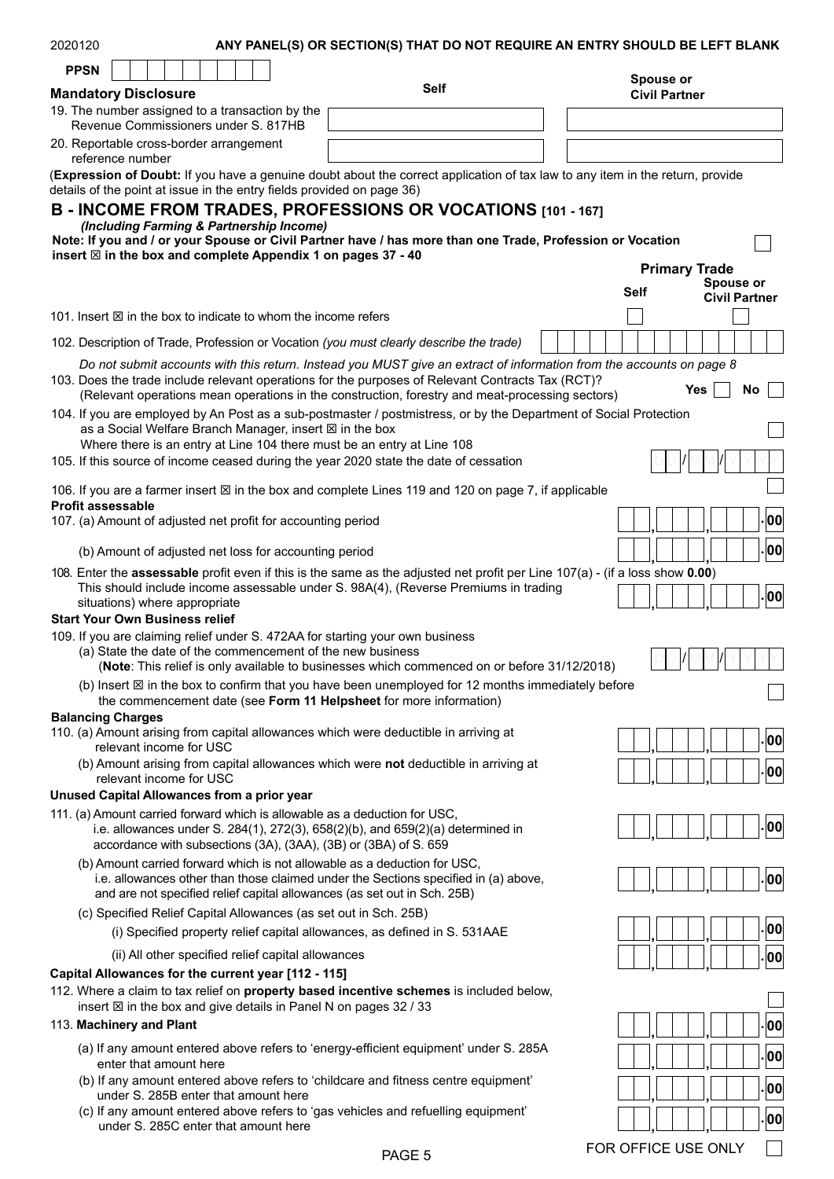| 2020120                                                                                                                                     | ANY PANEL(S) OR SECTION(S) THAT DO NOT REQUIRE AN ENTRY SHOULD BE LEFT BLANK                                                                                                                         |                      |                      |
|---------------------------------------------------------------------------------------------------------------------------------------------|------------------------------------------------------------------------------------------------------------------------------------------------------------------------------------------------------|----------------------|----------------------|
| <b>PPSN</b>                                                                                                                                 | <b>Self</b>                                                                                                                                                                                          | Spouse or            |                      |
| <b>Mandatory Disclosure</b>                                                                                                                 |                                                                                                                                                                                                      | <b>Civil Partner</b> |                      |
| 19. The number assigned to a transaction by the<br>Revenue Commissioners under S. 817HB                                                     |                                                                                                                                                                                                      |                      |                      |
| 20. Reportable cross-border arrangement<br>reference number                                                                                 |                                                                                                                                                                                                      |                      |                      |
| details of the point at issue in the entry fields provided on page 36)                                                                      | (Expression of Doubt: If you have a genuine doubt about the correct application of tax law to any item in the return, provide                                                                        |                      |                      |
|                                                                                                                                             | B - INCOME FROM TRADES, PROFESSIONS OR VOCATIONS [101 - 167]                                                                                                                                         |                      |                      |
| (Including Farming & Partnership Income)                                                                                                    |                                                                                                                                                                                                      |                      |                      |
|                                                                                                                                             | Note: If you and / or your Spouse or Civil Partner have / has more than one Trade, Profession or Vocation                                                                                            |                      |                      |
| insert $\boxtimes$ in the box and complete Appendix 1 on pages 37 - 40                                                                      |                                                                                                                                                                                                      | <b>Primary Trade</b> |                      |
|                                                                                                                                             |                                                                                                                                                                                                      |                      | <b>Spouse or</b>     |
|                                                                                                                                             |                                                                                                                                                                                                      | Self                 | <b>Civil Partner</b> |
| 101. Insert $\boxtimes$ in the box to indicate to whom the income refers                                                                    |                                                                                                                                                                                                      |                      |                      |
|                                                                                                                                             | 102. Description of Trade, Profession or Vocation (you must clearly describe the trade)                                                                                                              |                      |                      |
|                                                                                                                                             | Do not submit accounts with this return. Instead you MUST give an extract of information from the accounts on page 8                                                                                 |                      |                      |
|                                                                                                                                             | 103. Does the trade include relevant operations for the purposes of Relevant Contracts Tax (RCT)?<br>(Relevant operations mean operations in the construction, forestry and meat-processing sectors) | Yes                  | No                   |
|                                                                                                                                             | 104. If you are employed by An Post as a sub-postmaster / postmistress, or by the Department of Social Protection                                                                                    |                      |                      |
| as a Social Welfare Branch Manager, insert $\boxtimes$ in the box                                                                           |                                                                                                                                                                                                      |                      |                      |
| Where there is an entry at Line 104 there must be an entry at Line 108                                                                      | 105. If this source of income ceased during the year 2020 state the date of cessation                                                                                                                |                      |                      |
|                                                                                                                                             |                                                                                                                                                                                                      |                      |                      |
| <b>Profit assessable</b>                                                                                                                    | 106. If you are a farmer insert $\boxtimes$ in the box and complete Lines 119 and 120 on page 7, if applicable                                                                                       |                      |                      |
| 107. (a) Amount of adjusted net profit for accounting period                                                                                |                                                                                                                                                                                                      |                      | 00                   |
| (b) Amount of adjusted net loss for accounting period                                                                                       |                                                                                                                                                                                                      |                      | 00                   |
|                                                                                                                                             | 108. Enter the assessable profit even if this is the same as the adjusted net profit per Line 107(a) - (if a loss show 0.00)                                                                         |                      |                      |
|                                                                                                                                             | This should include income assessable under S. 98A(4), (Reverse Premiums in trading                                                                                                                  |                      |                      |
| situations) where appropriate                                                                                                               |                                                                                                                                                                                                      |                      | 00                   |
| <b>Start Your Own Business relief</b>                                                                                                       |                                                                                                                                                                                                      |                      |                      |
| 109. If you are claiming relief under S. 472AA for starting your own business<br>(a) State the date of the commencement of the new business | (Note: This relief is only available to businesses which commenced on or before 31/12/2018)                                                                                                          |                      |                      |
|                                                                                                                                             | (b) Insert $\boxtimes$ in the box to confirm that you have been unemployed for 12 months immediately before                                                                                          |                      |                      |
| <b>Balancing Charges</b>                                                                                                                    | the commencement date (see Form 11 Helpsheet for more information)                                                                                                                                   |                      |                      |
| 110. (a) Amount arising from capital allowances which were deductible in arriving at                                                        |                                                                                                                                                                                                      |                      |                      |
| relevant income for USC                                                                                                                     |                                                                                                                                                                                                      |                      | 00                   |
| relevant income for USC                                                                                                                     | (b) Amount arising from capital allowances which were not deductible in arriving at                                                                                                                  |                      | 00                   |
| Unused Capital Allowances from a prior year                                                                                                 |                                                                                                                                                                                                      |                      |                      |
| 111. (a) Amount carried forward which is allowable as a deduction for USC,                                                                  |                                                                                                                                                                                                      |                      |                      |
| accordance with subsections (3A), (3AA), (3B) or (3BA) of S. 659                                                                            | i.e. allowances under S. 284(1), 272(3), 658(2)(b), and 659(2)(a) determined in                                                                                                                      |                      | 00                   |
| (b) Amount carried forward which is not allowable as a deduction for USC,                                                                   | i.e. allowances other than those claimed under the Sections specified in (a) above,                                                                                                                  |                      | 00                   |
|                                                                                                                                             | and are not specified relief capital allowances (as set out in Sch. 25B)                                                                                                                             |                      |                      |
| (c) Specified Relief Capital Allowances (as set out in Sch. 25B)                                                                            |                                                                                                                                                                                                      |                      |                      |
|                                                                                                                                             | (i) Specified property relief capital allowances, as defined in S. 531AAE                                                                                                                            |                      | 00                   |
| (ii) All other specified relief capital allowances                                                                                          |                                                                                                                                                                                                      |                      | 00                   |
| Capital Allowances for the current year [112 - 115]                                                                                         |                                                                                                                                                                                                      |                      |                      |
| insert ⊠ in the box and give details in Panel N on pages 32 / 33                                                                            | 112. Where a claim to tax relief on property based incentive schemes is included below,                                                                                                              |                      |                      |
| 113. Machinery and Plant                                                                                                                    |                                                                                                                                                                                                      |                      | 00                   |
|                                                                                                                                             | (a) If any amount entered above refers to 'energy-efficient equipment' under S. 285A                                                                                                                 |                      | 00                   |
| enter that amount here                                                                                                                      | (b) If any amount entered above refers to 'childcare and fitness centre equipment'                                                                                                                   |                      |                      |
| under S. 285B enter that amount here                                                                                                        |                                                                                                                                                                                                      |                      | 00                   |
| under S. 285C enter that amount here                                                                                                        | (c) If any amount entered above refers to 'gas vehicles and refuelling equipment'                                                                                                                    |                      | 00                   |

PAGE 5 FOR OFFICE USE ONLY □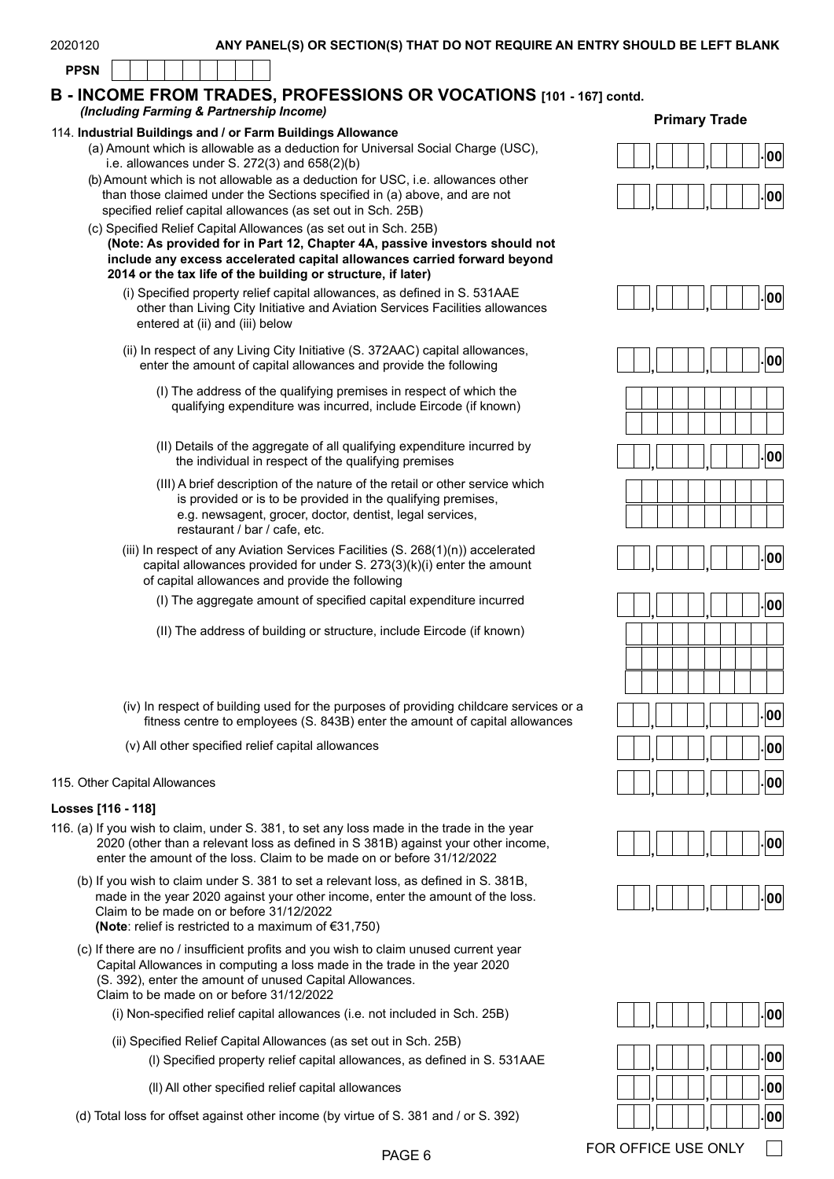**PPSN**

#### **B - INCOME FROM TRADES, PROFESSIONS OR VOCATIONS [101 - 167] contd.** *(Including Farming & Partnership Income)*

#### 114. **Industrial Buildings and / or Farm Buildings Allowance**

- (a) Amount which is allowable as a deduction for Universal Social Charge (USC), Amount which is allowable as a deduction for Oniversal Social Charge (OSC),  $\begin{bmatrix} 1 & 0 \\ 0 & 1 \end{bmatrix}, \begin{bmatrix} 1 & 0 \\ 0 & 1 \end{bmatrix}$ .
- (b) Amount which is not allowable as a deduction for USC, i.e. allowances other than those claimed under the Sections specified in (a) above, and are not specified relief capital allowances (as set out in Sch. 25B)
- (c) Specified Relief Capital Allowances (as set out in Sch. 25B) **(Note: As provided for in Part 12, Chapter 4A, passive investors should not include any excess accelerated capital allowances carried forward beyond 2014 or the tax life of the building or structure, if later)**
	- (i) Specified property relief capital allowances, as defined in S. 531AAE other than Living City Initiative and Aviation Services Facilities allowances entered at (ii) and (iii) below
	- (ii) In respect of any Living City Initiative (S. 372AAC) capital allowances, enter the amount of capital allowances and provide the following
		- (I) The address of the qualifying premises in respect of which the qualifying expenditure was incurred, include Eircode (if known)
		- (II) Details of the aggregate of all qualifying expenditure incurred by the individual in respect of the qualifying premises
		- (III) A brief description of the nature of the retail or other service which is provided or is to be provided in the qualifying premises, e.g. newsagent, grocer, doctor, dentist, legal services, restaurant / bar / cafe, etc.
	- (iii) In respect of any Aviation Services Facilities (S. 268(1)(n)) accelerated capital allowances provided for under S. 273(3)(k)(i) enter the amount of capital allowances and provide the following
		- (I) The aggregate amount of specified capital expenditure incurred
		- (II) The address of building or structure, include Eircode (if known)
	- (iv) In respect of building used for the purposes of providing childcare services or a fitness centre to employees (S. 843B) enter the amount of capital allowances
	- (v) All other specified relief capital allowances **. , , <sup>00</sup>**

#### 115. Other Capital Allowances **. , , <sup>00</sup>**

#### **Losses [116 - 118]**

- 116. (a) If you wish to claim, under S. 381, to set any loss made in the trade in the year 2020 (other than a relevant loss as defined in S 381B) against your other income, enter the amount of the loss. Claim to be made on or before 31/12/2022
	- (b) If you wish to claim under S. 381 to set a relevant loss, as defined in S. 381B, made in the year 2020 against your other income, enter the amount of the loss. Claim to be made on or before 31/12/2022 **(Note**: relief is restricted to a maximum of €31,750)
	- (c) If there are no / insufficient profits and you wish to claim unused current year Capital Allowances in computing a loss made in the trade in the year 2020 (S. 392), enter the amount of unused Capital Allowances. Claim to be made on or before 31/12/2022
		- (i) Non-specified relief capital allowances (i.e. not included in Sch. 25B)
		- (ii) Specified Relief Capital Allowances (as set out in Sch. 25B)
			- (l) Specified property relief capital allowances, as defined in S. 531AAE
			- (ll) All other specified relief capital allowances

(d) Total loss for offset against other income (by virtue of S. 381 and / or S. 392) **. , , <sup>00</sup>**











|  | , |  | , |  | $\overline{\phantom{a}}$ 00 |
|--|---|--|---|--|-----------------------------|
|  |   |  |   |  |                             |
|  |   |  |   |  |                             |
|  |   |  |   |  |                             |
|  |   |  |   |  | $\overline{\mathbf{00}}$    |
|  | , |  | J |  |                             |
|  |   |  | , |  | $\overline{\phantom{0}}$ 00 |





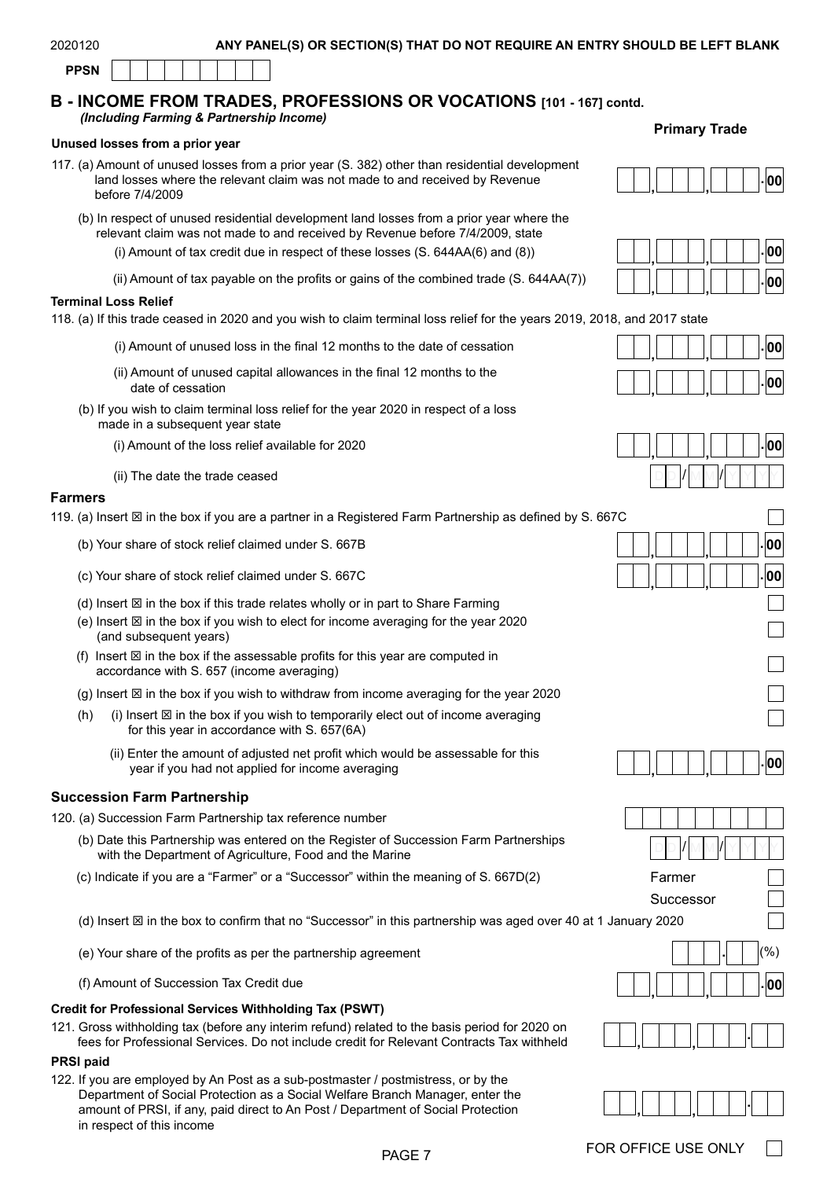#### **B - INCOME FROM TRADES, PROFESSIONS OR VOCATIONS [101 - 167] contd.** *(Including Farming & Partnership Income)*

#### **Unused losses from a prior year**

- 117. (a) Amount of unused losses from a prior year (S. 382) other than residential development land losses where the relevant claim was not made to and received by Revenue before 7/4/2009
	- (b) In respect of unused residential development land losses from a prior year where the relevant claim was not made to and received by Revenue before 7/4/2009, state
		- (i) Amount of tax credit due in respect of these losses (S. 644AA(6) and (8))
		- (ii) Amount of tax payable on the profits or gains of the combined trade (S. 644AA(7))

#### **Terminal Loss Relief**

118. (a) If this trade ceased in 2020 and you wish to claim terminal loss relief for the years 2019, 2018, and 2017 state

- (i) Amount of unused loss in the final 12 months to the date of cessation
- (ii) Amount of unused capital allowances in the final 12 months to the date of cessation
- (b) If you wish to claim terminal loss relief for the year 2020 in respect of a loss made in a subsequent year state
	- (i) Amount of the loss relief available for 2020 **. , , <sup>00</sup>**
	- (ii) The date the trade ceased

#### **Farmers**

119. (a) Insert  $\boxtimes$  in the box if you are a partner in a Registered Farm Partnership as defined by S. 667

- (b) Your share of stock relief claimed under S. 667B
- (c) Your share of stock relief claimed under S. 667C
- (d) Insert  $\boxtimes$  in the box if this trade relates wholly or in part to Share Farming
- $(e)$  Insert  $\boxtimes$  in the box if you wish to elect for income averaging for the year 2020 (and subsequent years)
- (f) Insert  $\boxtimes$  in the box if the assessable profits for this year are computed in accordance with S. 657 (income averaging)
- (g) Insert  $\boxtimes$  in the box if you wish to withdraw from income averaging for the year 2020
- $(h)$  (i) Insert  $\boxtimes$  in the box if you wish to temporarily elect out of income averaging for this year in accordance with S. 657(6A)
	- (ii) Enter the amount of adjusted net profit which would be assessable for this year if you had not applied for income averaging

#### **Succession Farm Partnership**

120. (a) Succession Farm Partnership tax reference number

- (b) Date this Partnership was entered on the Register of Succession Farm Partnerships with the Department of Agriculture, Food and the Marine
- (c) Indicate if you are a "Farmer" or a "Successor" within the meaning of S. 667D(2)
- (d) Insert  $\boxtimes$  in the box to confirm that no "Successor" in this partnership was aged over 40 at 1 January 2020
- (e) Your share of the profits as per the partnership agreement
- (f) Amount of Succession Tax Credit due

#### **Credit for Professional Services Withholding Tax (PSWT)**

121. Gross withholding tax (before any interim refund) related to the basis period for 2020 on fees for Professional Services. Do not include credit for Relevant Contracts Tax withheld **, . ,**

## **PRSI paid**

122. If you are employed by An Post as a sub-postmaster / postmistress, or by the Department of Social Protection as a Social Welfare Branch Manager, enter the amount of PRSI, if any, paid direct to An Post / Department of Social Protection in respect of this income

#### **Primary Trade**

|  |  |  |  |  | .INNI |
|--|--|--|--|--|-------|
|  |  |  |  |  |       |



|  |  | 0                       |
|--|--|-------------------------|
|  |  | $\overline{\mathbf{0}}$ |



| 'C                                                     |
|--------------------------------------------------------|
| $ . $ 00 $ $                                           |
| $\vert\raisebox{.4ex}{.}\vert$ oo                      |
|                                                        |
|                                                        |
|                                                        |
|                                                        |
|                                                        |
| $\overline{\phantom{a}}$ . $\overline{\phantom{a}}$ 00 |
|                                                        |
| Farmer                                                 |
| Successor<br>anuary 2020                               |
| $(\% )$<br>00                                          |



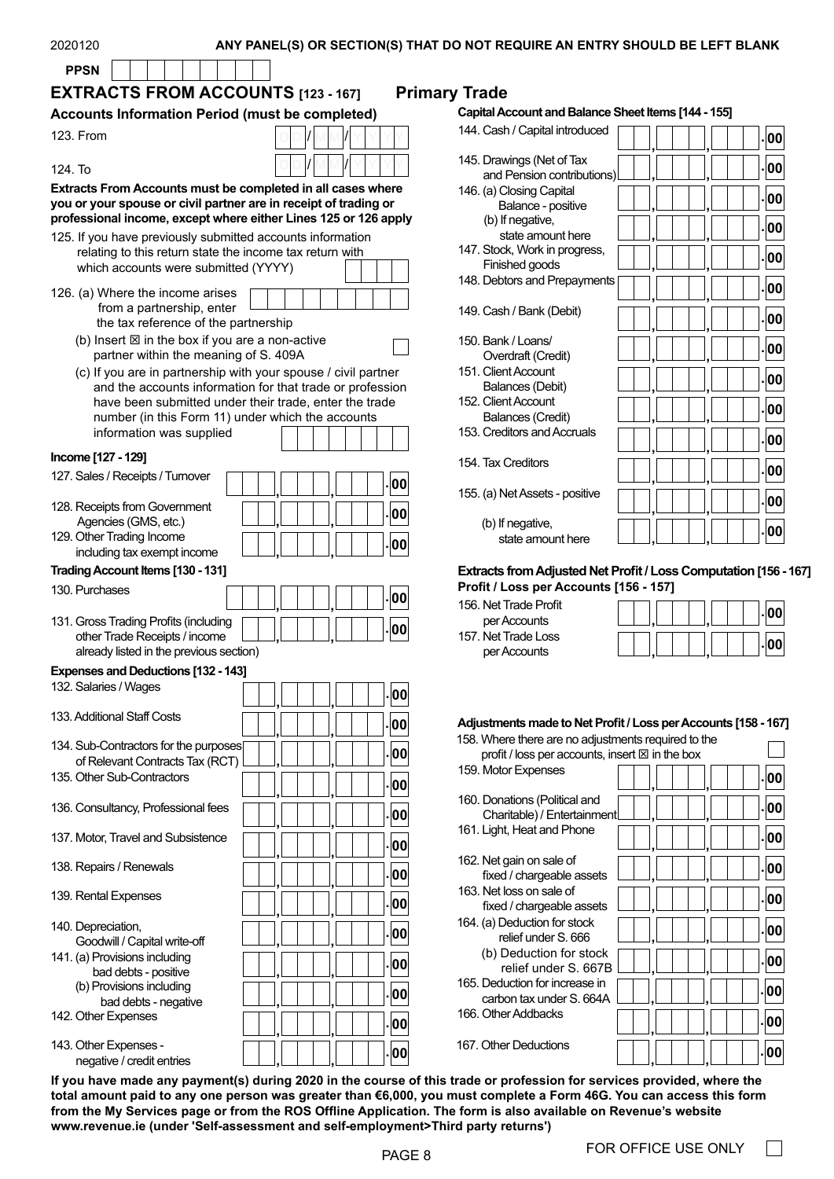#### ANY PANEL(S) OR SECTION(S) THAT DO NOT REQUIRE AN ENTRY SHOULD BE LEFT BLANK

| <b>PPSN</b>                                                                                                                                                                                               |                                                                                                                     |                                                                                                    |
|-----------------------------------------------------------------------------------------------------------------------------------------------------------------------------------------------------------|---------------------------------------------------------------------------------------------------------------------|----------------------------------------------------------------------------------------------------|
| <b>EXTRACTS FROM ACCOUNTS [123 - 167]</b>                                                                                                                                                                 |                                                                                                                     | <b>Primary Trade</b>                                                                               |
| <b>Accounts Information Period (must be completed)</b>                                                                                                                                                    |                                                                                                                     | <b>Capital Account and Bala</b>                                                                    |
| 123. From                                                                                                                                                                                                 |                                                                                                                     | 144. Cash / Capital introdu                                                                        |
| 124. To                                                                                                                                                                                                   |                                                                                                                     | 145. Drawings (Net of Tax<br>and Pension contribut                                                 |
| <b>Extracts From Accounts must be completed in all cases where</b><br>you or your spouse or civil partner are in receipt of trading or<br>professional income, except where either Lines 125 or 126 apply |                                                                                                                     | 146. (a) Closing Capital<br>Balance - positive<br>(b) If negative,<br>state amount here            |
| 125. If you have previously submitted accounts information<br>relating to this return state the income tax return with<br>which accounts were submitted (YYYY)                                            |                                                                                                                     | 147. Stock, Work in progres<br>Finished goods<br>148. Debtors and Prepaym                          |
| 126. (a) Where the income arises<br>from a partnership, enter<br>the tax reference of the partnership                                                                                                     |                                                                                                                     | 149. Cash / Bank (Debit)                                                                           |
| (b) Insert $\boxtimes$ in the box if you are a non-active<br>partner within the meaning of S. 409A                                                                                                        |                                                                                                                     | 150. Bank / Loans/<br>Overdraft (Credit)                                                           |
| (c) If you are in partnership with your spouse / civil partner                                                                                                                                            |                                                                                                                     | 151. Client Account                                                                                |
| number (in this Form 11) under which the accounts<br>information was supplied                                                                                                                             | and the accounts information for that trade or profession<br>have been submitted under their trade, enter the trade | Balances (Debit)<br>152. Client Account<br><b>Balances (Credit)</b><br>153. Creditors and Accruals |
| Income [127 - 129]                                                                                                                                                                                        |                                                                                                                     |                                                                                                    |
| 127. Sales / Receipts / Turnover                                                                                                                                                                          |                                                                                                                     | 154. Tax Creditors                                                                                 |
| 128. Receipts from Government                                                                                                                                                                             |                                                                                                                     | .00<br>155. (a) Net Assets - positiv                                                               |
| Agencies (GMS, etc.)                                                                                                                                                                                      |                                                                                                                     | 00<br>(b) If negative,                                                                             |
| 129. Other Trading Income                                                                                                                                                                                 |                                                                                                                     | state amount here<br>00                                                                            |
| including tax exempt income                                                                                                                                                                               |                                                                                                                     |                                                                                                    |
| Trading Account Items [130 - 131]                                                                                                                                                                         |                                                                                                                     | <b>Extracts from Adjusted I</b>                                                                    |
| 130. Purchases                                                                                                                                                                                            |                                                                                                                     | Profit / Loss per Accou<br>00                                                                      |
|                                                                                                                                                                                                           |                                                                                                                     | 156. Net Trade Profit                                                                              |
| 131. Gross Trading Profits (including                                                                                                                                                                     |                                                                                                                     | per Accounts<br>00<br>157. Net Trade Loss                                                          |
| other Trade Receipts / income<br>already listed in the previous section)                                                                                                                                  |                                                                                                                     | per Accounts                                                                                       |
| <b>Expenses and Deductions [132 - 143]</b>                                                                                                                                                                |                                                                                                                     |                                                                                                    |
| 132. Salaries / Wages                                                                                                                                                                                     |                                                                                                                     | 00                                                                                                 |
| 133. Additional Staff Costs                                                                                                                                                                               |                                                                                                                     | 00<br><b>Adjustments made to Net</b>                                                               |
| 134. Sub-Contractors for the purposes                                                                                                                                                                     |                                                                                                                     | 158. Where there are no ad<br>00<br>profit / loss per accour                                       |
| of Relevant Contracts Tax (RCT)                                                                                                                                                                           |                                                                                                                     | 159. Motor Expenses                                                                                |
| 135. Other Sub-Contractors                                                                                                                                                                                |                                                                                                                     | 00                                                                                                 |
| 136. Consultancy, Professional fees                                                                                                                                                                       |                                                                                                                     | 160. Donations (Political ar<br>00<br>Charitable) / Entertain                                      |
| 137. Motor, Travel and Subsistence                                                                                                                                                                        |                                                                                                                     | 161. Light, Heat and Phone<br>00                                                                   |
| 138. Repairs / Renewals                                                                                                                                                                                   |                                                                                                                     | 162. Net gain on sale of<br>00<br>fixed / chargeable ass                                           |
| 139. Rental Expenses                                                                                                                                                                                      |                                                                                                                     | 163. Net loss on sale of<br>00<br>fixed / chargeable ass                                           |
| 140. Depreciation,<br>Goodwill / Capital write-off                                                                                                                                                        |                                                                                                                     | 164. (a) Deduction for stock<br>00<br>relief under S. 666                                          |
| 141. (a) Provisions including                                                                                                                                                                             |                                                                                                                     | (b) Deduction for sto<br>00<br>relief under S. 6                                                   |
| bad debts - positive<br>(b) Provisions including                                                                                                                                                          |                                                                                                                     | 165. Deduction for increase                                                                        |
| bad debts - negative<br>142. Other Expenses                                                                                                                                                               |                                                                                                                     | 00<br>carbon tax under S. 66<br>166. Other Addbacks                                                |
|                                                                                                                                                                                                           |                                                                                                                     | 00                                                                                                 |
| 143. Other Expenses -<br>negative / credit entries                                                                                                                                                        |                                                                                                                     | 167. Other Deductions<br> 00                                                                       |

#### **Account and Balance Sheet Items [144 - 155]**

| 144. Cash / Capital introduced                          |  |  | 00    |
|---------------------------------------------------------|--|--|-------|
| 145. Drawings (Net of Tax<br>and Pension contributions) |  |  | 100   |
| 146. (a) Closing Capital<br>Balance - positive          |  |  | -100  |
| (b) If negative,<br>state amount here                   |  |  | -100  |
| 147. Stock, Work in progress,<br>Finished goods         |  |  | 00    |
| 148. Debtors and Prepayments                            |  |  | - 00  |
| 149. Cash / Bank (Debit)                                |  |  | 00.   |
| 150. Bank / Loans/<br>Overdraft (Credit)                |  |  | 00    |
| 151. Client Account<br>Balances (Debit)                 |  |  | - 00  |
| 152. Client Account<br><b>Balances (Credit)</b>         |  |  | .100  |
| 153. Creditors and Accruals                             |  |  | .100  |
| 154. Tax Creditors                                      |  |  | -100  |
| 155. (a) Net Assets - positive                          |  |  | 00    |
| (b) If negative,<br>state amount here                   |  |  | . 100 |

#### **Extracts from Adjusted Net Profit / Loss Computation [156 - 167]**

**Profit / Loss per Accounts [156 - 157]** et Trade Profit r Accounts et Trade Loss

|  |  | ٠ |  |
|--|--|---|--|
|  |  | ٠ |  |

#### **Adjustments made to Net Profit / Loss per Accounts [158 - 167]**

| 158. Where there are no adjustments required to the          |      |
|--------------------------------------------------------------|------|
| profit / loss per accounts, insert $\boxtimes$ in the box    |      |
| 159. Motor Expenses                                          | - 00 |
| 160. Donations (Political and<br>Charitable) / Entertainment |      |
| 161. Light, Heat and Phone                                   | -100 |
| 162. Net gain on sale of<br>fixed / chargeable assets        | -100 |
| 163. Net loss on sale of<br>fixed / chargeable assets        | 100  |
| 164. (a) Deduction for stock<br>relief under S. 666          | -100 |
| (b) Deduction for stock<br>relief under S. 667B              | -100 |
| 165. Deduction for increase in<br>carbon tax under S. 664A   | -100 |
| 166. Other Addbacks                                          | -100 |
| 167. Other Deductions                                        |      |

**If you have made any payment(s) during 2020 in the course of this trade or profession for services provided, where the total amount paid to any one person was greater than €6,000, you must complete a Form 46G. You can access this form from the My Services page or from the ROS Offline Application. The form is also available on Revenue's website [www.revenue.ie](https://www.revenue.ie/en/self-assessment-and-self-employment/third-party-returns/index.aspx) (under 'Self-assessment and self-employment>Third party returns')**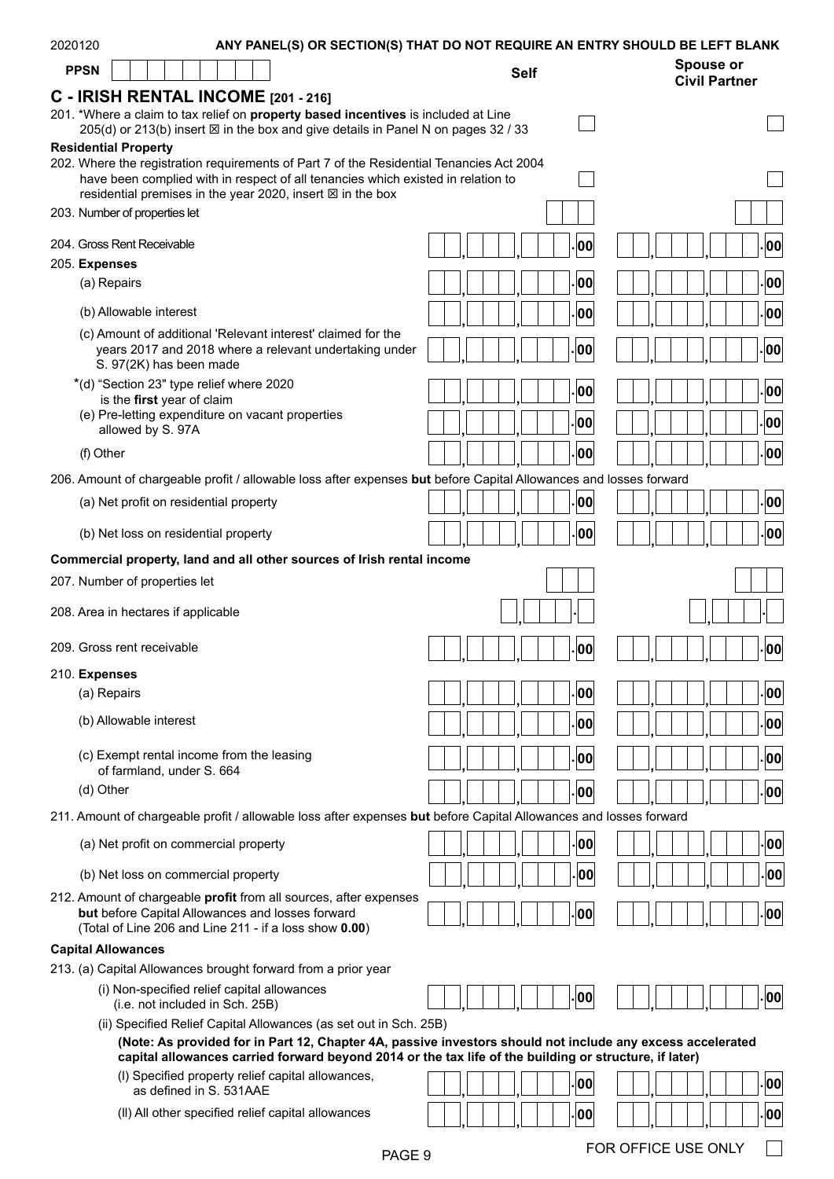| <b>Spouse or</b><br><b>PPSN</b><br><b>Self</b><br><b>Civil Partner</b><br>C - IRISH RENTAL INCOME [201 - 216]<br>201. *Where a claim to tax relief on property based incentives is included at Line<br>205(d) or 213(b) insert ⊠ in the box and give details in Panel N on pages 32 / 33<br><b>Residential Property</b><br>202. Where the registration requirements of Part 7 of the Residential Tenancies Act 2004<br>have been complied with in respect of all tenancies which existed in relation to<br>residential premises in the year 2020, insert $\boxtimes$ in the box<br>203. Number of properties let<br>204. Gross Rent Receivable<br>.00<br>00<br>205. Expenses<br> 00 <br>00<br>(a) Repairs<br>(b) Allowable interest<br>00<br>00<br>(c) Amount of additional 'Relevant interest' claimed for the<br>00<br> 00<br>years 2017 and 2018 where a relevant undertaking under<br>S. 97(2K) has been made<br>*(d) "Section 23" type relief where 2020<br>00<br>$ 00\rangle$<br>is the first year of claim<br>(e) Pre-letting expenditure on vacant properties<br> 00 <br>00<br>allowed by S. 97A<br> 00<br><b>00</b><br>(f) Other<br>206. Amount of chargeable profit / allowable loss after expenses but before Capital Allowances and losses forward<br>00<br>00<br>(a) Net profit on residential property<br>00<br>00<br>(b) Net loss on residential property<br>Commercial property, land and all other sources of Irish rental income<br>207. Number of properties let<br>208. Area in hectares if applicable<br>209. Gross rent receivable<br>00<br>00<br>210. Expenses<br> 00<br>00<br>(a) Repairs<br>(b) Allowable interest<br> 00 <br> 00 <br>(c) Exempt rental income from the leasing<br> 00 <br>00<br>of farmland, under S. 664<br>(d) Other<br> 00 <br>00<br>211. Amount of chargeable profit / allowable loss after expenses but before Capital Allowances and losses forward<br>00<br>00<br>(a) Net profit on commercial property<br>00<br>00<br>(b) Net loss on commercial property<br>212. Amount of chargeable profit from all sources, after expenses<br>00<br>but before Capital Allowances and losses forward<br>00<br>(Total of Line 206 and Line 211 - if a loss show 0.00)<br><b>Capital Allowances</b><br>213. (a) Capital Allowances brought forward from a prior year<br>(i) Non-specified relief capital allowances<br> 00 <br>00<br>(i.e. not included in Sch. 25B)<br>(ii) Specified Relief Capital Allowances (as set out in Sch. 25B)<br>(Note: As provided for in Part 12, Chapter 4A, passive investors should not include any excess accelerated<br>capital allowances carried forward beyond 2014 or the tax life of the building or structure, if later)<br>(I) Specified property relief capital allowances,<br> 00 <br> 00 <br>as defined in S. 531AAE<br>(II) All other specified relief capital allowances<br>00<br>00<br>FOR OFFICE USE ONLY<br>PAGE 9 | 2020120 |  |  |  |  | ANY PANEL(S) OR SECTION(S) THAT DO NOT REQUIRE AN ENTRY SHOULD BE LEFT BLANK |  |  |  |  |  |  |  |  |
|----------------------------------------------------------------------------------------------------------------------------------------------------------------------------------------------------------------------------------------------------------------------------------------------------------------------------------------------------------------------------------------------------------------------------------------------------------------------------------------------------------------------------------------------------------------------------------------------------------------------------------------------------------------------------------------------------------------------------------------------------------------------------------------------------------------------------------------------------------------------------------------------------------------------------------------------------------------------------------------------------------------------------------------------------------------------------------------------------------------------------------------------------------------------------------------------------------------------------------------------------------------------------------------------------------------------------------------------------------------------------------------------------------------------------------------------------------------------------------------------------------------------------------------------------------------------------------------------------------------------------------------------------------------------------------------------------------------------------------------------------------------------------------------------------------------------------------------------------------------------------------------------------------------------------------------------------------------------------------------------------------------------------------------------------------------------------------------------------------------------------------------------------------------------------------------------------------------------------------------------------------------------------------------------------------------------------------------------------------------------------------------------------------------------------------------------------------------------------------------------------------------------------------------------------------------------------------------------------------------------------------------------------------------------------------------------------------------------------------------------------------------------------------------------------------------------------------------------------------------------------------------------------------|---------|--|--|--|--|------------------------------------------------------------------------------|--|--|--|--|--|--|--|--|
|                                                                                                                                                                                                                                                                                                                                                                                                                                                                                                                                                                                                                                                                                                                                                                                                                                                                                                                                                                                                                                                                                                                                                                                                                                                                                                                                                                                                                                                                                                                                                                                                                                                                                                                                                                                                                                                                                                                                                                                                                                                                                                                                                                                                                                                                                                                                                                                                                                                                                                                                                                                                                                                                                                                                                                                                                                                                                                          |         |  |  |  |  |                                                                              |  |  |  |  |  |  |  |  |
|                                                                                                                                                                                                                                                                                                                                                                                                                                                                                                                                                                                                                                                                                                                                                                                                                                                                                                                                                                                                                                                                                                                                                                                                                                                                                                                                                                                                                                                                                                                                                                                                                                                                                                                                                                                                                                                                                                                                                                                                                                                                                                                                                                                                                                                                                                                                                                                                                                                                                                                                                                                                                                                                                                                                                                                                                                                                                                          |         |  |  |  |  |                                                                              |  |  |  |  |  |  |  |  |
|                                                                                                                                                                                                                                                                                                                                                                                                                                                                                                                                                                                                                                                                                                                                                                                                                                                                                                                                                                                                                                                                                                                                                                                                                                                                                                                                                                                                                                                                                                                                                                                                                                                                                                                                                                                                                                                                                                                                                                                                                                                                                                                                                                                                                                                                                                                                                                                                                                                                                                                                                                                                                                                                                                                                                                                                                                                                                                          |         |  |  |  |  |                                                                              |  |  |  |  |  |  |  |  |
|                                                                                                                                                                                                                                                                                                                                                                                                                                                                                                                                                                                                                                                                                                                                                                                                                                                                                                                                                                                                                                                                                                                                                                                                                                                                                                                                                                                                                                                                                                                                                                                                                                                                                                                                                                                                                                                                                                                                                                                                                                                                                                                                                                                                                                                                                                                                                                                                                                                                                                                                                                                                                                                                                                                                                                                                                                                                                                          |         |  |  |  |  |                                                                              |  |  |  |  |  |  |  |  |
|                                                                                                                                                                                                                                                                                                                                                                                                                                                                                                                                                                                                                                                                                                                                                                                                                                                                                                                                                                                                                                                                                                                                                                                                                                                                                                                                                                                                                                                                                                                                                                                                                                                                                                                                                                                                                                                                                                                                                                                                                                                                                                                                                                                                                                                                                                                                                                                                                                                                                                                                                                                                                                                                                                                                                                                                                                                                                                          |         |  |  |  |  |                                                                              |  |  |  |  |  |  |  |  |
|                                                                                                                                                                                                                                                                                                                                                                                                                                                                                                                                                                                                                                                                                                                                                                                                                                                                                                                                                                                                                                                                                                                                                                                                                                                                                                                                                                                                                                                                                                                                                                                                                                                                                                                                                                                                                                                                                                                                                                                                                                                                                                                                                                                                                                                                                                                                                                                                                                                                                                                                                                                                                                                                                                                                                                                                                                                                                                          |         |  |  |  |  |                                                                              |  |  |  |  |  |  |  |  |
|                                                                                                                                                                                                                                                                                                                                                                                                                                                                                                                                                                                                                                                                                                                                                                                                                                                                                                                                                                                                                                                                                                                                                                                                                                                                                                                                                                                                                                                                                                                                                                                                                                                                                                                                                                                                                                                                                                                                                                                                                                                                                                                                                                                                                                                                                                                                                                                                                                                                                                                                                                                                                                                                                                                                                                                                                                                                                                          |         |  |  |  |  |                                                                              |  |  |  |  |  |  |  |  |
|                                                                                                                                                                                                                                                                                                                                                                                                                                                                                                                                                                                                                                                                                                                                                                                                                                                                                                                                                                                                                                                                                                                                                                                                                                                                                                                                                                                                                                                                                                                                                                                                                                                                                                                                                                                                                                                                                                                                                                                                                                                                                                                                                                                                                                                                                                                                                                                                                                                                                                                                                                                                                                                                                                                                                                                                                                                                                                          |         |  |  |  |  |                                                                              |  |  |  |  |  |  |  |  |
|                                                                                                                                                                                                                                                                                                                                                                                                                                                                                                                                                                                                                                                                                                                                                                                                                                                                                                                                                                                                                                                                                                                                                                                                                                                                                                                                                                                                                                                                                                                                                                                                                                                                                                                                                                                                                                                                                                                                                                                                                                                                                                                                                                                                                                                                                                                                                                                                                                                                                                                                                                                                                                                                                                                                                                                                                                                                                                          |         |  |  |  |  |                                                                              |  |  |  |  |  |  |  |  |
|                                                                                                                                                                                                                                                                                                                                                                                                                                                                                                                                                                                                                                                                                                                                                                                                                                                                                                                                                                                                                                                                                                                                                                                                                                                                                                                                                                                                                                                                                                                                                                                                                                                                                                                                                                                                                                                                                                                                                                                                                                                                                                                                                                                                                                                                                                                                                                                                                                                                                                                                                                                                                                                                                                                                                                                                                                                                                                          |         |  |  |  |  |                                                                              |  |  |  |  |  |  |  |  |
|                                                                                                                                                                                                                                                                                                                                                                                                                                                                                                                                                                                                                                                                                                                                                                                                                                                                                                                                                                                                                                                                                                                                                                                                                                                                                                                                                                                                                                                                                                                                                                                                                                                                                                                                                                                                                                                                                                                                                                                                                                                                                                                                                                                                                                                                                                                                                                                                                                                                                                                                                                                                                                                                                                                                                                                                                                                                                                          |         |  |  |  |  |                                                                              |  |  |  |  |  |  |  |  |
|                                                                                                                                                                                                                                                                                                                                                                                                                                                                                                                                                                                                                                                                                                                                                                                                                                                                                                                                                                                                                                                                                                                                                                                                                                                                                                                                                                                                                                                                                                                                                                                                                                                                                                                                                                                                                                                                                                                                                                                                                                                                                                                                                                                                                                                                                                                                                                                                                                                                                                                                                                                                                                                                                                                                                                                                                                                                                                          |         |  |  |  |  |                                                                              |  |  |  |  |  |  |  |  |
|                                                                                                                                                                                                                                                                                                                                                                                                                                                                                                                                                                                                                                                                                                                                                                                                                                                                                                                                                                                                                                                                                                                                                                                                                                                                                                                                                                                                                                                                                                                                                                                                                                                                                                                                                                                                                                                                                                                                                                                                                                                                                                                                                                                                                                                                                                                                                                                                                                                                                                                                                                                                                                                                                                                                                                                                                                                                                                          |         |  |  |  |  |                                                                              |  |  |  |  |  |  |  |  |
|                                                                                                                                                                                                                                                                                                                                                                                                                                                                                                                                                                                                                                                                                                                                                                                                                                                                                                                                                                                                                                                                                                                                                                                                                                                                                                                                                                                                                                                                                                                                                                                                                                                                                                                                                                                                                                                                                                                                                                                                                                                                                                                                                                                                                                                                                                                                                                                                                                                                                                                                                                                                                                                                                                                                                                                                                                                                                                          |         |  |  |  |  |                                                                              |  |  |  |  |  |  |  |  |
|                                                                                                                                                                                                                                                                                                                                                                                                                                                                                                                                                                                                                                                                                                                                                                                                                                                                                                                                                                                                                                                                                                                                                                                                                                                                                                                                                                                                                                                                                                                                                                                                                                                                                                                                                                                                                                                                                                                                                                                                                                                                                                                                                                                                                                                                                                                                                                                                                                                                                                                                                                                                                                                                                                                                                                                                                                                                                                          |         |  |  |  |  |                                                                              |  |  |  |  |  |  |  |  |
|                                                                                                                                                                                                                                                                                                                                                                                                                                                                                                                                                                                                                                                                                                                                                                                                                                                                                                                                                                                                                                                                                                                                                                                                                                                                                                                                                                                                                                                                                                                                                                                                                                                                                                                                                                                                                                                                                                                                                                                                                                                                                                                                                                                                                                                                                                                                                                                                                                                                                                                                                                                                                                                                                                                                                                                                                                                                                                          |         |  |  |  |  |                                                                              |  |  |  |  |  |  |  |  |
|                                                                                                                                                                                                                                                                                                                                                                                                                                                                                                                                                                                                                                                                                                                                                                                                                                                                                                                                                                                                                                                                                                                                                                                                                                                                                                                                                                                                                                                                                                                                                                                                                                                                                                                                                                                                                                                                                                                                                                                                                                                                                                                                                                                                                                                                                                                                                                                                                                                                                                                                                                                                                                                                                                                                                                                                                                                                                                          |         |  |  |  |  |                                                                              |  |  |  |  |  |  |  |  |
|                                                                                                                                                                                                                                                                                                                                                                                                                                                                                                                                                                                                                                                                                                                                                                                                                                                                                                                                                                                                                                                                                                                                                                                                                                                                                                                                                                                                                                                                                                                                                                                                                                                                                                                                                                                                                                                                                                                                                                                                                                                                                                                                                                                                                                                                                                                                                                                                                                                                                                                                                                                                                                                                                                                                                                                                                                                                                                          |         |  |  |  |  |                                                                              |  |  |  |  |  |  |  |  |
|                                                                                                                                                                                                                                                                                                                                                                                                                                                                                                                                                                                                                                                                                                                                                                                                                                                                                                                                                                                                                                                                                                                                                                                                                                                                                                                                                                                                                                                                                                                                                                                                                                                                                                                                                                                                                                                                                                                                                                                                                                                                                                                                                                                                                                                                                                                                                                                                                                                                                                                                                                                                                                                                                                                                                                                                                                                                                                          |         |  |  |  |  |                                                                              |  |  |  |  |  |  |  |  |
|                                                                                                                                                                                                                                                                                                                                                                                                                                                                                                                                                                                                                                                                                                                                                                                                                                                                                                                                                                                                                                                                                                                                                                                                                                                                                                                                                                                                                                                                                                                                                                                                                                                                                                                                                                                                                                                                                                                                                                                                                                                                                                                                                                                                                                                                                                                                                                                                                                                                                                                                                                                                                                                                                                                                                                                                                                                                                                          |         |  |  |  |  |                                                                              |  |  |  |  |  |  |  |  |
|                                                                                                                                                                                                                                                                                                                                                                                                                                                                                                                                                                                                                                                                                                                                                                                                                                                                                                                                                                                                                                                                                                                                                                                                                                                                                                                                                                                                                                                                                                                                                                                                                                                                                                                                                                                                                                                                                                                                                                                                                                                                                                                                                                                                                                                                                                                                                                                                                                                                                                                                                                                                                                                                                                                                                                                                                                                                                                          |         |  |  |  |  |                                                                              |  |  |  |  |  |  |  |  |
|                                                                                                                                                                                                                                                                                                                                                                                                                                                                                                                                                                                                                                                                                                                                                                                                                                                                                                                                                                                                                                                                                                                                                                                                                                                                                                                                                                                                                                                                                                                                                                                                                                                                                                                                                                                                                                                                                                                                                                                                                                                                                                                                                                                                                                                                                                                                                                                                                                                                                                                                                                                                                                                                                                                                                                                                                                                                                                          |         |  |  |  |  |                                                                              |  |  |  |  |  |  |  |  |
|                                                                                                                                                                                                                                                                                                                                                                                                                                                                                                                                                                                                                                                                                                                                                                                                                                                                                                                                                                                                                                                                                                                                                                                                                                                                                                                                                                                                                                                                                                                                                                                                                                                                                                                                                                                                                                                                                                                                                                                                                                                                                                                                                                                                                                                                                                                                                                                                                                                                                                                                                                                                                                                                                                                                                                                                                                                                                                          |         |  |  |  |  |                                                                              |  |  |  |  |  |  |  |  |
|                                                                                                                                                                                                                                                                                                                                                                                                                                                                                                                                                                                                                                                                                                                                                                                                                                                                                                                                                                                                                                                                                                                                                                                                                                                                                                                                                                                                                                                                                                                                                                                                                                                                                                                                                                                                                                                                                                                                                                                                                                                                                                                                                                                                                                                                                                                                                                                                                                                                                                                                                                                                                                                                                                                                                                                                                                                                                                          |         |  |  |  |  |                                                                              |  |  |  |  |  |  |  |  |
|                                                                                                                                                                                                                                                                                                                                                                                                                                                                                                                                                                                                                                                                                                                                                                                                                                                                                                                                                                                                                                                                                                                                                                                                                                                                                                                                                                                                                                                                                                                                                                                                                                                                                                                                                                                                                                                                                                                                                                                                                                                                                                                                                                                                                                                                                                                                                                                                                                                                                                                                                                                                                                                                                                                                                                                                                                                                                                          |         |  |  |  |  |                                                                              |  |  |  |  |  |  |  |  |
|                                                                                                                                                                                                                                                                                                                                                                                                                                                                                                                                                                                                                                                                                                                                                                                                                                                                                                                                                                                                                                                                                                                                                                                                                                                                                                                                                                                                                                                                                                                                                                                                                                                                                                                                                                                                                                                                                                                                                                                                                                                                                                                                                                                                                                                                                                                                                                                                                                                                                                                                                                                                                                                                                                                                                                                                                                                                                                          |         |  |  |  |  |                                                                              |  |  |  |  |  |  |  |  |
|                                                                                                                                                                                                                                                                                                                                                                                                                                                                                                                                                                                                                                                                                                                                                                                                                                                                                                                                                                                                                                                                                                                                                                                                                                                                                                                                                                                                                                                                                                                                                                                                                                                                                                                                                                                                                                                                                                                                                                                                                                                                                                                                                                                                                                                                                                                                                                                                                                                                                                                                                                                                                                                                                                                                                                                                                                                                                                          |         |  |  |  |  |                                                                              |  |  |  |  |  |  |  |  |
|                                                                                                                                                                                                                                                                                                                                                                                                                                                                                                                                                                                                                                                                                                                                                                                                                                                                                                                                                                                                                                                                                                                                                                                                                                                                                                                                                                                                                                                                                                                                                                                                                                                                                                                                                                                                                                                                                                                                                                                                                                                                                                                                                                                                                                                                                                                                                                                                                                                                                                                                                                                                                                                                                                                                                                                                                                                                                                          |         |  |  |  |  |                                                                              |  |  |  |  |  |  |  |  |
|                                                                                                                                                                                                                                                                                                                                                                                                                                                                                                                                                                                                                                                                                                                                                                                                                                                                                                                                                                                                                                                                                                                                                                                                                                                                                                                                                                                                                                                                                                                                                                                                                                                                                                                                                                                                                                                                                                                                                                                                                                                                                                                                                                                                                                                                                                                                                                                                                                                                                                                                                                                                                                                                                                                                                                                                                                                                                                          |         |  |  |  |  |                                                                              |  |  |  |  |  |  |  |  |
|                                                                                                                                                                                                                                                                                                                                                                                                                                                                                                                                                                                                                                                                                                                                                                                                                                                                                                                                                                                                                                                                                                                                                                                                                                                                                                                                                                                                                                                                                                                                                                                                                                                                                                                                                                                                                                                                                                                                                                                                                                                                                                                                                                                                                                                                                                                                                                                                                                                                                                                                                                                                                                                                                                                                                                                                                                                                                                          |         |  |  |  |  |                                                                              |  |  |  |  |  |  |  |  |
|                                                                                                                                                                                                                                                                                                                                                                                                                                                                                                                                                                                                                                                                                                                                                                                                                                                                                                                                                                                                                                                                                                                                                                                                                                                                                                                                                                                                                                                                                                                                                                                                                                                                                                                                                                                                                                                                                                                                                                                                                                                                                                                                                                                                                                                                                                                                                                                                                                                                                                                                                                                                                                                                                                                                                                                                                                                                                                          |         |  |  |  |  |                                                                              |  |  |  |  |  |  |  |  |
|                                                                                                                                                                                                                                                                                                                                                                                                                                                                                                                                                                                                                                                                                                                                                                                                                                                                                                                                                                                                                                                                                                                                                                                                                                                                                                                                                                                                                                                                                                                                                                                                                                                                                                                                                                                                                                                                                                                                                                                                                                                                                                                                                                                                                                                                                                                                                                                                                                                                                                                                                                                                                                                                                                                                                                                                                                                                                                          |         |  |  |  |  |                                                                              |  |  |  |  |  |  |  |  |
|                                                                                                                                                                                                                                                                                                                                                                                                                                                                                                                                                                                                                                                                                                                                                                                                                                                                                                                                                                                                                                                                                                                                                                                                                                                                                                                                                                                                                                                                                                                                                                                                                                                                                                                                                                                                                                                                                                                                                                                                                                                                                                                                                                                                                                                                                                                                                                                                                                                                                                                                                                                                                                                                                                                                                                                                                                                                                                          |         |  |  |  |  |                                                                              |  |  |  |  |  |  |  |  |
|                                                                                                                                                                                                                                                                                                                                                                                                                                                                                                                                                                                                                                                                                                                                                                                                                                                                                                                                                                                                                                                                                                                                                                                                                                                                                                                                                                                                                                                                                                                                                                                                                                                                                                                                                                                                                                                                                                                                                                                                                                                                                                                                                                                                                                                                                                                                                                                                                                                                                                                                                                                                                                                                                                                                                                                                                                                                                                          |         |  |  |  |  |                                                                              |  |  |  |  |  |  |  |  |
|                                                                                                                                                                                                                                                                                                                                                                                                                                                                                                                                                                                                                                                                                                                                                                                                                                                                                                                                                                                                                                                                                                                                                                                                                                                                                                                                                                                                                                                                                                                                                                                                                                                                                                                                                                                                                                                                                                                                                                                                                                                                                                                                                                                                                                                                                                                                                                                                                                                                                                                                                                                                                                                                                                                                                                                                                                                                                                          |         |  |  |  |  |                                                                              |  |  |  |  |  |  |  |  |
|                                                                                                                                                                                                                                                                                                                                                                                                                                                                                                                                                                                                                                                                                                                                                                                                                                                                                                                                                                                                                                                                                                                                                                                                                                                                                                                                                                                                                                                                                                                                                                                                                                                                                                                                                                                                                                                                                                                                                                                                                                                                                                                                                                                                                                                                                                                                                                                                                                                                                                                                                                                                                                                                                                                                                                                                                                                                                                          |         |  |  |  |  |                                                                              |  |  |  |  |  |  |  |  |
|                                                                                                                                                                                                                                                                                                                                                                                                                                                                                                                                                                                                                                                                                                                                                                                                                                                                                                                                                                                                                                                                                                                                                                                                                                                                                                                                                                                                                                                                                                                                                                                                                                                                                                                                                                                                                                                                                                                                                                                                                                                                                                                                                                                                                                                                                                                                                                                                                                                                                                                                                                                                                                                                                                                                                                                                                                                                                                          |         |  |  |  |  |                                                                              |  |  |  |  |  |  |  |  |
|                                                                                                                                                                                                                                                                                                                                                                                                                                                                                                                                                                                                                                                                                                                                                                                                                                                                                                                                                                                                                                                                                                                                                                                                                                                                                                                                                                                                                                                                                                                                                                                                                                                                                                                                                                                                                                                                                                                                                                                                                                                                                                                                                                                                                                                                                                                                                                                                                                                                                                                                                                                                                                                                                                                                                                                                                                                                                                          |         |  |  |  |  |                                                                              |  |  |  |  |  |  |  |  |
|                                                                                                                                                                                                                                                                                                                                                                                                                                                                                                                                                                                                                                                                                                                                                                                                                                                                                                                                                                                                                                                                                                                                                                                                                                                                                                                                                                                                                                                                                                                                                                                                                                                                                                                                                                                                                                                                                                                                                                                                                                                                                                                                                                                                                                                                                                                                                                                                                                                                                                                                                                                                                                                                                                                                                                                                                                                                                                          |         |  |  |  |  |                                                                              |  |  |  |  |  |  |  |  |
|                                                                                                                                                                                                                                                                                                                                                                                                                                                                                                                                                                                                                                                                                                                                                                                                                                                                                                                                                                                                                                                                                                                                                                                                                                                                                                                                                                                                                                                                                                                                                                                                                                                                                                                                                                                                                                                                                                                                                                                                                                                                                                                                                                                                                                                                                                                                                                                                                                                                                                                                                                                                                                                                                                                                                                                                                                                                                                          |         |  |  |  |  |                                                                              |  |  |  |  |  |  |  |  |
|                                                                                                                                                                                                                                                                                                                                                                                                                                                                                                                                                                                                                                                                                                                                                                                                                                                                                                                                                                                                                                                                                                                                                                                                                                                                                                                                                                                                                                                                                                                                                                                                                                                                                                                                                                                                                                                                                                                                                                                                                                                                                                                                                                                                                                                                                                                                                                                                                                                                                                                                                                                                                                                                                                                                                                                                                                                                                                          |         |  |  |  |  |                                                                              |  |  |  |  |  |  |  |  |
|                                                                                                                                                                                                                                                                                                                                                                                                                                                                                                                                                                                                                                                                                                                                                                                                                                                                                                                                                                                                                                                                                                                                                                                                                                                                                                                                                                                                                                                                                                                                                                                                                                                                                                                                                                                                                                                                                                                                                                                                                                                                                                                                                                                                                                                                                                                                                                                                                                                                                                                                                                                                                                                                                                                                                                                                                                                                                                          |         |  |  |  |  |                                                                              |  |  |  |  |  |  |  |  |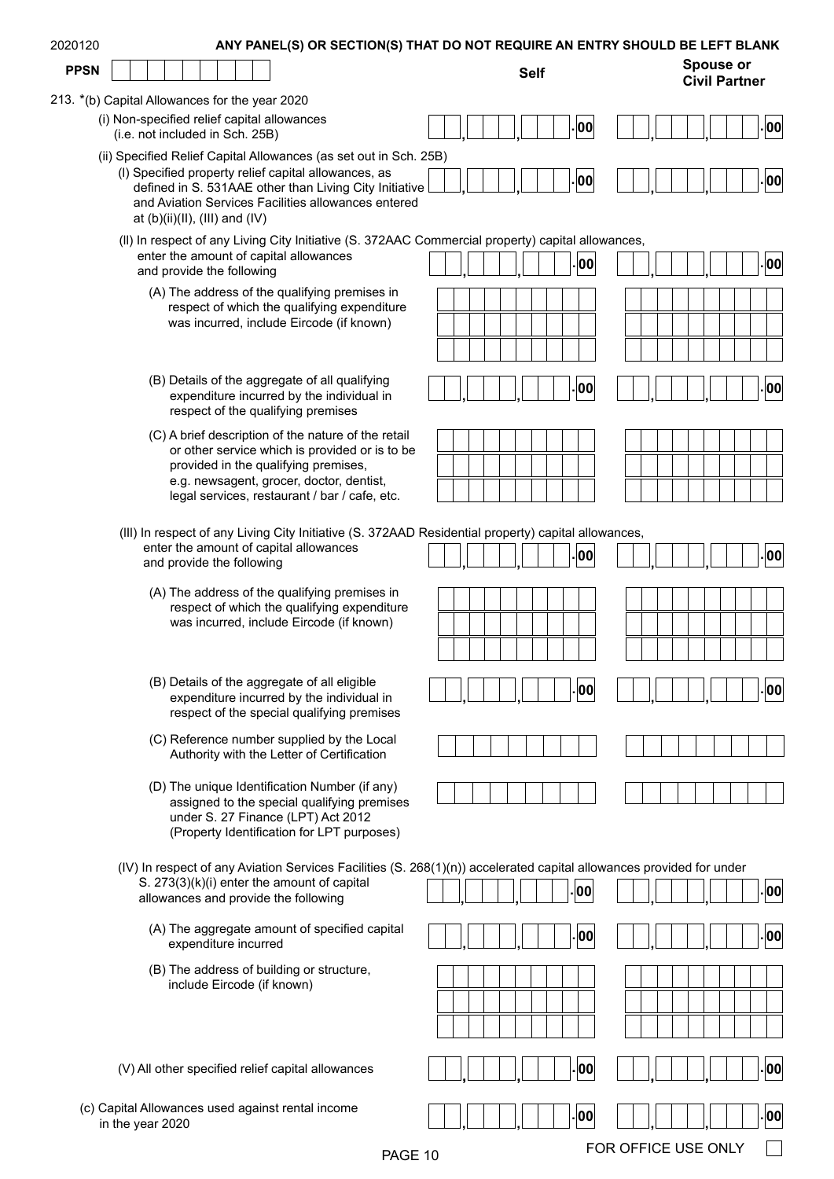| 2020120     | ANY PANEL(S) OR SECTION(S) THAT DO NOT REQUIRE AN ENTRY SHOULD BE LEFT BLANK                                                                           |             |  |  |  |  |  |     |  |  |                                          |      |
|-------------|--------------------------------------------------------------------------------------------------------------------------------------------------------|-------------|--|--|--|--|--|-----|--|--|------------------------------------------|------|
| <b>PPSN</b> |                                                                                                                                                        | <b>Self</b> |  |  |  |  |  |     |  |  | <b>Spouse or</b><br><b>Civil Partner</b> |      |
|             | 213. *(b) Capital Allowances for the year 2020                                                                                                         |             |  |  |  |  |  |     |  |  |                                          |      |
|             | (i) Non-specified relief capital allowances<br>(i.e. not included in Sch. 25B)                                                                         |             |  |  |  |  |  | 00  |  |  |                                          | - 00 |
|             | (ii) Specified Relief Capital Allowances (as set out in Sch. 25B)<br>(I) Specified property relief capital allowances, as                              |             |  |  |  |  |  | 00  |  |  |                                          | . 00 |
|             | defined in S. 531AAE other than Living City Initiative<br>and Aviation Services Facilities allowances entered<br>at $(b)(ii)(II)$ , $(III)$ and $(IV)$ |             |  |  |  |  |  |     |  |  |                                          |      |
|             | (II) In respect of any Living City Initiative (S. 372AAC Commercial property) capital allowances,<br>enter the amount of capital allowances            |             |  |  |  |  |  |     |  |  |                                          |      |
|             | and provide the following                                                                                                                              |             |  |  |  |  |  | 00  |  |  |                                          | .00  |
|             | (A) The address of the qualifying premises in<br>respect of which the qualifying expenditure                                                           |             |  |  |  |  |  |     |  |  |                                          |      |
|             | was incurred, include Eircode (if known)                                                                                                               |             |  |  |  |  |  |     |  |  |                                          |      |
|             |                                                                                                                                                        |             |  |  |  |  |  |     |  |  |                                          |      |
|             | (B) Details of the aggregate of all qualifying                                                                                                         |             |  |  |  |  |  |     |  |  |                                          |      |
|             | expenditure incurred by the individual in<br>respect of the qualifying premises                                                                        |             |  |  |  |  |  | 00  |  |  |                                          | 00   |
|             | (C) A brief description of the nature of the retail                                                                                                    |             |  |  |  |  |  |     |  |  |                                          |      |
|             | or other service which is provided or is to be<br>provided in the qualifying premises,                                                                 |             |  |  |  |  |  |     |  |  |                                          |      |
|             | e.g. newsagent, grocer, doctor, dentist,<br>legal services, restaurant / bar / cafe, etc.                                                              |             |  |  |  |  |  |     |  |  |                                          |      |
|             |                                                                                                                                                        |             |  |  |  |  |  |     |  |  |                                          |      |
|             | (III) In respect of any Living City Initiative (S. 372AAD Residential property) capital allowances,<br>enter the amount of capital allowances          |             |  |  |  |  |  |     |  |  |                                          |      |
|             | and provide the following                                                                                                                              |             |  |  |  |  |  | 00  |  |  |                                          | 00   |
|             | (A) The address of the qualifying premises in                                                                                                          |             |  |  |  |  |  |     |  |  |                                          |      |
|             | respect of which the qualifying expenditure<br>was incurred, include Eircode (if known)                                                                |             |  |  |  |  |  |     |  |  |                                          |      |
|             |                                                                                                                                                        |             |  |  |  |  |  |     |  |  |                                          |      |
|             |                                                                                                                                                        |             |  |  |  |  |  |     |  |  |                                          |      |
|             | (B) Details of the aggregate of all eligible<br>expenditure incurred by the individual in<br>respect of the special qualifying premises                |             |  |  |  |  |  | 00  |  |  |                                          | 00   |
|             | (C) Reference number supplied by the Local<br>Authority with the Letter of Certification                                                               |             |  |  |  |  |  |     |  |  |                                          |      |
|             | (D) The unique Identification Number (if any)                                                                                                          |             |  |  |  |  |  |     |  |  |                                          |      |
|             | assigned to the special qualifying premises<br>under S. 27 Finance (LPT) Act 2012<br>(Property Identification for LPT purposes)                        |             |  |  |  |  |  |     |  |  |                                          |      |
|             | (IV) In respect of any Aviation Services Facilities (S. 268(1)(n)) accelerated capital allowances provided for under                                   |             |  |  |  |  |  |     |  |  |                                          |      |
|             | S. 273(3)(k)(i) enter the amount of capital<br>allowances and provide the following                                                                    |             |  |  |  |  |  | .00 |  |  |                                          | 00   |
|             | (A) The aggregate amount of specified capital<br>expenditure incurred                                                                                  |             |  |  |  |  |  | 00  |  |  |                                          | 00   |
|             | (B) The address of building or structure,                                                                                                              |             |  |  |  |  |  |     |  |  |                                          |      |
|             | include Eircode (if known)                                                                                                                             |             |  |  |  |  |  |     |  |  |                                          |      |
|             |                                                                                                                                                        |             |  |  |  |  |  |     |  |  |                                          |      |
|             |                                                                                                                                                        |             |  |  |  |  |  |     |  |  |                                          |      |
|             | (V) All other specified relief capital allowances                                                                                                      |             |  |  |  |  |  | 00  |  |  |                                          | 00   |
|             | (c) Capital Allowances used against rental income<br>in the year 2020                                                                                  |             |  |  |  |  |  | 00  |  |  |                                          | 00   |

PAGE 10 FOR OFFICE USE ONLY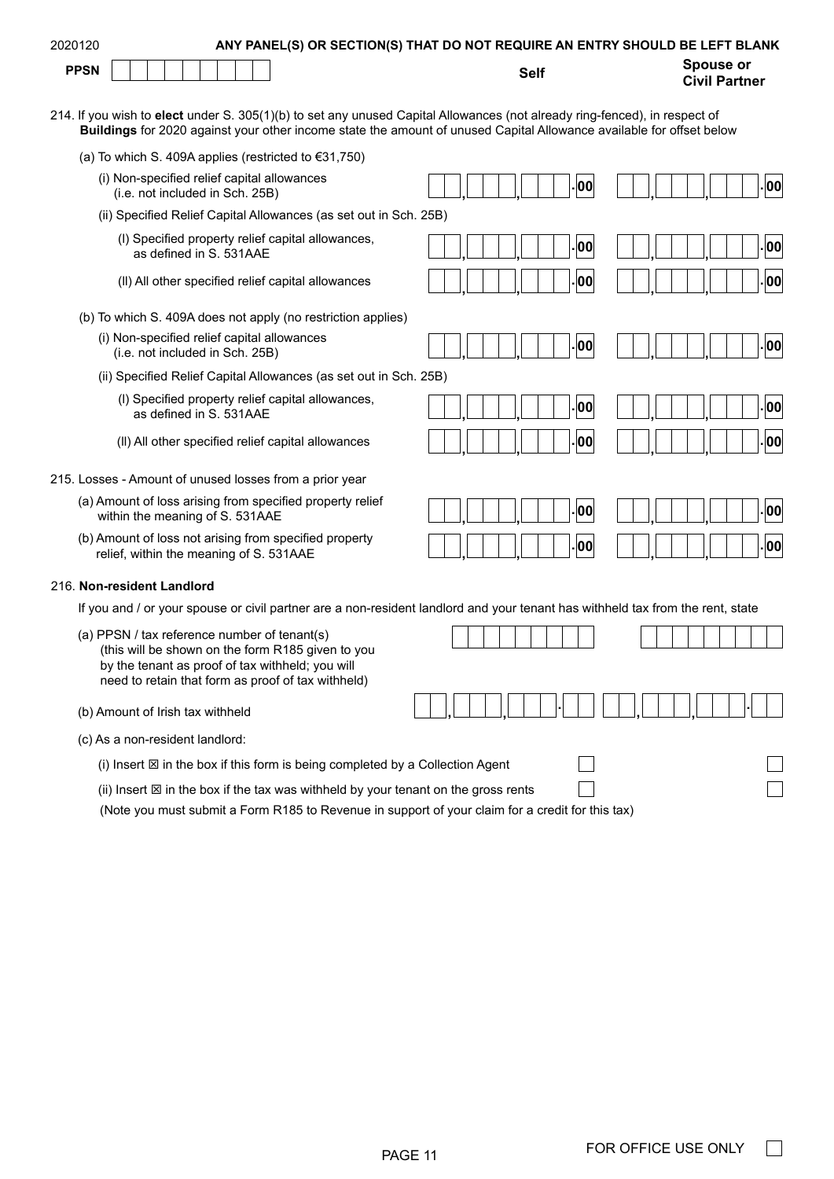| 2020120                                                                                                                                                                                                                                            | ANY PANEL(S) OR SECTION(S) THAT DO NOT REQUIRE AN ENTRY SHOULD BE LEFT BLANK |                                          |
|----------------------------------------------------------------------------------------------------------------------------------------------------------------------------------------------------------------------------------------------------|------------------------------------------------------------------------------|------------------------------------------|
| <b>PPSN</b>                                                                                                                                                                                                                                        | <b>Self</b>                                                                  | <b>Spouse or</b><br><b>Civil Partner</b> |
| 214. If you wish to elect under S. 305(1)(b) to set any unused Capital Allowances (not already ring-fenced), in respect of<br>Buildings for 2020 against your other income state the amount of unused Capital Allowance available for offset below |                                                                              |                                          |
| (a) To which S. 409A applies (restricted to €31,750)                                                                                                                                                                                               |                                                                              |                                          |
| (i) Non-specified relief capital allowances<br>(i.e. not included in Sch. 25B)                                                                                                                                                                     | 00                                                                           | . 00                                     |
| (ii) Specified Relief Capital Allowances (as set out in Sch. 25B)                                                                                                                                                                                  |                                                                              |                                          |
| (I) Specified property relief capital allowances,<br>as defined in S. 531AAE                                                                                                                                                                       | 00                                                                           | 00                                       |
| (II) All other specified relief capital allowances                                                                                                                                                                                                 | 00                                                                           | 00                                       |
| (b) To which S. 409A does not apply (no restriction applies)                                                                                                                                                                                       |                                                                              |                                          |
| (i) Non-specified relief capital allowances<br>(i.e. not included in Sch. 25B)                                                                                                                                                                     | 00                                                                           | . 00                                     |
| (ii) Specified Relief Capital Allowances (as set out in Sch. 25B)                                                                                                                                                                                  |                                                                              |                                          |
| (I) Specified property relief capital allowances,<br>as defined in S. 531AAE                                                                                                                                                                       | 00                                                                           | 00                                       |
| (II) All other specified relief capital allowances                                                                                                                                                                                                 | 00                                                                           | 00                                       |
| 215. Losses - Amount of unused losses from a prior year                                                                                                                                                                                            |                                                                              |                                          |
| (a) Amount of loss arising from specified property relief<br>within the meaning of S. 531AAE                                                                                                                                                       | 00                                                                           | 00                                       |
| (b) Amount of loss not arising from specified property<br>relief, within the meaning of S. 531AAE                                                                                                                                                  | 00                                                                           | 00                                       |
| 216. Non-resident Landlord                                                                                                                                                                                                                         |                                                                              |                                          |
| If you and / or your spouse or civil partner are a non-resident landlord and your tenant has withheld tax from the rent, state                                                                                                                     |                                                                              |                                          |
| (a) PPSN / tax reference number of tenant(s)<br>(this will be shown on the form R185 given to you<br>by the tenant as proof of tax withheld; you will<br>need to retain that form as proof of tax withheld)                                        |                                                                              |                                          |
| (b) Amount of Irish tax withheld                                                                                                                                                                                                                   |                                                                              |                                          |
| (c) As a non-resident landlord:                                                                                                                                                                                                                    |                                                                              |                                          |
| (i) Insert $\boxtimes$ in the box if this form is being completed by a Collection Agent                                                                                                                                                            |                                                                              |                                          |
| (ii) Insert $\boxtimes$ in the box if the tax was withheld by your tenant on the gross rents<br>(Note you must submit a Form R185 to Revenue in support of your claim for a credit for this tax)                                                   |                                                                              |                                          |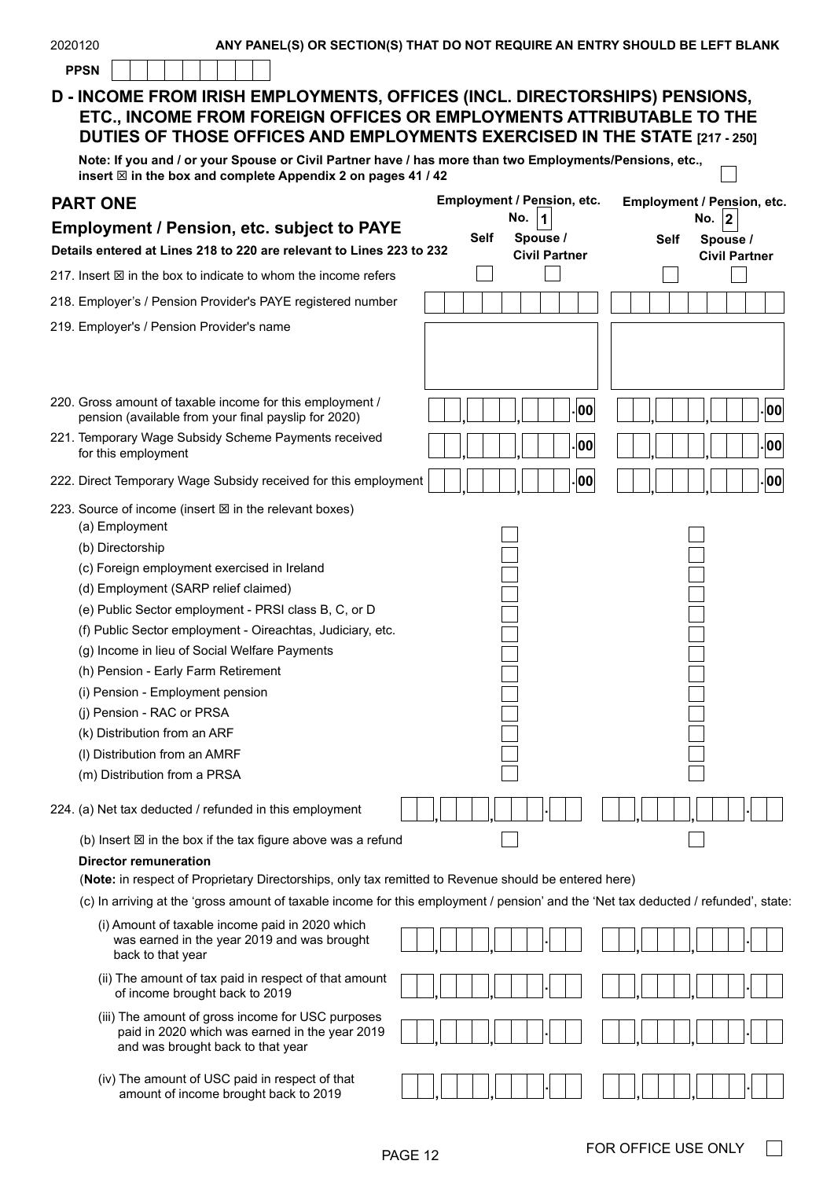| 2020120<br>ANY PANEL(S) OR SECTION(S) THAT DO NOT REQUIRE AN ENTRY SHOULD BE LEFT BLANK                                                                                                                                          |      |                                  |    |                            |                                  |    |
|----------------------------------------------------------------------------------------------------------------------------------------------------------------------------------------------------------------------------------|------|----------------------------------|----|----------------------------|----------------------------------|----|
| <b>PPSN</b>                                                                                                                                                                                                                      |      |                                  |    |                            |                                  |    |
| D - INCOME FROM IRISH EMPLOYMENTS, OFFICES (INCL. DIRECTORSHIPS) PENSIONS,<br>ETC., INCOME FROM FOREIGN OFFICES OR EMPLOYMENTS ATTRIBUTABLE TO THE<br>DUTIES OF THOSE OFFICES AND EMPLOYMENTS EXERCISED IN THE STATE [217 - 250] |      |                                  |    |                            |                                  |    |
| Note: If you and / or your Spouse or Civil Partner have / has more than two Employments/Pensions, etc.,<br>insert $\boxtimes$ in the box and complete Appendix 2 on pages 41 / 42                                                |      |                                  |    |                            |                                  |    |
| <b>PART ONE</b>                                                                                                                                                                                                                  |      | Employment / Pension, etc.       |    | Employment / Pension, etc. |                                  |    |
| <b>Employment / Pension, etc. subject to PAYE</b>                                                                                                                                                                                |      | No.<br>1                         |    |                            | No. $ 2$                         |    |
| Details entered at Lines 218 to 220 are relevant to Lines 223 to 232                                                                                                                                                             | Self | Spouse /<br><b>Civil Partner</b> |    | <b>Self</b>                | Spouse /<br><b>Civil Partner</b> |    |
| 217. Insert $\boxtimes$ in the box to indicate to whom the income refers                                                                                                                                                         |      |                                  |    |                            |                                  |    |
| 218. Employer's / Pension Provider's PAYE registered number                                                                                                                                                                      |      |                                  |    |                            |                                  |    |
| 219. Employer's / Pension Provider's name                                                                                                                                                                                        |      |                                  |    |                            |                                  |    |
| 220. Gross amount of taxable income for this employment /                                                                                                                                                                        |      |                                  |    |                            |                                  |    |
| pension (available from your final payslip for 2020)                                                                                                                                                                             |      |                                  | 00 |                            |                                  | 00 |
| 221. Temporary Wage Subsidy Scheme Payments received<br>for this employment                                                                                                                                                      |      |                                  | 00 |                            |                                  | 00 |
| 222. Direct Temporary Wage Subsidy received for this employment                                                                                                                                                                  |      |                                  | 00 |                            |                                  | 00 |
| 223. Source of income (insert $\boxtimes$ in the relevant boxes)<br>(a) Employment                                                                                                                                               |      |                                  |    |                            |                                  |    |
| (b) Directorship                                                                                                                                                                                                                 |      |                                  |    |                            |                                  |    |
| (c) Foreign employment exercised in Ireland                                                                                                                                                                                      |      |                                  |    |                            |                                  |    |
| (d) Employment (SARP relief claimed)                                                                                                                                                                                             |      |                                  |    |                            |                                  |    |
| (e) Public Sector employment - PRSI class B, C, or D                                                                                                                                                                             |      |                                  |    |                            |                                  |    |
| (f) Public Sector employment - Oireachtas, Judiciary, etc.                                                                                                                                                                       |      |                                  |    |                            |                                  |    |
| (g) Income in lieu of Social Welfare Payments                                                                                                                                                                                    |      |                                  |    |                            |                                  |    |
| (h) Pension - Early Farm Retirement                                                                                                                                                                                              |      |                                  |    |                            |                                  |    |
| (i) Pension - Employment pension                                                                                                                                                                                                 |      |                                  |    |                            |                                  |    |
| (j) Pension - RAC or PRSA                                                                                                                                                                                                        |      |                                  |    |                            |                                  |    |
| (k) Distribution from an ARF                                                                                                                                                                                                     |      |                                  |    |                            |                                  |    |
| (I) Distribution from an AMRF                                                                                                                                                                                                    |      |                                  |    |                            |                                  |    |
| (m) Distribution from a PRSA                                                                                                                                                                                                     |      |                                  |    |                            |                                  |    |
| 224. (a) Net tax deducted / refunded in this employment                                                                                                                                                                          |      |                                  |    |                            |                                  |    |
| (b) Insert $\boxtimes$ in the box if the tax figure above was a refund                                                                                                                                                           |      |                                  |    |                            |                                  |    |
| <b>Director remuneration</b><br>(Note: in respect of Proprietary Directorships, only tax remitted to Revenue should be entered here)                                                                                             |      |                                  |    |                            |                                  |    |
| (c) In arriving at the 'gross amount of taxable income for this employment / pension' and the 'Net tax deducted / refunded', state                                                                                               |      |                                  |    |                            |                                  |    |
| (i) Amount of taxable income paid in 2020 which<br>was earned in the year 2019 and was brought<br>back to that year                                                                                                              |      |                                  |    |                            |                                  |    |
| (ii) The amount of tax paid in respect of that amount<br>of income brought back to 2019                                                                                                                                          |      |                                  |    |                            |                                  |    |
| (iii) The amount of gross income for USC purposes<br>paid in 2020 which was earned in the year 2019<br>and was brought back to that year                                                                                         |      |                                  |    |                            |                                  |    |
| (iv) The amount of USC paid in respect of that<br>amount of income brought back to 2019                                                                                                                                          |      |                                  |    |                            |                                  |    |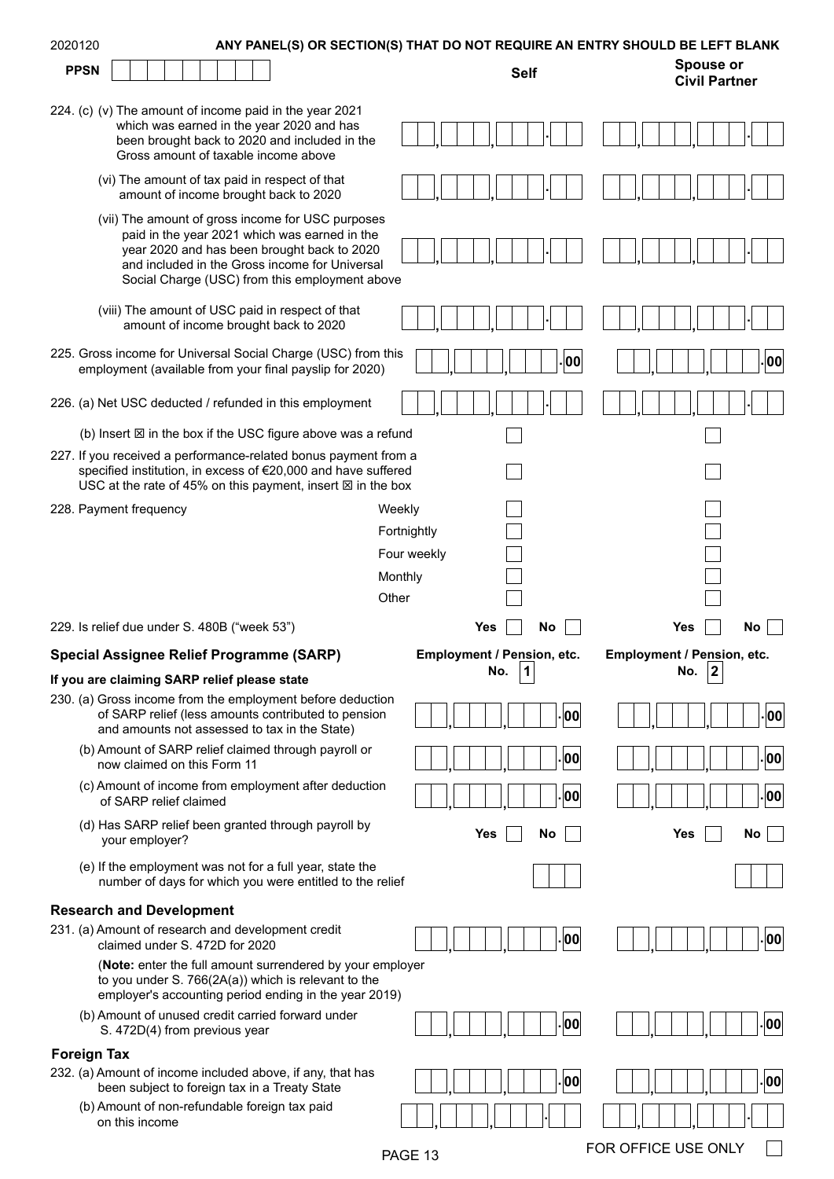| 2020120                                                                                                                                                                                                   |                            | ANY PANEL(S) OR SECTION(S) THAT DO NOT REQUIRE AN ENTRY SHOULD BE LEFT BLANK |
|-----------------------------------------------------------------------------------------------------------------------------------------------------------------------------------------------------------|----------------------------|------------------------------------------------------------------------------|
| <b>PPSN</b>                                                                                                                                                                                               | <b>Self</b>                | <b>Spouse or</b><br><b>Civil Partner</b>                                     |
| 224. (c) (v) The amount of income paid in the year 2021                                                                                                                                                   |                            |                                                                              |
| which was earned in the year 2020 and has<br>been brought back to 2020 and included in the                                                                                                                |                            |                                                                              |
| Gross amount of taxable income above                                                                                                                                                                      |                            |                                                                              |
| (vi) The amount of tax paid in respect of that<br>amount of income brought back to 2020                                                                                                                   |                            |                                                                              |
| (vii) The amount of gross income for USC purposes<br>paid in the year 2021 which was earned in the                                                                                                        |                            |                                                                              |
| year 2020 and has been brought back to 2020                                                                                                                                                               |                            |                                                                              |
| and included in the Gross income for Universal<br>Social Charge (USC) from this employment above                                                                                                          |                            |                                                                              |
| (viii) The amount of USC paid in respect of that<br>amount of income brought back to 2020                                                                                                                 |                            |                                                                              |
| 225. Gross income for Universal Social Charge (USC) from this<br>employment (available from your final payslip for 2020)                                                                                  | 00                         | 00                                                                           |
| 226. (a) Net USC deducted / refunded in this employment                                                                                                                                                   |                            |                                                                              |
| (b) Insert $\boxtimes$ in the box if the USC figure above was a refund                                                                                                                                    |                            |                                                                              |
| 227. If you received a performance-related bonus payment from a<br>specified institution, in excess of €20,000 and have suffered<br>USC at the rate of 45% on this payment, insert $\boxtimes$ in the box |                            |                                                                              |
| 228. Payment frequency                                                                                                                                                                                    | Weekly                     |                                                                              |
|                                                                                                                                                                                                           | Fortnightly                |                                                                              |
|                                                                                                                                                                                                           | Four weekly                |                                                                              |
|                                                                                                                                                                                                           | Monthly                    |                                                                              |
|                                                                                                                                                                                                           | Other                      |                                                                              |
|                                                                                                                                                                                                           |                            |                                                                              |
| 229. Is relief due under S. 480B ("week 53")                                                                                                                                                              | No<br>Yes                  | No<br>Yes                                                                    |
| Special Assignee Relief Programme (SARP)                                                                                                                                                                  | Employment / Pension, etc. | Employment / Pension, etc.                                                   |
| If you are claiming SARP relief please state                                                                                                                                                              | No.<br>∣1                  | No.<br> 2                                                                    |
| 230. (a) Gross income from the employment before deduction<br>of SARP relief (less amounts contributed to pension<br>and amounts not assessed to tax in the State)                                        | 00                         | 00                                                                           |
| (b) Amount of SARP relief claimed through payroll or<br>now claimed on this Form 11                                                                                                                       | 00                         | 00                                                                           |
| (c) Amount of income from employment after deduction<br>of SARP relief claimed                                                                                                                            | 00                         | 00                                                                           |
| (d) Has SARP relief been granted through payroll by<br>your employer?                                                                                                                                     | Yes<br>No                  | No<br>Yes                                                                    |
| (e) If the employment was not for a full year, state the<br>number of days for which you were entitled to the relief                                                                                      |                            |                                                                              |
| <b>Research and Development</b>                                                                                                                                                                           |                            |                                                                              |
| 231. (a) Amount of research and development credit<br>claimed under S. 472D for 2020                                                                                                                      | 00                         | 00                                                                           |
| (Note: enter the full amount surrendered by your employer<br>to you under S. 766(2A(a)) which is relevant to the<br>employer's accounting period ending in the year 2019)                                 |                            |                                                                              |
| (b) Amount of unused credit carried forward under<br>S. 472D(4) from previous year                                                                                                                        | 00                         | 00                                                                           |
| <b>Foreign Tax</b>                                                                                                                                                                                        |                            |                                                                              |
| 232. (a) Amount of income included above, if any, that has                                                                                                                                                | 00                         | 00                                                                           |
| been subject to foreign tax in a Treaty State<br>(b) Amount of non-refundable foreign tax paid                                                                                                            |                            |                                                                              |
| on this income                                                                                                                                                                                            |                            | FOR OFFICE USE ONLY                                                          |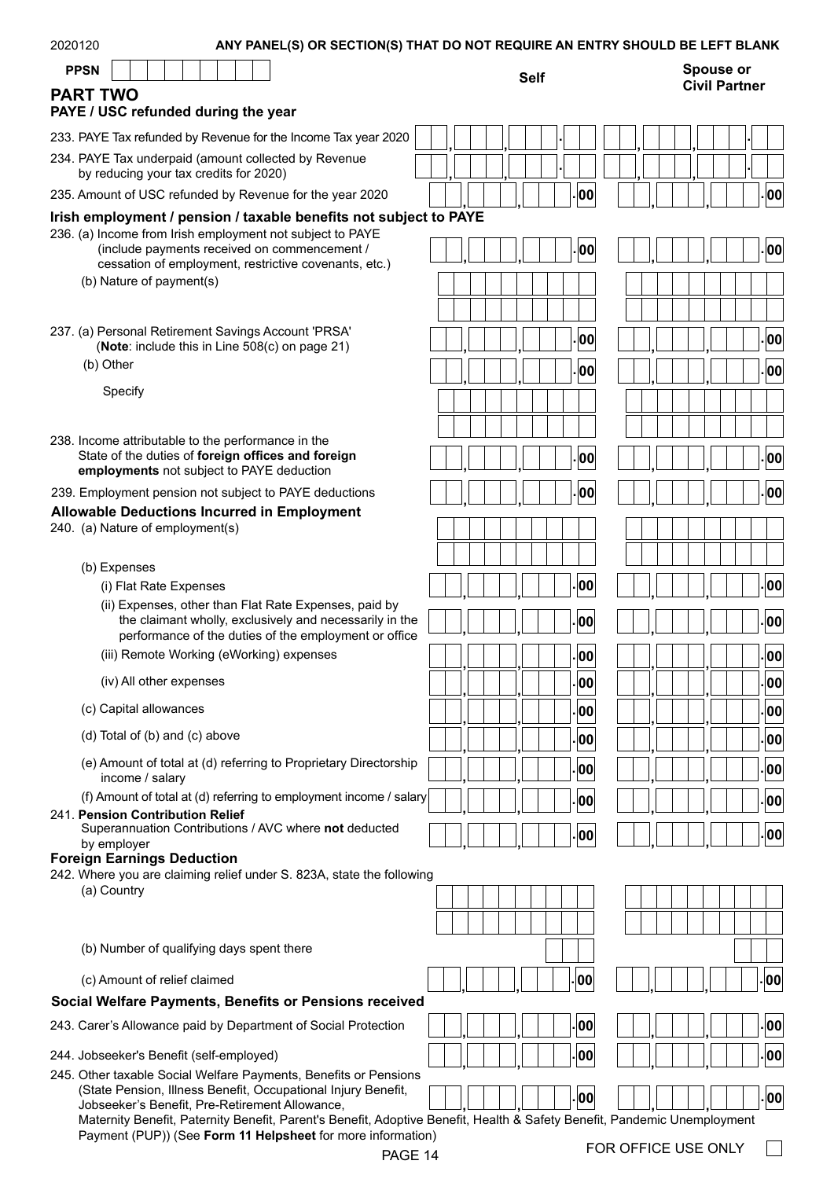| 2020120                                                                                                                  | ANY PANEL(S) OR SECTION(S) THAT DO NOT REQUIRE AN ENTRY SHOULD BE LEFT BLANK |                                          |
|--------------------------------------------------------------------------------------------------------------------------|------------------------------------------------------------------------------|------------------------------------------|
| <b>PPSN</b>                                                                                                              | <b>Self</b>                                                                  | <b>Spouse or</b><br><b>Civil Partner</b> |
| <b>PART TWO</b><br>PAYE / USC refunded during the year                                                                   |                                                                              |                                          |
| 233. PAYE Tax refunded by Revenue for the Income Tax year 2020                                                           |                                                                              |                                          |
| 234. PAYE Tax underpaid (amount collected by Revenue<br>by reducing your tax credits for 2020)                           |                                                                              |                                          |
| 235. Amount of USC refunded by Revenue for the year 2020                                                                 | 00                                                                           | 00                                       |
| Irish employment / pension / taxable benefits not subject to PAYE                                                        |                                                                              |                                          |
| 236. (a) Income from Irish employment not subject to PAYE<br>(include payments received on commencement /                |                                                                              |                                          |
| cessation of employment, restrictive covenants, etc.)                                                                    | 00                                                                           | 00                                       |
| (b) Nature of payment(s)                                                                                                 |                                                                              |                                          |
|                                                                                                                          |                                                                              |                                          |
| 237. (a) Personal Retirement Savings Account 'PRSA'                                                                      | 00                                                                           | 00                                       |
| (Note: include this in Line 508(c) on page 21)                                                                           |                                                                              |                                          |
| (b) Other                                                                                                                | 00                                                                           | 00                                       |
| Specify                                                                                                                  |                                                                              |                                          |
|                                                                                                                          |                                                                              |                                          |
| 238. Income attributable to the performance in the                                                                       |                                                                              |                                          |
| State of the duties of foreign offices and foreign<br>employments not subject to PAYE deduction                          | 00                                                                           | 00                                       |
| 239. Employment pension not subject to PAYE deductions                                                                   | 00                                                                           | 00                                       |
| <b>Allowable Deductions Incurred in Employment</b>                                                                       |                                                                              |                                          |
| 240. (a) Nature of employment(s)                                                                                         |                                                                              |                                          |
|                                                                                                                          |                                                                              |                                          |
| (b) Expenses<br>(i) Flat Rate Expenses                                                                                   | ¦00                                                                          | 00                                       |
| (ii) Expenses, other than Flat Rate Expenses, paid by                                                                    |                                                                              |                                          |
| the claimant wholly, exclusively and necessarily in the                                                                  | 00                                                                           | 00                                       |
| performance of the duties of the employment or office<br>(iii) Remote Working (eWorking) expenses                        | .loo                                                                         | 00                                       |
|                                                                                                                          |                                                                              |                                          |
| (iv) All other expenses                                                                                                  | . 00                                                                         | 00                                       |
| (c) Capital allowances                                                                                                   | . 00                                                                         | 00                                       |
| (d) Total of (b) and (c) above                                                                                           | 00                                                                           | 00                                       |
| (e) Amount of total at (d) referring to Proprietary Directorship<br>income / salary                                      | 00                                                                           | 00                                       |
| (f) Amount of total at (d) referring to employment income / salary                                                       | 00                                                                           | 00                                       |
| 241. Pension Contribution Relief<br>Superannuation Contributions / AVC where not deducted                                |                                                                              |                                          |
| by employer                                                                                                              | 00 .                                                                         | 00                                       |
| <b>Foreign Earnings Deduction</b><br>242. Where you are claiming relief under S. 823A, state the following               |                                                                              |                                          |
| (a) Country                                                                                                              |                                                                              |                                          |
|                                                                                                                          |                                                                              |                                          |
|                                                                                                                          |                                                                              |                                          |
| (b) Number of qualifying days spent there                                                                                |                                                                              |                                          |
| (c) Amount of relief claimed                                                                                             | 00                                                                           | 00                                       |
| Social Welfare Payments, Benefits or Pensions received                                                                   |                                                                              |                                          |
| 243. Carer's Allowance paid by Department of Social Protection                                                           | 00                                                                           | 00                                       |
| 244. Jobseeker's Benefit (self-employed)                                                                                 | 00                                                                           | 00                                       |
| 245. Other taxable Social Welfare Payments, Benefits or Pensions                                                         |                                                                              |                                          |
| (State Pension, Illness Benefit, Occupational Injury Benefit,<br>Jobseeker's Benefit, Pre-Retirement Allowance,          | 00                                                                           | 00                                       |
| Maternity Benefit, Paternity Benefit, Parent's Benefit, Adoptive Benefit, Health & Safety Benefit, Pandemic Unemployment |                                                                              |                                          |
| Payment (PUP)) (See Form 11 Helpsheet for more information)                                                              |                                                                              | FOR OFFICE USE ONLY                      |
| PAGE 14                                                                                                                  |                                                                              |                                          |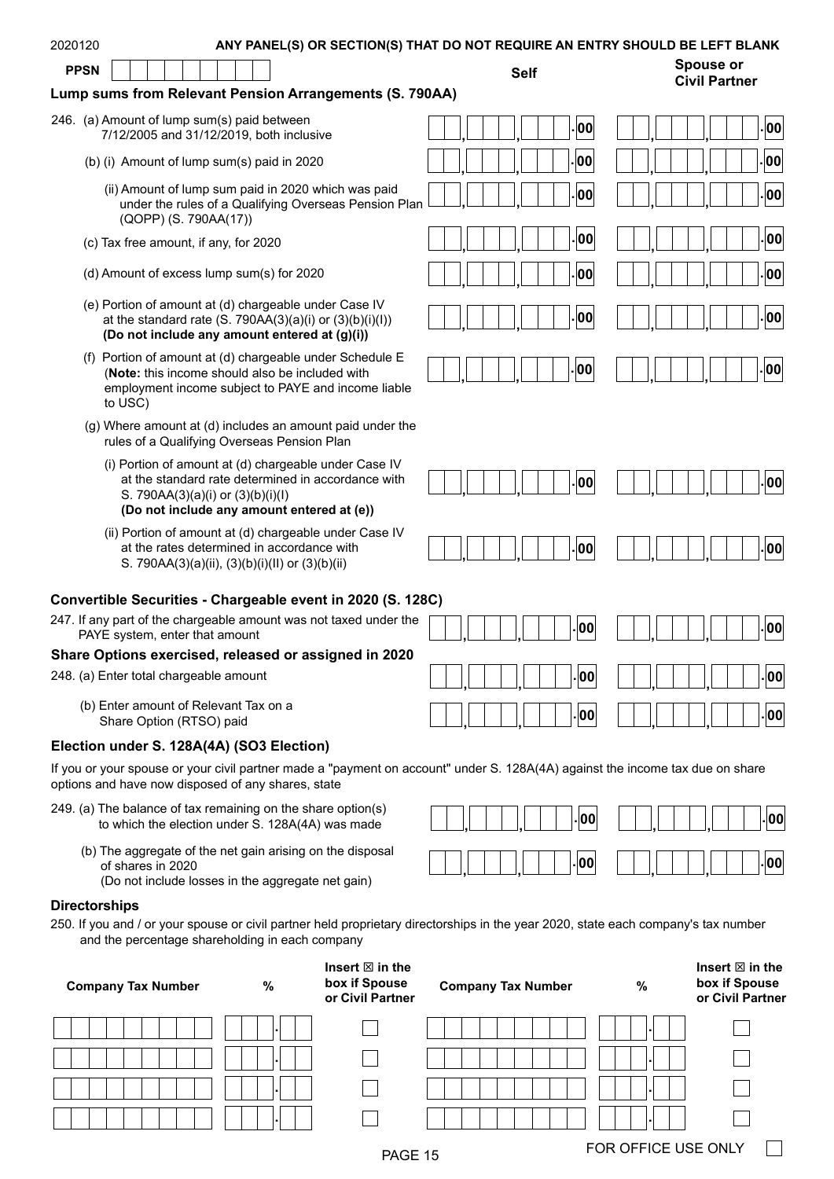| 2020120     | ANY PANEL(S) OR SECTION(S) THAT DO NOT REQUIRE AN ENTRY SHOULD BE LEFT BLANK                                                                                                                   |                           |      |                                                                |
|-------------|------------------------------------------------------------------------------------------------------------------------------------------------------------------------------------------------|---------------------------|------|----------------------------------------------------------------|
| <b>PPSN</b> |                                                                                                                                                                                                | <b>Self</b>               |      | <b>Spouse or</b><br><b>Civil Partner</b>                       |
|             | Lump sums from Relevant Pension Arrangements (S. 790AA)                                                                                                                                        |                           |      |                                                                |
|             | 246. (a) Amount of lump sum(s) paid between<br>7/12/2005 and 31/12/2019, both inclusive                                                                                                        | 00                        |      | 00                                                             |
|             | (b) (i) Amount of lump sum(s) paid in 2020                                                                                                                                                     | 00                        |      | 00                                                             |
|             | (ii) Amount of lump sum paid in 2020 which was paid<br>under the rules of a Qualifying Overseas Pension Plan<br>(QOPP) (S. 790AA(17))                                                          | 00                        |      | 00                                                             |
|             | (c) Tax free amount, if any, for 2020                                                                                                                                                          | 00                        |      | 00                                                             |
|             | (d) Amount of excess lump sum(s) for 2020                                                                                                                                                      | 00                        |      | 00                                                             |
|             | (e) Portion of amount at (d) chargeable under Case IV<br>at the standard rate $(S. 790AA(3)(a)(i)$ or $(3)(b)(i)(l))$<br>(Do not include any amount entered at (g)(i))                         | 00                        |      | 00                                                             |
|             | (f) Portion of amount at (d) chargeable under Schedule E<br>(Note: this income should also be included with<br>employment income subject to PAYE and income liable<br>to USC)                  | 00                        |      | 00                                                             |
|             | (g) Where amount at (d) includes an amount paid under the<br>rules of a Qualifying Overseas Pension Plan                                                                                       |                           |      |                                                                |
|             | (i) Portion of amount at (d) chargeable under Case IV<br>at the standard rate determined in accordance with<br>S. 790AA(3)(a)(i) or (3)(b)(i)(l)<br>(Do not include any amount entered at (e)) | 00                        |      | 00                                                             |
|             | (ii) Portion of amount at (d) chargeable under Case IV<br>at the rates determined in accordance with<br>S. 790AA(3)(a)(ii), (3)(b)(i)(ll) or (3)(b)(ii)                                        | 00                        |      | 00                                                             |
|             | Convertible Securities - Chargeable event in 2020 (S. 128C)                                                                                                                                    |                           |      |                                                                |
|             | 247. If any part of the chargeable amount was not taxed under the<br>PAYE system, enter that amount                                                                                            | 00                        |      | . 00                                                           |
|             | Share Options exercised, released or assigned in 2020                                                                                                                                          |                           |      |                                                                |
|             | 248. (a) Enter total chargeable amount                                                                                                                                                         | 00                        |      | 00                                                             |
|             | (b) Enter amount of Relevant Tax on a<br>Share Option (RTSO) paid                                                                                                                              | 00                        |      | 00                                                             |
|             | Election under S. 128A(4A) (SO3 Election)                                                                                                                                                      |                           |      |                                                                |
|             | If you or your spouse or your civil partner made a "payment on account" under S. 128A(4A) against the income tax due on share<br>options and have now disposed of any shares, state            |                           |      |                                                                |
|             | 249. (a) The balance of tax remaining on the share option(s)<br>to which the election under S. 128A(4A) was made                                                                               | 00                        |      | 00                                                             |
|             | (b) The aggregate of the net gain arising on the disposal<br>of shares in 2020<br>(Do not include losses in the aggregate net gain)                                                            | 00                        |      | 00                                                             |
|             | <b>Directorships</b>                                                                                                                                                                           |                           |      |                                                                |
|             | 250. If you and / or your spouse or civil partner held proprietary directorships in the year 2020, state each company's tax number<br>and the percentage shareholding in each company          |                           |      |                                                                |
|             | Insert $\boxtimes$ in the<br>box if Spouse<br>$\%$<br><b>Company Tax Number</b><br>or Civil Partner                                                                                            | <b>Company Tax Number</b> | $\%$ | Insert $\boxtimes$ in the<br>box if Spouse<br>or Civil Partner |
|             |                                                                                                                                                                                                |                           |      |                                                                |
|             |                                                                                                                                                                                                |                           |      |                                                                |
|             |                                                                                                                                                                                                |                           |      |                                                                |

| PAGE | 15 |
|------|----|
|      |    |

**.**

 $\overline{\phantom{a}}$ 

 $\overline{P}$  FOR OFFICE USE ONLY  $\overline{P}$ 

 $\mathbb{R}$ 

 $\Box$ 

**.**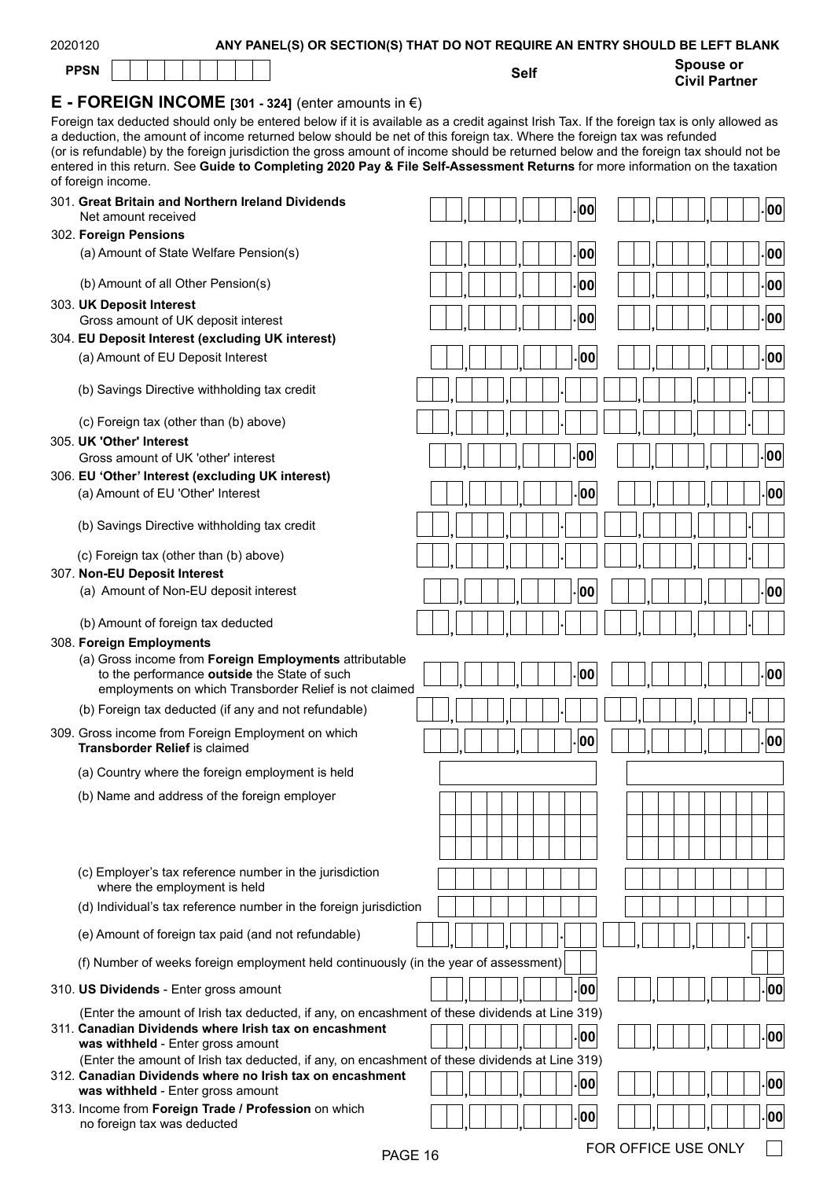| Spouse or<br><b>PPSN</b><br><b>Self</b><br><b>Civil Partner</b><br><b>E</b> - FOREIGN INCOME [301 - 324] (enter amounts in $\epsilon$ )<br>Foreign tax deducted should only be entered below if it is available as a credit against Irish Tax. If the foreign tax is only allowed as<br>a deduction, the amount of income returned below should be net of this foreign tax. Where the foreign tax was refunded<br>(or is refundable) by the foreign jurisdiction the gross amount of income should be returned below and the foreign tax should not be<br>entered in this return. See Guide to Completing 2020 Pay & File Self-Assessment Returns for more information on the taxation<br>of foreign income.<br>301. Great Britain and Northern Ireland Dividends<br>00<br> 00 <br>Net amount received<br>302. Foreign Pensions<br>00<br> 00 <br>(a) Amount of State Welfare Pension(s)<br>00<br>(b) Amount of all Other Pension(s)<br>00<br>303. UK Deposit Interest<br>00<br>00<br>Gross amount of UK deposit interest<br>304. EU Deposit Interest (excluding UK interest)<br>00<br>00<br>(a) Amount of EU Deposit Interest<br>(b) Savings Directive withholding tax credit<br>(c) Foreign tax (other than (b) above)<br>305. UK 'Other' Interest<br>00<br> 00 <br>Gross amount of UK 'other' interest<br>306. EU 'Other' Interest (excluding UK interest)<br>00<br>00<br>(a) Amount of EU 'Other' Interest<br>(b) Savings Directive withholding tax credit<br>(c) Foreign tax (other than (b) above)<br>307. Non-EU Deposit Interest<br> 00 <br>00<br>(a) Amount of Non-EU deposit interest<br>(b) Amount of foreign tax deducted<br>308. Foreign Employments<br>(a) Gross income from Foreign Employments attributable<br>. 00<br>. 00 <br>to the performance outside the State of such<br>employments on which Transborder Relief is not claimed<br>(b) Foreign tax deducted (if any and not refundable)<br>309. Gross income from Foreign Employment on which<br>$\vert$ 00 $\vert$<br>00<br><b>Transborder Relief is claimed</b><br>(a) Country where the foreign employment is held<br>(b) Name and address of the foreign employer<br>(c) Employer's tax reference number in the jurisdiction<br>where the employment is held<br>(d) Individual's tax reference number in the foreign jurisdiction<br>(e) Amount of foreign tax paid (and not refundable)<br>(f) Number of weeks foreign employment held continuously (in the year of assessment) | 2020120 | ANY PANEL(S) OR SECTION(S) THAT DO NOT REQUIRE AN ENTRY SHOULD BE LEFT BLANK |  |
|------------------------------------------------------------------------------------------------------------------------------------------------------------------------------------------------------------------------------------------------------------------------------------------------------------------------------------------------------------------------------------------------------------------------------------------------------------------------------------------------------------------------------------------------------------------------------------------------------------------------------------------------------------------------------------------------------------------------------------------------------------------------------------------------------------------------------------------------------------------------------------------------------------------------------------------------------------------------------------------------------------------------------------------------------------------------------------------------------------------------------------------------------------------------------------------------------------------------------------------------------------------------------------------------------------------------------------------------------------------------------------------------------------------------------------------------------------------------------------------------------------------------------------------------------------------------------------------------------------------------------------------------------------------------------------------------------------------------------------------------------------------------------------------------------------------------------------------------------------------------------------------------------------------------------------------------------------------------------------------------------------------------------------------------------------------------------------------------------------------------------------------------------------------------------------------------------------------------------------------------------------------------------------------------------------------------------------------------------------------------------------------------------------------------------------------------------------|---------|------------------------------------------------------------------------------|--|
|                                                                                                                                                                                                                                                                                                                                                                                                                                                                                                                                                                                                                                                                                                                                                                                                                                                                                                                                                                                                                                                                                                                                                                                                                                                                                                                                                                                                                                                                                                                                                                                                                                                                                                                                                                                                                                                                                                                                                                                                                                                                                                                                                                                                                                                                                                                                                                                                                                                            |         |                                                                              |  |
|                                                                                                                                                                                                                                                                                                                                                                                                                                                                                                                                                                                                                                                                                                                                                                                                                                                                                                                                                                                                                                                                                                                                                                                                                                                                                                                                                                                                                                                                                                                                                                                                                                                                                                                                                                                                                                                                                                                                                                                                                                                                                                                                                                                                                                                                                                                                                                                                                                                            |         |                                                                              |  |
|                                                                                                                                                                                                                                                                                                                                                                                                                                                                                                                                                                                                                                                                                                                                                                                                                                                                                                                                                                                                                                                                                                                                                                                                                                                                                                                                                                                                                                                                                                                                                                                                                                                                                                                                                                                                                                                                                                                                                                                                                                                                                                                                                                                                                                                                                                                                                                                                                                                            |         |                                                                              |  |
|                                                                                                                                                                                                                                                                                                                                                                                                                                                                                                                                                                                                                                                                                                                                                                                                                                                                                                                                                                                                                                                                                                                                                                                                                                                                                                                                                                                                                                                                                                                                                                                                                                                                                                                                                                                                                                                                                                                                                                                                                                                                                                                                                                                                                                                                                                                                                                                                                                                            |         |                                                                              |  |
|                                                                                                                                                                                                                                                                                                                                                                                                                                                                                                                                                                                                                                                                                                                                                                                                                                                                                                                                                                                                                                                                                                                                                                                                                                                                                                                                                                                                                                                                                                                                                                                                                                                                                                                                                                                                                                                                                                                                                                                                                                                                                                                                                                                                                                                                                                                                                                                                                                                            |         |                                                                              |  |
|                                                                                                                                                                                                                                                                                                                                                                                                                                                                                                                                                                                                                                                                                                                                                                                                                                                                                                                                                                                                                                                                                                                                                                                                                                                                                                                                                                                                                                                                                                                                                                                                                                                                                                                                                                                                                                                                                                                                                                                                                                                                                                                                                                                                                                                                                                                                                                                                                                                            |         |                                                                              |  |
|                                                                                                                                                                                                                                                                                                                                                                                                                                                                                                                                                                                                                                                                                                                                                                                                                                                                                                                                                                                                                                                                                                                                                                                                                                                                                                                                                                                                                                                                                                                                                                                                                                                                                                                                                                                                                                                                                                                                                                                                                                                                                                                                                                                                                                                                                                                                                                                                                                                            |         |                                                                              |  |
|                                                                                                                                                                                                                                                                                                                                                                                                                                                                                                                                                                                                                                                                                                                                                                                                                                                                                                                                                                                                                                                                                                                                                                                                                                                                                                                                                                                                                                                                                                                                                                                                                                                                                                                                                                                                                                                                                                                                                                                                                                                                                                                                                                                                                                                                                                                                                                                                                                                            |         |                                                                              |  |
|                                                                                                                                                                                                                                                                                                                                                                                                                                                                                                                                                                                                                                                                                                                                                                                                                                                                                                                                                                                                                                                                                                                                                                                                                                                                                                                                                                                                                                                                                                                                                                                                                                                                                                                                                                                                                                                                                                                                                                                                                                                                                                                                                                                                                                                                                                                                                                                                                                                            |         |                                                                              |  |
|                                                                                                                                                                                                                                                                                                                                                                                                                                                                                                                                                                                                                                                                                                                                                                                                                                                                                                                                                                                                                                                                                                                                                                                                                                                                                                                                                                                                                                                                                                                                                                                                                                                                                                                                                                                                                                                                                                                                                                                                                                                                                                                                                                                                                                                                                                                                                                                                                                                            |         |                                                                              |  |
|                                                                                                                                                                                                                                                                                                                                                                                                                                                                                                                                                                                                                                                                                                                                                                                                                                                                                                                                                                                                                                                                                                                                                                                                                                                                                                                                                                                                                                                                                                                                                                                                                                                                                                                                                                                                                                                                                                                                                                                                                                                                                                                                                                                                                                                                                                                                                                                                                                                            |         |                                                                              |  |
|                                                                                                                                                                                                                                                                                                                                                                                                                                                                                                                                                                                                                                                                                                                                                                                                                                                                                                                                                                                                                                                                                                                                                                                                                                                                                                                                                                                                                                                                                                                                                                                                                                                                                                                                                                                                                                                                                                                                                                                                                                                                                                                                                                                                                                                                                                                                                                                                                                                            |         |                                                                              |  |
|                                                                                                                                                                                                                                                                                                                                                                                                                                                                                                                                                                                                                                                                                                                                                                                                                                                                                                                                                                                                                                                                                                                                                                                                                                                                                                                                                                                                                                                                                                                                                                                                                                                                                                                                                                                                                                                                                                                                                                                                                                                                                                                                                                                                                                                                                                                                                                                                                                                            |         |                                                                              |  |
|                                                                                                                                                                                                                                                                                                                                                                                                                                                                                                                                                                                                                                                                                                                                                                                                                                                                                                                                                                                                                                                                                                                                                                                                                                                                                                                                                                                                                                                                                                                                                                                                                                                                                                                                                                                                                                                                                                                                                                                                                                                                                                                                                                                                                                                                                                                                                                                                                                                            |         |                                                                              |  |
|                                                                                                                                                                                                                                                                                                                                                                                                                                                                                                                                                                                                                                                                                                                                                                                                                                                                                                                                                                                                                                                                                                                                                                                                                                                                                                                                                                                                                                                                                                                                                                                                                                                                                                                                                                                                                                                                                                                                                                                                                                                                                                                                                                                                                                                                                                                                                                                                                                                            |         |                                                                              |  |
|                                                                                                                                                                                                                                                                                                                                                                                                                                                                                                                                                                                                                                                                                                                                                                                                                                                                                                                                                                                                                                                                                                                                                                                                                                                                                                                                                                                                                                                                                                                                                                                                                                                                                                                                                                                                                                                                                                                                                                                                                                                                                                                                                                                                                                                                                                                                                                                                                                                            |         |                                                                              |  |
|                                                                                                                                                                                                                                                                                                                                                                                                                                                                                                                                                                                                                                                                                                                                                                                                                                                                                                                                                                                                                                                                                                                                                                                                                                                                                                                                                                                                                                                                                                                                                                                                                                                                                                                                                                                                                                                                                                                                                                                                                                                                                                                                                                                                                                                                                                                                                                                                                                                            |         |                                                                              |  |
|                                                                                                                                                                                                                                                                                                                                                                                                                                                                                                                                                                                                                                                                                                                                                                                                                                                                                                                                                                                                                                                                                                                                                                                                                                                                                                                                                                                                                                                                                                                                                                                                                                                                                                                                                                                                                                                                                                                                                                                                                                                                                                                                                                                                                                                                                                                                                                                                                                                            |         |                                                                              |  |
|                                                                                                                                                                                                                                                                                                                                                                                                                                                                                                                                                                                                                                                                                                                                                                                                                                                                                                                                                                                                                                                                                                                                                                                                                                                                                                                                                                                                                                                                                                                                                                                                                                                                                                                                                                                                                                                                                                                                                                                                                                                                                                                                                                                                                                                                                                                                                                                                                                                            |         |                                                                              |  |
|                                                                                                                                                                                                                                                                                                                                                                                                                                                                                                                                                                                                                                                                                                                                                                                                                                                                                                                                                                                                                                                                                                                                                                                                                                                                                                                                                                                                                                                                                                                                                                                                                                                                                                                                                                                                                                                                                                                                                                                                                                                                                                                                                                                                                                                                                                                                                                                                                                                            |         |                                                                              |  |
|                                                                                                                                                                                                                                                                                                                                                                                                                                                                                                                                                                                                                                                                                                                                                                                                                                                                                                                                                                                                                                                                                                                                                                                                                                                                                                                                                                                                                                                                                                                                                                                                                                                                                                                                                                                                                                                                                                                                                                                                                                                                                                                                                                                                                                                                                                                                                                                                                                                            |         |                                                                              |  |
|                                                                                                                                                                                                                                                                                                                                                                                                                                                                                                                                                                                                                                                                                                                                                                                                                                                                                                                                                                                                                                                                                                                                                                                                                                                                                                                                                                                                                                                                                                                                                                                                                                                                                                                                                                                                                                                                                                                                                                                                                                                                                                                                                                                                                                                                                                                                                                                                                                                            |         |                                                                              |  |
|                                                                                                                                                                                                                                                                                                                                                                                                                                                                                                                                                                                                                                                                                                                                                                                                                                                                                                                                                                                                                                                                                                                                                                                                                                                                                                                                                                                                                                                                                                                                                                                                                                                                                                                                                                                                                                                                                                                                                                                                                                                                                                                                                                                                                                                                                                                                                                                                                                                            |         |                                                                              |  |
|                                                                                                                                                                                                                                                                                                                                                                                                                                                                                                                                                                                                                                                                                                                                                                                                                                                                                                                                                                                                                                                                                                                                                                                                                                                                                                                                                                                                                                                                                                                                                                                                                                                                                                                                                                                                                                                                                                                                                                                                                                                                                                                                                                                                                                                                                                                                                                                                                                                            |         |                                                                              |  |
|                                                                                                                                                                                                                                                                                                                                                                                                                                                                                                                                                                                                                                                                                                                                                                                                                                                                                                                                                                                                                                                                                                                                                                                                                                                                                                                                                                                                                                                                                                                                                                                                                                                                                                                                                                                                                                                                                                                                                                                                                                                                                                                                                                                                                                                                                                                                                                                                                                                            |         |                                                                              |  |
|                                                                                                                                                                                                                                                                                                                                                                                                                                                                                                                                                                                                                                                                                                                                                                                                                                                                                                                                                                                                                                                                                                                                                                                                                                                                                                                                                                                                                                                                                                                                                                                                                                                                                                                                                                                                                                                                                                                                                                                                                                                                                                                                                                                                                                                                                                                                                                                                                                                            |         |                                                                              |  |
|                                                                                                                                                                                                                                                                                                                                                                                                                                                                                                                                                                                                                                                                                                                                                                                                                                                                                                                                                                                                                                                                                                                                                                                                                                                                                                                                                                                                                                                                                                                                                                                                                                                                                                                                                                                                                                                                                                                                                                                                                                                                                                                                                                                                                                                                                                                                                                                                                                                            |         |                                                                              |  |
|                                                                                                                                                                                                                                                                                                                                                                                                                                                                                                                                                                                                                                                                                                                                                                                                                                                                                                                                                                                                                                                                                                                                                                                                                                                                                                                                                                                                                                                                                                                                                                                                                                                                                                                                                                                                                                                                                                                                                                                                                                                                                                                                                                                                                                                                                                                                                                                                                                                            |         |                                                                              |  |
|                                                                                                                                                                                                                                                                                                                                                                                                                                                                                                                                                                                                                                                                                                                                                                                                                                                                                                                                                                                                                                                                                                                                                                                                                                                                                                                                                                                                                                                                                                                                                                                                                                                                                                                                                                                                                                                                                                                                                                                                                                                                                                                                                                                                                                                                                                                                                                                                                                                            |         |                                                                              |  |
|                                                                                                                                                                                                                                                                                                                                                                                                                                                                                                                                                                                                                                                                                                                                                                                                                                                                                                                                                                                                                                                                                                                                                                                                                                                                                                                                                                                                                                                                                                                                                                                                                                                                                                                                                                                                                                                                                                                                                                                                                                                                                                                                                                                                                                                                                                                                                                                                                                                            |         |                                                                              |  |
|                                                                                                                                                                                                                                                                                                                                                                                                                                                                                                                                                                                                                                                                                                                                                                                                                                                                                                                                                                                                                                                                                                                                                                                                                                                                                                                                                                                                                                                                                                                                                                                                                                                                                                                                                                                                                                                                                                                                                                                                                                                                                                                                                                                                                                                                                                                                                                                                                                                            |         |                                                                              |  |
|                                                                                                                                                                                                                                                                                                                                                                                                                                                                                                                                                                                                                                                                                                                                                                                                                                                                                                                                                                                                                                                                                                                                                                                                                                                                                                                                                                                                                                                                                                                                                                                                                                                                                                                                                                                                                                                                                                                                                                                                                                                                                                                                                                                                                                                                                                                                                                                                                                                            |         |                                                                              |  |
|                                                                                                                                                                                                                                                                                                                                                                                                                                                                                                                                                                                                                                                                                                                                                                                                                                                                                                                                                                                                                                                                                                                                                                                                                                                                                                                                                                                                                                                                                                                                                                                                                                                                                                                                                                                                                                                                                                                                                                                                                                                                                                                                                                                                                                                                                                                                                                                                                                                            |         |                                                                              |  |
|                                                                                                                                                                                                                                                                                                                                                                                                                                                                                                                                                                                                                                                                                                                                                                                                                                                                                                                                                                                                                                                                                                                                                                                                                                                                                                                                                                                                                                                                                                                                                                                                                                                                                                                                                                                                                                                                                                                                                                                                                                                                                                                                                                                                                                                                                                                                                                                                                                                            |         |                                                                              |  |
| 00<br>00<br>310. US Dividends - Enter gross amount                                                                                                                                                                                                                                                                                                                                                                                                                                                                                                                                                                                                                                                                                                                                                                                                                                                                                                                                                                                                                                                                                                                                                                                                                                                                                                                                                                                                                                                                                                                                                                                                                                                                                                                                                                                                                                                                                                                                                                                                                                                                                                                                                                                                                                                                                                                                                                                                         |         |                                                                              |  |
| (Enter the amount of Irish tax deducted, if any, on encashment of these dividends at Line 319)                                                                                                                                                                                                                                                                                                                                                                                                                                                                                                                                                                                                                                                                                                                                                                                                                                                                                                                                                                                                                                                                                                                                                                                                                                                                                                                                                                                                                                                                                                                                                                                                                                                                                                                                                                                                                                                                                                                                                                                                                                                                                                                                                                                                                                                                                                                                                             |         |                                                                              |  |
| 311. Canadian Dividends where Irish tax on encashment<br> 00 <br>00                                                                                                                                                                                                                                                                                                                                                                                                                                                                                                                                                                                                                                                                                                                                                                                                                                                                                                                                                                                                                                                                                                                                                                                                                                                                                                                                                                                                                                                                                                                                                                                                                                                                                                                                                                                                                                                                                                                                                                                                                                                                                                                                                                                                                                                                                                                                                                                        |         |                                                                              |  |
| was withheld - Enter gross amount<br>(Enter the amount of Irish tax deducted, if any, on encashment of these dividends at Line 319)                                                                                                                                                                                                                                                                                                                                                                                                                                                                                                                                                                                                                                                                                                                                                                                                                                                                                                                                                                                                                                                                                                                                                                                                                                                                                                                                                                                                                                                                                                                                                                                                                                                                                                                                                                                                                                                                                                                                                                                                                                                                                                                                                                                                                                                                                                                        |         |                                                                              |  |
| 312. Canadian Dividends where no Irish tax on encashment<br> 00 <br>00<br>was withheld - Enter gross amount                                                                                                                                                                                                                                                                                                                                                                                                                                                                                                                                                                                                                                                                                                                                                                                                                                                                                                                                                                                                                                                                                                                                                                                                                                                                                                                                                                                                                                                                                                                                                                                                                                                                                                                                                                                                                                                                                                                                                                                                                                                                                                                                                                                                                                                                                                                                                |         |                                                                              |  |

| 313. Income from Foreign Trade / Profession on which | $\vert$ . $\vert$ oo $\vert$<br>    00 |  |
|------------------------------------------------------|----------------------------------------|--|
| no foreign tax was deducted                          |                                        |  |

 $\Box$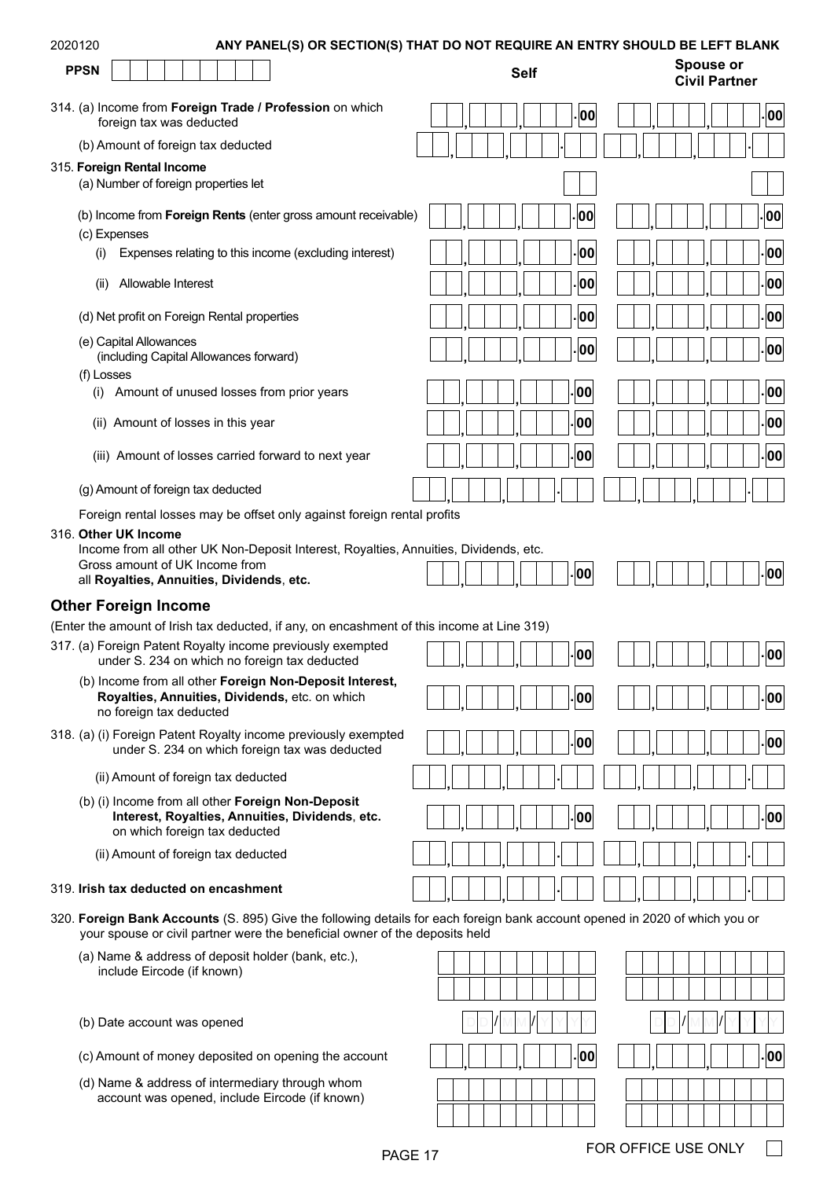| 2020120                                                                                             | ANY PANEL(S) OR SECTION(S) THAT DO NOT REQUIRE AN ENTRY SHOULD BE LEFT BLANK                                                                                                                               |             |                                          |
|-----------------------------------------------------------------------------------------------------|------------------------------------------------------------------------------------------------------------------------------------------------------------------------------------------------------------|-------------|------------------------------------------|
| <b>PPSN</b>                                                                                         |                                                                                                                                                                                                            | <b>Self</b> | <b>Spouse or</b><br><b>Civil Partner</b> |
| foreign tax was deducted                                                                            | 314. (a) Income from Foreign Trade / Profession on which                                                                                                                                                   | 00          | 00                                       |
| (b) Amount of foreign tax deducted                                                                  |                                                                                                                                                                                                            |             |                                          |
| 315. Foreign Rental Income<br>(a) Number of foreign properties let                                  |                                                                                                                                                                                                            |             |                                          |
| (c) Expenses                                                                                        | (b) Income from Foreign Rents (enter gross amount receivable)                                                                                                                                              | 00          | 00                                       |
| (i)                                                                                                 | Expenses relating to this income (excluding interest)                                                                                                                                                      | 00          | 00                                       |
| Allowable Interest<br>(ii)                                                                          |                                                                                                                                                                                                            | 00          | 00                                       |
| (d) Net profit on Foreign Rental properties                                                         |                                                                                                                                                                                                            | 00          | 00                                       |
| (e) Capital Allowances<br>(including Capital Allowances forward)<br>(f) Losses                      |                                                                                                                                                                                                            | 00          | 00                                       |
| (i)                                                                                                 | Amount of unused losses from prior years                                                                                                                                                                   | 00          | 00                                       |
| (ii) Amount of losses in this year                                                                  |                                                                                                                                                                                                            | 00          | 00                                       |
|                                                                                                     | (iii) Amount of losses carried forward to next year                                                                                                                                                        | 00          | 00                                       |
| (g) Amount of foreign tax deducted                                                                  |                                                                                                                                                                                                            |             |                                          |
| 316. Other UK Income<br>Gross amount of UK Income from<br>all Royalties, Annuities, Dividends, etc. | Foreign rental losses may be offset only against foreign rental profits<br>Income from all other UK Non-Deposit Interest, Royalties, Annuities, Dividends, etc.                                            | 00          | 00                                       |
|                                                                                                     |                                                                                                                                                                                                            |             |                                          |
| <b>Other Foreign Income</b>                                                                         | (Enter the amount of Irish tax deducted, if any, on encashment of this income at Line 319)                                                                                                                 |             |                                          |
|                                                                                                     | 317. (a) Foreign Patent Royalty income previously exempted<br>under S. 234 on which no foreign tax deducted                                                                                                | - 00        | 00                                       |
| no foreign tax deducted                                                                             | (b) Income from all other Foreign Non-Deposit Interest,<br>Royalties, Annuities, Dividends, etc. on which                                                                                                  | 00          | 00                                       |
|                                                                                                     | 318. (a) (i) Foreign Patent Royalty income previously exempted<br>under S. 234 on which foreign tax was deducted                                                                                           | 00          | 00                                       |
| (ii) Amount of foreign tax deducted                                                                 |                                                                                                                                                                                                            |             |                                          |
| on which foreign tax deducted                                                                       | (b) (i) Income from all other Foreign Non-Deposit<br>Interest, Royalties, Annuities, Dividends, etc.                                                                                                       | 00          | 00                                       |
| (ii) Amount of foreign tax deducted                                                                 |                                                                                                                                                                                                            |             |                                          |
| 319. Irish tax deducted on encashment                                                               |                                                                                                                                                                                                            |             |                                          |
|                                                                                                     | 320. Foreign Bank Accounts (S. 895) Give the following details for each foreign bank account opened in 2020 of which you or<br>your spouse or civil partner were the beneficial owner of the deposits held |             |                                          |
| include Eircode (if known)                                                                          | (a) Name & address of deposit holder (bank, etc.),                                                                                                                                                         |             |                                          |
| (b) Date account was opened                                                                         |                                                                                                                                                                                                            |             |                                          |
|                                                                                                     | (c) Amount of money deposited on opening the account                                                                                                                                                       | 00          | 00                                       |
|                                                                                                     | (d) Name & address of intermediary through whom<br>account was opened, include Eircode (if known)                                                                                                          |             |                                          |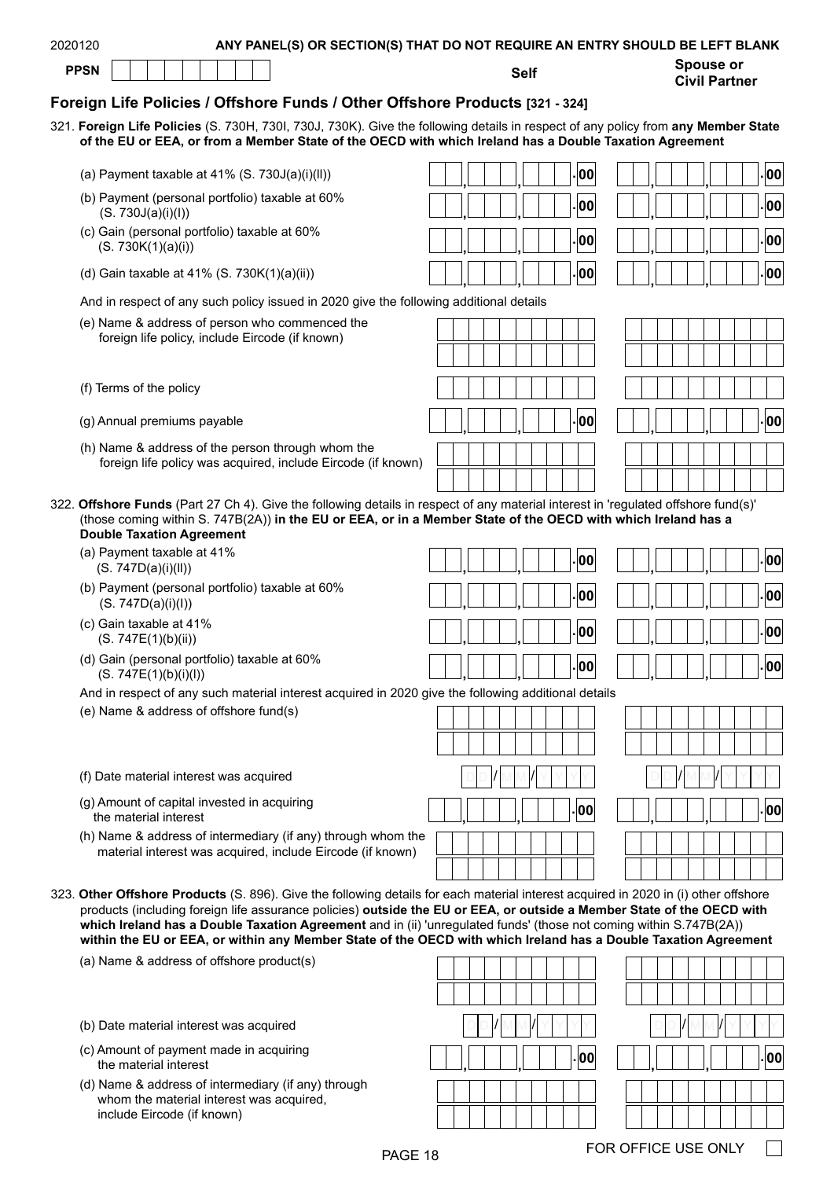| Foreign Life Policies / Offshore Funds / Other Offshore Products [321 - 324]                                                                                                                                                                                                                                                                                                                                                                                                                           |  |  |  |  |    |  |  |  |  |              |
|--------------------------------------------------------------------------------------------------------------------------------------------------------------------------------------------------------------------------------------------------------------------------------------------------------------------------------------------------------------------------------------------------------------------------------------------------------------------------------------------------------|--|--|--|--|----|--|--|--|--|--------------|
| 321. Foreign Life Policies (S. 730H, 730I, 730J, 730K). Give the following details in respect of any policy from any Member State<br>of the EU or EEA, or from a Member State of the OECD with which Ireland has a Double Taxation Agreement                                                                                                                                                                                                                                                           |  |  |  |  |    |  |  |  |  |              |
| (a) Payment taxable at $41\%$ (S. 730J(a)(i)(ll))                                                                                                                                                                                                                                                                                                                                                                                                                                                      |  |  |  |  | 00 |  |  |  |  | 00           |
| (b) Payment (personal portfolio) taxable at 60%<br>(S. 730J(a)(i)(l))                                                                                                                                                                                                                                                                                                                                                                                                                                  |  |  |  |  | 00 |  |  |  |  | 00           |
| (c) Gain (personal portfolio) taxable at 60%<br>(S. 730K(1)(a)(i))                                                                                                                                                                                                                                                                                                                                                                                                                                     |  |  |  |  | 00 |  |  |  |  | $ 00\rangle$ |
| (d) Gain taxable at 41% (S. 730K $(1)(a)(ii)$ )                                                                                                                                                                                                                                                                                                                                                                                                                                                        |  |  |  |  | 00 |  |  |  |  | 00           |
| And in respect of any such policy issued in 2020 give the following additional details                                                                                                                                                                                                                                                                                                                                                                                                                 |  |  |  |  |    |  |  |  |  |              |
| (e) Name & address of person who commenced the<br>foreign life policy, include Eircode (if known)                                                                                                                                                                                                                                                                                                                                                                                                      |  |  |  |  |    |  |  |  |  |              |
| (f) Terms of the policy                                                                                                                                                                                                                                                                                                                                                                                                                                                                                |  |  |  |  |    |  |  |  |  |              |
| (g) Annual premiums payable                                                                                                                                                                                                                                                                                                                                                                                                                                                                            |  |  |  |  | 00 |  |  |  |  | $\vert$ 00   |
| (h) Name & address of the person through whom the<br>foreign life policy was acquired, include Eircode (if known)                                                                                                                                                                                                                                                                                                                                                                                      |  |  |  |  |    |  |  |  |  |              |
| 322. Offshore Funds (Part 27 Ch 4). Give the following details in respect of any material interest in 'regulated offshore fund(s)'<br>(those coming within S. 747B(2A)) in the EU or EEA, or in a Member State of the OECD with which Ireland has a<br><b>Double Taxation Agreement</b>                                                                                                                                                                                                                |  |  |  |  |    |  |  |  |  |              |
| (a) Payment taxable at 41%<br>(S. 747D(a)(i)(II))                                                                                                                                                                                                                                                                                                                                                                                                                                                      |  |  |  |  | 00 |  |  |  |  | 00           |
| (b) Payment (personal portfolio) taxable at 60%<br>(S. 747D(a)(i)(l))                                                                                                                                                                                                                                                                                                                                                                                                                                  |  |  |  |  | 00 |  |  |  |  | 00           |
| (c) Gain taxable at 41%<br>(S. 747E(1)(b)(ii))                                                                                                                                                                                                                                                                                                                                                                                                                                                         |  |  |  |  | 00 |  |  |  |  | 00           |
| (d) Gain (personal portfolio) taxable at 60%<br>(S. 747E(1)(b)(i)(l))                                                                                                                                                                                                                                                                                                                                                                                                                                  |  |  |  |  | 00 |  |  |  |  | 00           |
| And in respect of any such material interest acquired in 2020 give the following additional details                                                                                                                                                                                                                                                                                                                                                                                                    |  |  |  |  |    |  |  |  |  |              |
| (e) Name & address of offshore fund(s)                                                                                                                                                                                                                                                                                                                                                                                                                                                                 |  |  |  |  |    |  |  |  |  |              |
|                                                                                                                                                                                                                                                                                                                                                                                                                                                                                                        |  |  |  |  |    |  |  |  |  |              |
| (f) Date material interest was acquired                                                                                                                                                                                                                                                                                                                                                                                                                                                                |  |  |  |  |    |  |  |  |  |              |
| (g) Amount of capital invested in acquiring<br>the material interest                                                                                                                                                                                                                                                                                                                                                                                                                                   |  |  |  |  | 00 |  |  |  |  | 00           |
| (h) Name & address of intermediary (if any) through whom the<br>material interest was acquired, include Eircode (if known)                                                                                                                                                                                                                                                                                                                                                                             |  |  |  |  |    |  |  |  |  |              |
| 323. Other Offshore Products (S. 896). Give the following details for each material interest acquired in 2020 in (i) other offshore<br>products (including foreign life assurance policies) outside the EU or EEA, or outside a Member State of the OECD with<br>which Ireland has a Double Taxation Agreement and in (ii) 'unregulated funds' (those not coming within S.747B(2A))<br>within the EU or EEA, or within any Member State of the OECD with which Ireland has a Double Taxation Agreement |  |  |  |  |    |  |  |  |  |              |
| (a) Name & address of offshore product(s)                                                                                                                                                                                                                                                                                                                                                                                                                                                              |  |  |  |  |    |  |  |  |  |              |
|                                                                                                                                                                                                                                                                                                                                                                                                                                                                                                        |  |  |  |  |    |  |  |  |  |              |
| (b) Date material interest was acquired                                                                                                                                                                                                                                                                                                                                                                                                                                                                |  |  |  |  |    |  |  |  |  |              |

2020120 **ANY PANEL(S) OR SECTION(S) THAT DO NOT REQUIRE AN ENTRY SHOULD BE LEFT BLANK**

**PPSN Self Spouse or** 

| (c) Amount of payment made in acquiring |
|-----------------------------------------|
| the material interest                   |

(d) Name & address of intermediary (if any) through whom the material interest was acquired, include Eircode (if known)

**. , , <sup>00</sup> . , , <sup>00</sup>**

**Civil Partner**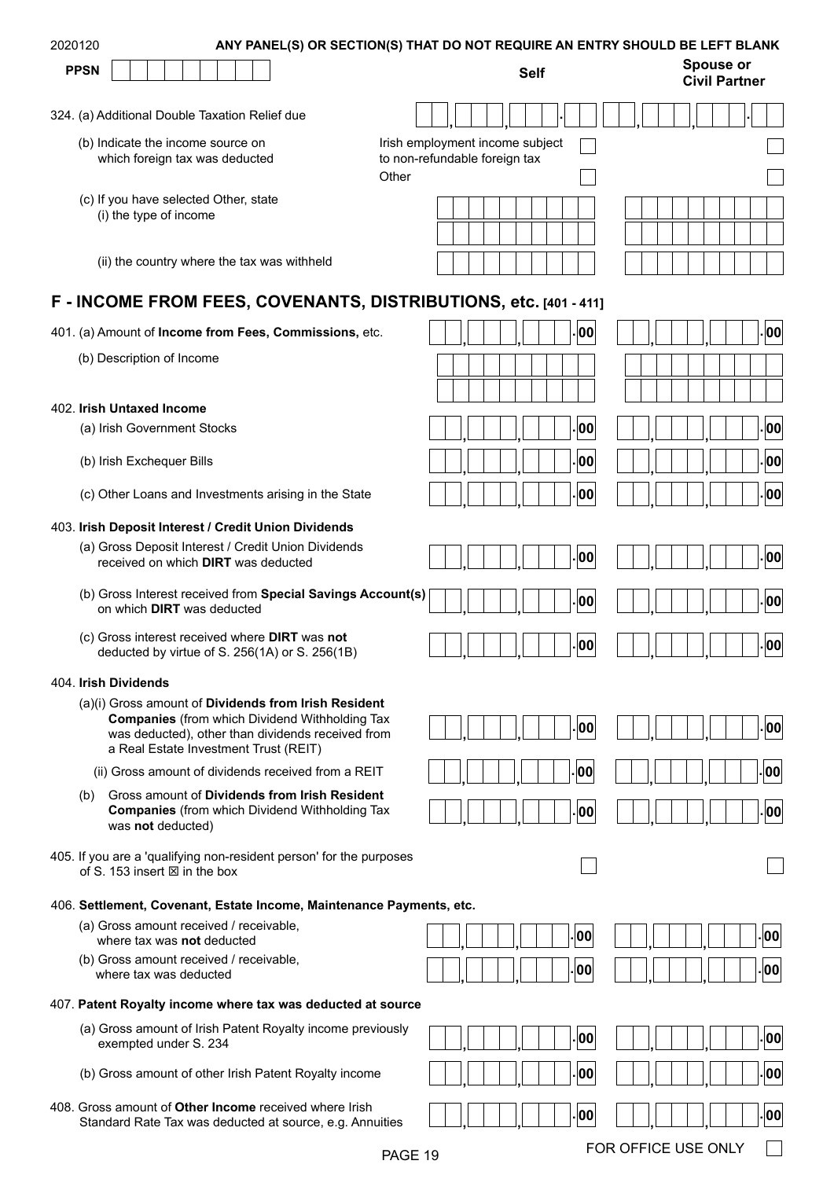| 2020120 |             |                                                                                                      |  |  |  |  | ANY PANEL(S) OR SECTION(S) THAT DO NOT REQUIRE AN ENTRY SHOULD BE LEFT BLANK                                                                                       |                                        |  |  |             |     |  |  |                                          |  |      |  |
|---------|-------------|------------------------------------------------------------------------------------------------------|--|--|--|--|--------------------------------------------------------------------------------------------------------------------------------------------------------------------|----------------------------------------|--|--|-------------|-----|--|--|------------------------------------------|--|------|--|
|         | <b>PPSN</b> |                                                                                                      |  |  |  |  |                                                                                                                                                                    |                                        |  |  | <b>Self</b> |     |  |  | <b>Spouse or</b><br><b>Civil Partner</b> |  |      |  |
|         |             | 324. (a) Additional Double Taxation Relief due                                                       |  |  |  |  |                                                                                                                                                                    |                                        |  |  |             |     |  |  |                                          |  |      |  |
|         |             | (b) Indicate the income source on                                                                    |  |  |  |  |                                                                                                                                                                    | Irish employment income subject        |  |  |             |     |  |  |                                          |  |      |  |
|         |             | which foreign tax was deducted                                                                       |  |  |  |  |                                                                                                                                                                    | to non-refundable foreign tax<br>Other |  |  |             |     |  |  |                                          |  |      |  |
|         |             | (c) If you have selected Other, state                                                                |  |  |  |  |                                                                                                                                                                    |                                        |  |  |             |     |  |  |                                          |  |      |  |
|         |             | (i) the type of income                                                                               |  |  |  |  |                                                                                                                                                                    |                                        |  |  |             |     |  |  |                                          |  |      |  |
|         |             | (ii) the country where the tax was withheld                                                          |  |  |  |  |                                                                                                                                                                    |                                        |  |  |             |     |  |  |                                          |  |      |  |
|         |             |                                                                                                      |  |  |  |  | F - INCOME FROM FEES, COVENANTS, DISTRIBUTIONS, etc. [401 - 411]                                                                                                   |                                        |  |  |             |     |  |  |                                          |  |      |  |
|         |             |                                                                                                      |  |  |  |  | 401. (a) Amount of Income from Fees, Commissions, etc.                                                                                                             |                                        |  |  |             | 00  |  |  |                                          |  | 00   |  |
|         |             | (b) Description of Income                                                                            |  |  |  |  |                                                                                                                                                                    |                                        |  |  |             |     |  |  |                                          |  |      |  |
|         |             |                                                                                                      |  |  |  |  |                                                                                                                                                                    |                                        |  |  |             |     |  |  |                                          |  |      |  |
|         |             | 402. Irish Untaxed Income                                                                            |  |  |  |  |                                                                                                                                                                    |                                        |  |  |             |     |  |  |                                          |  |      |  |
|         |             | (a) Irish Government Stocks                                                                          |  |  |  |  |                                                                                                                                                                    |                                        |  |  |             | 00  |  |  |                                          |  | . 00 |  |
|         |             | (b) Irish Exchequer Bills                                                                            |  |  |  |  |                                                                                                                                                                    |                                        |  |  |             | 00  |  |  |                                          |  | .00  |  |
|         |             |                                                                                                      |  |  |  |  | (c) Other Loans and Investments arising in the State                                                                                                               |                                        |  |  |             | 00  |  |  |                                          |  | . 00 |  |
|         |             | 403. Irish Deposit Interest / Credit Union Dividends                                                 |  |  |  |  |                                                                                                                                                                    |                                        |  |  |             |     |  |  |                                          |  |      |  |
|         |             | received on which DIRT was deducted                                                                  |  |  |  |  | (a) Gross Deposit Interest / Credit Union Dividends                                                                                                                |                                        |  |  |             | 00  |  |  |                                          |  | .00  |  |
|         |             | on which DIRT was deducted                                                                           |  |  |  |  | (b) Gross Interest received from Special Savings Account(s)                                                                                                        |                                        |  |  |             | 00  |  |  |                                          |  | 00   |  |
|         |             | (c) Gross interest received where DIRT was not<br>deducted by virtue of S. $256(1A)$ or S. $256(1B)$ |  |  |  |  |                                                                                                                                                                    |                                        |  |  |             | 00  |  |  |                                          |  | 00   |  |
|         |             | 404. Irish Dividends                                                                                 |  |  |  |  |                                                                                                                                                                    |                                        |  |  |             |     |  |  |                                          |  |      |  |
|         |             | a Real Estate Investment Trust (REIT)                                                                |  |  |  |  | (a)(i) Gross amount of Dividends from Irish Resident<br><b>Companies (from which Dividend Withholding Tax</b><br>was deducted), other than dividends received from |                                        |  |  |             | 00  |  |  |                                          |  | . 00 |  |
|         |             |                                                                                                      |  |  |  |  | (ii) Gross amount of dividends received from a REIT                                                                                                                |                                        |  |  |             | 00  |  |  |                                          |  | 00   |  |
|         | (b)         | was not deducted)                                                                                    |  |  |  |  | Gross amount of Dividends from Irish Resident<br><b>Companies</b> (from which Dividend Withholding Tax                                                             |                                        |  |  |             | 00  |  |  |                                          |  | 00   |  |
|         |             | of S. 153 insert $\boxtimes$ in the box                                                              |  |  |  |  | 405. If you are a 'qualifying non-resident person' for the purposes                                                                                                |                                        |  |  |             |     |  |  |                                          |  |      |  |
|         |             |                                                                                                      |  |  |  |  | 406. Settlement, Covenant, Estate Income, Maintenance Payments, etc.                                                                                               |                                        |  |  |             |     |  |  |                                          |  |      |  |
|         |             | (a) Gross amount received / receivable,<br>where tax was not deducted                                |  |  |  |  |                                                                                                                                                                    |                                        |  |  |             | 00  |  |  |                                          |  | 00   |  |
|         |             | (b) Gross amount received / receivable,<br>where tax was deducted                                    |  |  |  |  |                                                                                                                                                                    |                                        |  |  |             | 00  |  |  |                                          |  | 00   |  |
|         |             |                                                                                                      |  |  |  |  | 407. Patent Royalty income where tax was deducted at source                                                                                                        |                                        |  |  |             |     |  |  |                                          |  |      |  |
|         |             | exempted under S. 234                                                                                |  |  |  |  | (a) Gross amount of Irish Patent Royalty income previously                                                                                                         |                                        |  |  |             | ¦00 |  |  |                                          |  | 00   |  |
|         |             |                                                                                                      |  |  |  |  | (b) Gross amount of other Irish Patent Royalty income                                                                                                              |                                        |  |  |             | 00  |  |  |                                          |  | .00  |  |
|         |             |                                                                                                      |  |  |  |  | 408. Gross amount of Other Income received where Irish<br>Standard Rate Tax was deducted at source, e.g. Annuities                                                 |                                        |  |  |             | ¦00 |  |  |                                          |  | .00  |  |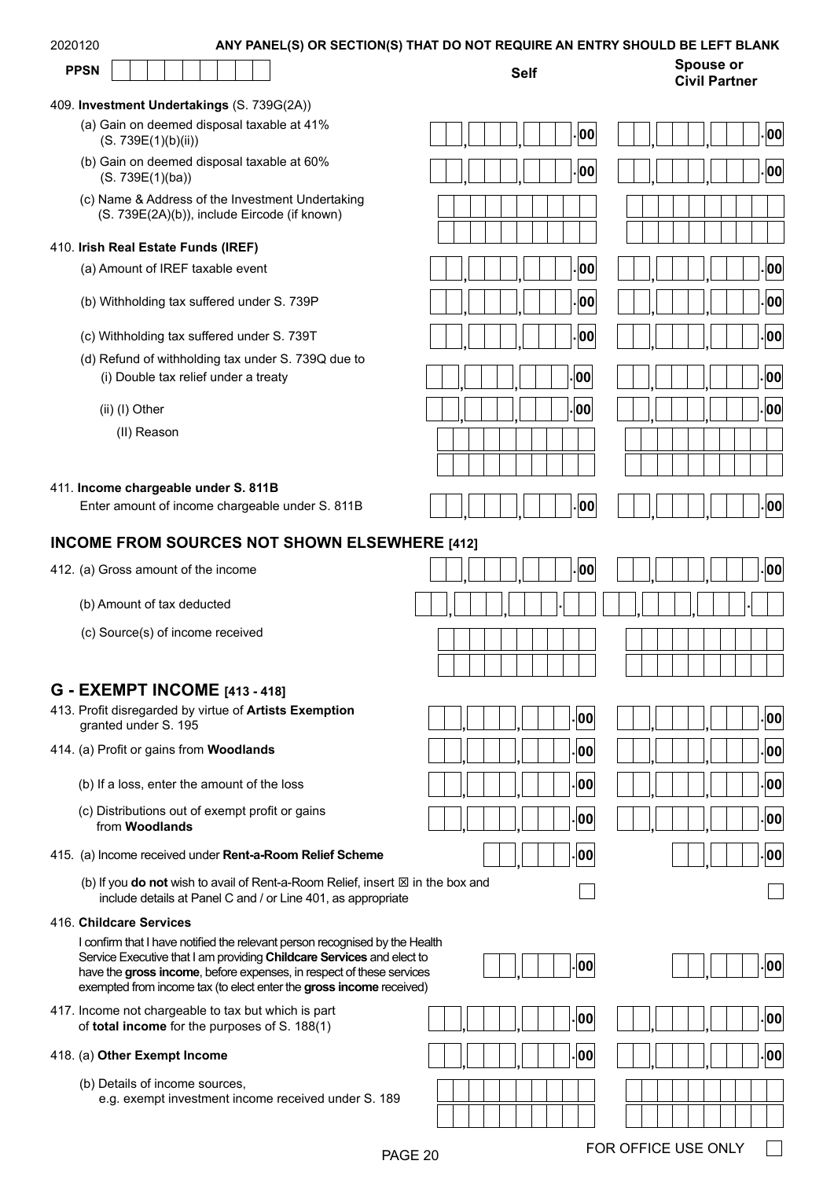| 2020120 |  |
|---------|--|
|---------|--|

#### ANY PANEL(S) OR SECTION(S) THAT DO NOT REQUIRE AN ENTRY SHOULD BE LEFT BLANK



#### 409. **Investment Undertakings** (S. 739G(2A))

- (a) Gain on deemed disposal taxable at 41% (S. 739E(1)(b)(ii))
- (b) Gain on deemed disposal taxable at 60% (S. 739E(1)(ba))
- (c) Name & Address of the Investment Undertaking (S. 739E(2A)(b)), include Eircode (if known)

#### 410. **Irish Real Estate Funds (IREF)**

- (a) Amount of IREF taxable event
- (b) Withholding tax suffered under S. 739P
- (c) Withholding tax suffered under S. 739T **. , , <sup>00</sup> . , , <sup>00</sup>**
- (d) Refund of withholding tax under S. 739Q due to (i) Double tax relief under a treaty **000 .**  $\begin{bmatrix} | & | & | & | & | & | & | & | & | & | & | \end{bmatrix}$  **00** 
	- - (II) Reason

#### 411. **Income chargeable under S. 811B**

Enter amount of income chargeable under S. 811B **. , , <sup>00</sup> . , , <sup>00</sup>**

# **. , , <sup>00</sup> . , , <sup>00</sup> . , , <sup>00</sup> . , , <sup>00</sup> . , , <sup>00</sup> . , , <sup>00</sup>** (ii) (I) Other **. , , <sup>00</sup> . , , <sup>00</sup>**

| . 00 <br>J      | $\mathsf{L}[\mathsf{oo}]$ |
|-----------------|---------------------------|
| $\cdot$ 00<br>J | $\cdot$ 00                |
|                 |                           |
|                 |                           |
| $\cdot$ 00<br>, | 00<br>٠                   |
| . 00 <br>J      | . 00                      |
| . 00 <br>J      | $\vert$ 00 $\vert$        |
| $ . $ 00 $ $    | . 00                      |
| . 00            | . 00                      |
|                 |                           |
|                 |                           |
| .00             | $L$ 00 $\overline{R}$     |

**Civil Partner**

## **INCOME FROM SOURCES NOT SHOWN ELSEWHERE [412]**

|  |  |  | 412. (a) Gross amount of the income |  |  |  |
|--|--|--|-------------------------------------|--|--|--|
|--|--|--|-------------------------------------|--|--|--|

## **G - EXEMPT INCOME [413 - 418]**

| 413. Profit disregarded by virtue of <b>Artists Exemption</b> |
|---------------------------------------------------------------|
| granted under S. 195                                          |

- 414. (a) Profit or gains from **Woodlands**
	- (b) If a loss, enter the amount of the loss
	- (c) Distributions out of exempt profit or gains from **Woodlands**
- 415. (a) Income received under **Rent-a-Room Relief Scheme**
	- (b) If you **do not** wish to avail of Rent-a-Room Relief, insert  $\boxtimes$  in the box and include details at Panel C and / or Line 401, as appropriate

#### 416. **Childcare Services**

I confirm that I have notified the relevant person recognised by the Health Service Executive that I am providing **Childcare Services** and elect to have the **gross income**, before expenses, in respect of these services exempted from income tax (to elect enter the **gross income** received)

417. Income not chargeable to tax but which is part of **total income** for the purposes of S. 188(1) **. , , <sup>00</sup> . , , <sup>00</sup>**

#### 418. (a) **Other Exempt Income**

(b) Details of income sources, e.g. exempt investment income received under S. 189

| 412. (a) Gross amount of the income                                            | .00<br>00،               |
|--------------------------------------------------------------------------------|--------------------------|
| (b) Amount of tax deducted                                                     |                          |
| (c) Source(s) of income received                                               |                          |
| <b>G - EXEMPT INCOME [413 - 418]</b>                                           |                          |
| 413. Profit disregarded by virtue of Artists Exemption<br>granted under S. 195 | . 00<br>.00 <sub>1</sub> |
| 414. (a) Profit or gains from <b>Woodlands</b>                                 | 00.<br>. 00              |
| (b) If a loss, enter the amount of the loss                                    | . 00 <br>.00             |
| (c) Distributions out of exempt profit or gains<br>from Mandlondo              | . 00<br>. 00             |

| $ . $ 00 $ $ | $\cdot$ $ 00 $ |
|--------------|----------------|
| $ . $ 00 $ $ | . 00           |
| . 00         |                |

|  |  |  | . 00 |
|--|--|--|------|



| . 00 | . 00 |
|------|------|
|      |      |

 $\mathcal{L}$ 

|                 | $\cdot$ 00 |
|-----------------|------------|
| $\cdot$ 00<br>٠ | 00         |
|                 |            |
|                 |            |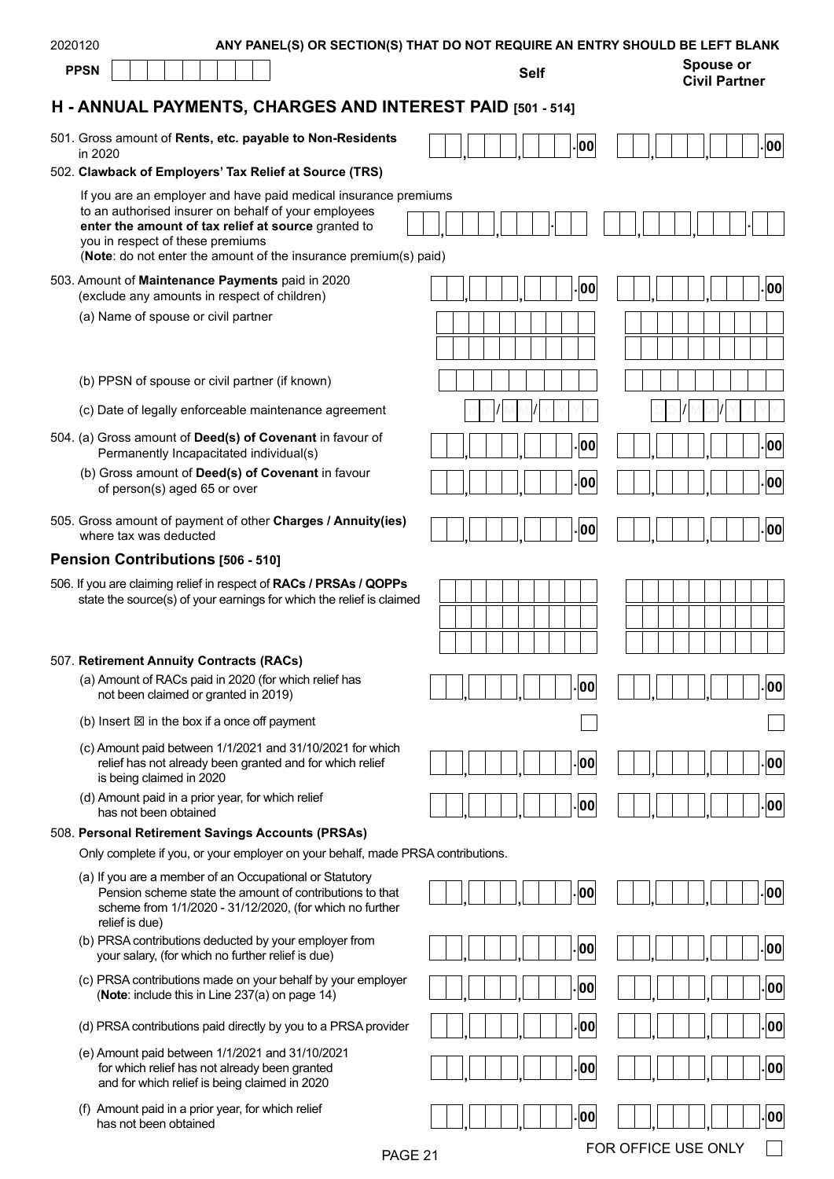| 2020120                                                                                                                                                                                                                                                                                | ANY PANEL(S) OR SECTION(S) THAT DO NOT REQUIRE AN ENTRY SHOULD BE LEFT BLANK |                                   |
|----------------------------------------------------------------------------------------------------------------------------------------------------------------------------------------------------------------------------------------------------------------------------------------|------------------------------------------------------------------------------|-----------------------------------|
| <b>PPSN</b>                                                                                                                                                                                                                                                                            | <b>Self</b>                                                                  | Spouse or<br><b>Civil Partner</b> |
| H - ANNUAL PAYMENTS, CHARGES AND INTEREST PAID [501 - 514]                                                                                                                                                                                                                             |                                                                              |                                   |
| 501. Gross amount of Rents, etc. payable to Non-Residents<br>in 2020                                                                                                                                                                                                                   | 00                                                                           | -00                               |
| 502. Clawback of Employers' Tax Relief at Source (TRS)                                                                                                                                                                                                                                 |                                                                              |                                   |
| If you are an employer and have paid medical insurance premiums<br>to an authorised insurer on behalf of your employees<br>enter the amount of tax relief at source granted to<br>you in respect of these premiums<br>(Note: do not enter the amount of the insurance premium(s) paid) |                                                                              |                                   |
| 503. Amount of Maintenance Payments paid in 2020<br>(exclude any amounts in respect of children)                                                                                                                                                                                       | 00                                                                           | 00                                |
| (a) Name of spouse or civil partner                                                                                                                                                                                                                                                    |                                                                              |                                   |
|                                                                                                                                                                                                                                                                                        |                                                                              |                                   |
| (b) PPSN of spouse or civil partner (if known)                                                                                                                                                                                                                                         |                                                                              |                                   |
| (c) Date of legally enforceable maintenance agreement                                                                                                                                                                                                                                  |                                                                              |                                   |
| 504. (a) Gross amount of Deed(s) of Covenant in favour of<br>Permanently Incapacitated individual(s)                                                                                                                                                                                   | 00                                                                           | 00                                |
| (b) Gross amount of Deed(s) of Covenant in favour<br>of person(s) aged 65 or over                                                                                                                                                                                                      | 00                                                                           | 00                                |
| 505. Gross amount of payment of other Charges / Annuity(ies)<br>where tax was deducted                                                                                                                                                                                                 | 00                                                                           | 00                                |
| Pension Contributions [506 - 510]                                                                                                                                                                                                                                                      |                                                                              |                                   |
| 506. If you are claiming relief in respect of RACs / PRSAs / QOPPs<br>state the source(s) of your earnings for which the relief is claimed                                                                                                                                             |                                                                              |                                   |
| 507. Retirement Annuity Contracts (RACs)<br>(a) Amount of RACs paid in 2020 (for which relief has<br>not been claimed or granted in 2019)                                                                                                                                              | 00                                                                           | 00                                |
| (b) Insert $\boxtimes$ in the box if a once off payment                                                                                                                                                                                                                                |                                                                              |                                   |
| (c) Amount paid between 1/1/2021 and 31/10/2021 for which<br>relief has not already been granted and for which relief<br>is being claimed in 2020                                                                                                                                      | 00                                                                           | 00                                |
| (d) Amount paid in a prior year, for which relief<br>has not been obtained                                                                                                                                                                                                             | 00                                                                           | 00                                |
| 508. Personal Retirement Savings Accounts (PRSAs)                                                                                                                                                                                                                                      |                                                                              |                                   |
| Only complete if you, or your employer on your behalf, made PRSA contributions.                                                                                                                                                                                                        |                                                                              |                                   |
| (a) If you are a member of an Occupational or Statutory<br>Pension scheme state the amount of contributions to that<br>scheme from 1/1/2020 - 31/12/2020, (for which no further<br>relief is due)                                                                                      | 00                                                                           | 00                                |
| (b) PRSA contributions deducted by your employer from<br>your salary, (for which no further relief is due)                                                                                                                                                                             | 00                                                                           | 00                                |
| (c) PRSA contributions made on your behalf by your employer<br>(Note: include this in Line 237(a) on page 14)                                                                                                                                                                          | 00                                                                           | 00                                |
| (d) PRSA contributions paid directly by you to a PRSA provider                                                                                                                                                                                                                         | 00                                                                           | 00                                |
| (e) Amount paid between 1/1/2021 and 31/10/2021<br>for which relief has not already been granted<br>and for which relief is being claimed in 2020                                                                                                                                      | 00                                                                           | 00                                |
| (f) Amount paid in a prior year, for which relief<br>has not been obtained                                                                                                                                                                                                             | 00                                                                           | 00                                |
| PAGE 21                                                                                                                                                                                                                                                                                |                                                                              | FOR OFFICE USE ONLY               |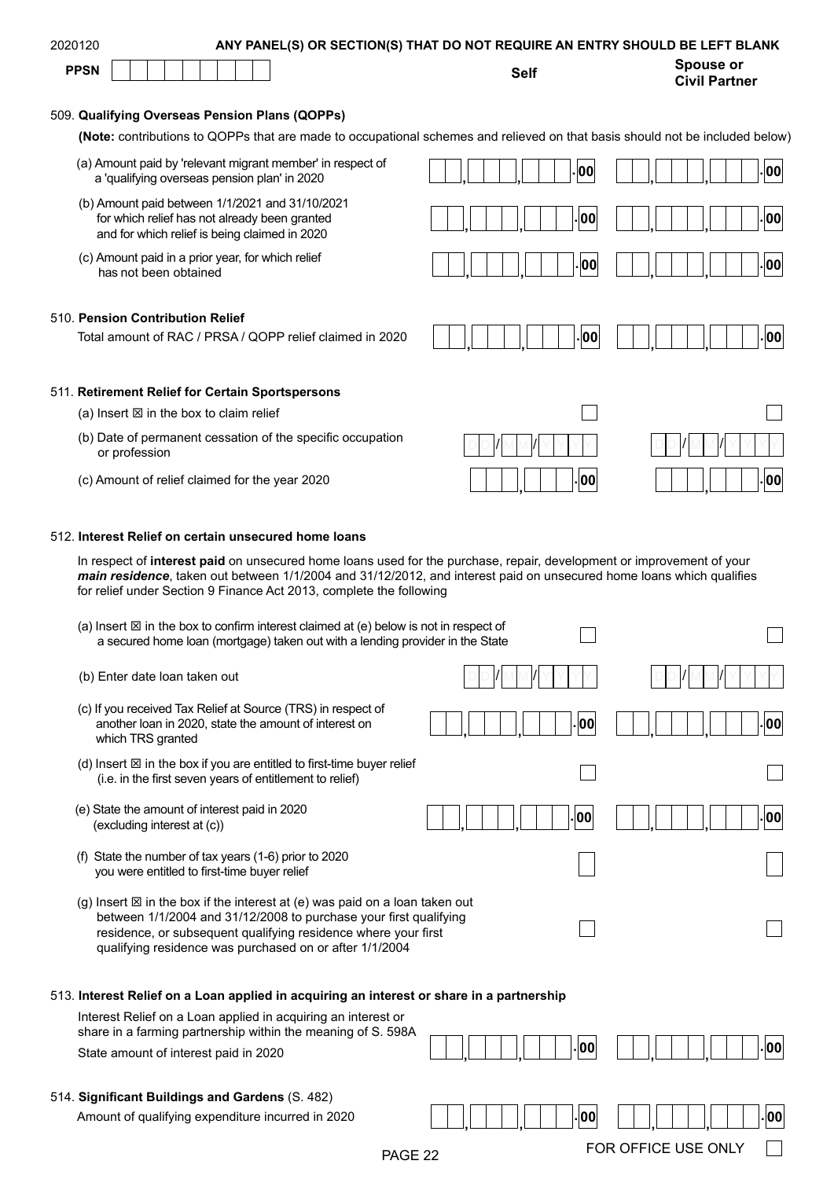|             | 2020120                                                                                                                                                                                                                                                                                                              |             | ANY PANEL(S) OR SECTION(S) THAT DO NOT REQUIRE AN ENTRY SHOULD BE LEFT BLANK |
|-------------|----------------------------------------------------------------------------------------------------------------------------------------------------------------------------------------------------------------------------------------------------------------------------------------------------------------------|-------------|------------------------------------------------------------------------------|
| <b>PPSN</b> |                                                                                                                                                                                                                                                                                                                      | <b>Self</b> | <b>Spouse or</b><br><b>Civil Partner</b>                                     |
|             | 509. Qualifying Overseas Pension Plans (QOPPs)                                                                                                                                                                                                                                                                       |             |                                                                              |
|             | (Note: contributions to QOPPs that are made to occupational schemes and relieved on that basis should not be included below)                                                                                                                                                                                         |             |                                                                              |
|             | (a) Amount paid by 'relevant migrant member' in respect of<br>a 'qualifying overseas pension plan' in 2020                                                                                                                                                                                                           | 00          | 00                                                                           |
|             | (b) Amount paid between 1/1/2021 and 31/10/2021<br>for which relief has not already been granted<br>and for which relief is being claimed in 2020                                                                                                                                                                    | 00          | 00                                                                           |
|             | (c) Amount paid in a prior year, for which relief<br>has not been obtained                                                                                                                                                                                                                                           | 00          | 00                                                                           |
|             | 510. Pension Contribution Relief                                                                                                                                                                                                                                                                                     |             |                                                                              |
|             | Total amount of RAC / PRSA / QOPP relief claimed in 2020                                                                                                                                                                                                                                                             | 00          | 00                                                                           |
|             | 511. Retirement Relief for Certain Sportspersons                                                                                                                                                                                                                                                                     |             |                                                                              |
|             | (a) Insert $\boxtimes$ in the box to claim relief                                                                                                                                                                                                                                                                    |             |                                                                              |
|             | (b) Date of permanent cessation of the specific occupation<br>or profession                                                                                                                                                                                                                                          |             |                                                                              |
|             | (c) Amount of relief claimed for the year 2020                                                                                                                                                                                                                                                                       | 00          | 00                                                                           |
|             | 512. Interest Relief on certain unsecured home loans                                                                                                                                                                                                                                                                 |             |                                                                              |
|             | In respect of interest paid on unsecured home loans used for the purchase, repair, development or improvement of your<br>main residence, taken out between 1/1/2004 and 31/12/2012, and interest paid on unsecured home loans which qualifies<br>for relief under Section 9 Finance Act 2013, complete the following |             |                                                                              |
|             | (a) Insert $\boxtimes$ in the box to confirm interest claimed at (e) below is not in respect of<br>a secured home loan (mortgage) taken out with a lending provider in the State                                                                                                                                     |             |                                                                              |
|             |                                                                                                                                                                                                                                                                                                                      |             |                                                                              |
|             | (b) Enter date loan taken out                                                                                                                                                                                                                                                                                        |             |                                                                              |
|             | (c) If you received Tax Relief at Source (TRS) in respect of<br>another loan in 2020, state the amount of interest on<br>which TRS granted                                                                                                                                                                           | 00          | 00                                                                           |
|             | (d) Insert $\boxtimes$ in the box if you are entitled to first-time buyer relief<br>(i.e. in the first seven years of entitlement to relief)                                                                                                                                                                         |             |                                                                              |
|             | (e) State the amount of interest paid in 2020<br>(excluding interest at (c))                                                                                                                                                                                                                                         | 00          | 00                                                                           |
|             | (f) State the number of tax years (1-6) prior to 2020<br>you were entitled to first-time buyer relief                                                                                                                                                                                                                |             |                                                                              |
|             | (g) Insert $\boxtimes$ in the box if the interest at (e) was paid on a loan taken out<br>between 1/1/2004 and 31/12/2008 to purchase your first qualifying<br>residence, or subsequent qualifying residence where your first<br>qualifying residence was purchased on or after 1/1/2004                              |             |                                                                              |
|             |                                                                                                                                                                                                                                                                                                                      |             |                                                                              |
|             | 513. Interest Relief on a Loan applied in acquiring an interest or share in a partnership<br>Interest Relief on a Loan applied in acquiring an interest or<br>share in a farming partnership within the meaning of S. 598A                                                                                           |             |                                                                              |
|             | State amount of interest paid in 2020                                                                                                                                                                                                                                                                                | 00          | 00                                                                           |
|             | 514. Significant Buildings and Gardens (S. 482)                                                                                                                                                                                                                                                                      |             |                                                                              |
|             | Amount of qualifying expenditure incurred in 2020<br>PAGE 22                                                                                                                                                                                                                                                         | 00          | ¦00∣<br>FOR OFFICE USE ONLY                                                  |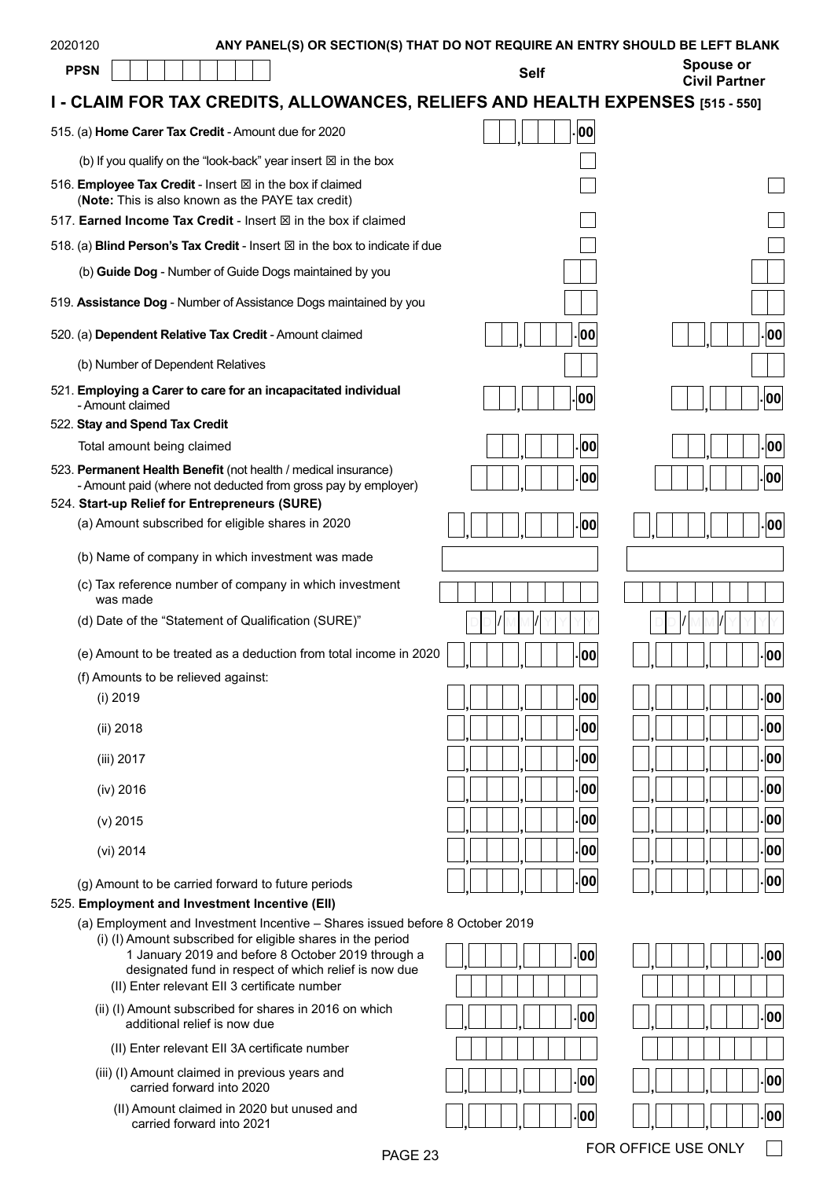| 2020120 | ANY PANEL(S) OR SECTION(S) THAT DO NOT REQUIRE AN ENTRY SHOULD BE LEFT BLANK<br><b>PPSN</b>                                                                                                                                                                                                                 | <b>Self</b> | <b>Spouse or</b><br><b>Civil Partner</b> |
|---------|-------------------------------------------------------------------------------------------------------------------------------------------------------------------------------------------------------------------------------------------------------------------------------------------------------------|-------------|------------------------------------------|
|         | I - CLAIM FOR TAX CREDITS, ALLOWANCES, RELIEFS AND HEALTH EXPENSES [515 - 550]                                                                                                                                                                                                                              |             |                                          |
|         | 515. (a) Home Carer Tax Credit - Amount due for 2020                                                                                                                                                                                                                                                        | 00          |                                          |
|         | (b) If you qualify on the "look-back" year insert $\boxtimes$ in the box                                                                                                                                                                                                                                    |             |                                          |
|         | 516. Employee Tax Credit - Insert $\boxtimes$ in the box if claimed<br>(Note: This is also known as the PAYE tax credit)                                                                                                                                                                                    |             |                                          |
|         | 517. Earned Income Tax Credit - Insert $\boxtimes$ in the box if claimed                                                                                                                                                                                                                                    |             |                                          |
|         | 518. (a) Blind Person's Tax Credit - Insert $\boxtimes$ in the box to indicate if due                                                                                                                                                                                                                       |             |                                          |
|         | (b) Guide Dog - Number of Guide Dogs maintained by you                                                                                                                                                                                                                                                      |             |                                          |
|         | 519. Assistance Dog - Number of Assistance Dogs maintained by you                                                                                                                                                                                                                                           |             |                                          |
|         | 520. (a) Dependent Relative Tax Credit - Amount claimed                                                                                                                                                                                                                                                     | 00          | 00                                       |
|         | (b) Number of Dependent Relatives                                                                                                                                                                                                                                                                           |             |                                          |
|         | 521. Employing a Carer to care for an incapacitated individual<br>- Amount claimed                                                                                                                                                                                                                          | 00          | 00                                       |
|         | 522. Stay and Spend Tax Credit                                                                                                                                                                                                                                                                              |             |                                          |
|         | Total amount being claimed                                                                                                                                                                                                                                                                                  | . 00        | 00                                       |
|         | 523. Permanent Health Benefit (not health / medical insurance)<br>- Amount paid (where not deducted from gross pay by employer)<br>524. Start-up Relief for Entrepreneurs (SURE)                                                                                                                            | . 00        | 00                                       |
|         | (a) Amount subscribed for eligible shares in 2020                                                                                                                                                                                                                                                           | .00         | 00                                       |
|         |                                                                                                                                                                                                                                                                                                             |             |                                          |
|         | (b) Name of company in which investment was made                                                                                                                                                                                                                                                            |             |                                          |
|         | (c) Tax reference number of company in which investment<br>was made                                                                                                                                                                                                                                         |             |                                          |
|         | (d) Date of the "Statement of Qualification (SURE)"                                                                                                                                                                                                                                                         |             |                                          |
|         | (e) Amount to be treated as a deduction from total income in 2020                                                                                                                                                                                                                                           | - 00        | - 00                                     |
|         | (f) Amounts to be relieved against:                                                                                                                                                                                                                                                                         |             |                                          |
|         | $(i)$ 2019                                                                                                                                                                                                                                                                                                  | 00          | $ \mathbf{00} $                          |
|         | (ii) 2018                                                                                                                                                                                                                                                                                                   | 00          | 00                                       |
|         | (iii) 2017                                                                                                                                                                                                                                                                                                  | 00          | 00                                       |
|         | (iv) 2016                                                                                                                                                                                                                                                                                                   | 00          | 00                                       |
|         | $(v)$ 2015                                                                                                                                                                                                                                                                                                  | 00          | $ \mathbf{00} $                          |
|         | $(vi)$ 2014                                                                                                                                                                                                                                                                                                 | 00          | 00                                       |
|         | (g) Amount to be carried forward to future periods                                                                                                                                                                                                                                                          | 00          | 00                                       |
|         | 525. Employment and Investment Incentive (EII)                                                                                                                                                                                                                                                              |             |                                          |
|         | (a) Employment and Investment Incentive - Shares issued before 8 October 2019<br>(i) (I) Amount subscribed for eligible shares in the period<br>1 January 2019 and before 8 October 2019 through a<br>designated fund in respect of which relief is now due<br>(II) Enter relevant EII 3 certificate number | 00          | 00                                       |
|         | (ii) (I) Amount subscribed for shares in 2016 on which                                                                                                                                                                                                                                                      |             |                                          |
|         | additional relief is now due                                                                                                                                                                                                                                                                                | 00          | 00                                       |
|         | (II) Enter relevant EII 3A certificate number                                                                                                                                                                                                                                                               |             |                                          |
|         | (iii) (I) Amount claimed in previous years and<br>carried forward into 2020                                                                                                                                                                                                                                 | 00          | 00                                       |

| (II) Amount claimed in 2020 but unused and |
|--------------------------------------------|
| carried forward into 2021                  |

| PAGE 23 | FOR OFFICE USE ONLY |  |
|---------|---------------------|--|

| I<br>, | Ľ<br>j                      |  |
|--------|-----------------------------|--|
|        |                             |  |
|        | $\overline{\phantom{0}}$ 00 |  |
|        |                             |  |
|        | . 00                        |  |
|        | $ {\mathsf o}{\mathsf o} $  |  |
|        | 00                          |  |
|        |                             |  |
| J      | $ \mathbf{00} $             |  |
|        | $ \mathbf{00} $             |  |
|        | $\cdot$ 00                  |  |
|        |                             |  |
|        |                             |  |
|        |                             |  |
|        | 00                          |  |
| ,      |                             |  |
|        |                             |  |
|        | 00                          |  |
| ,      |                             |  |
|        |                             |  |
|        |                             |  |
|        |                             |  |

 $\Box$ 

- carried forward into 2020
	-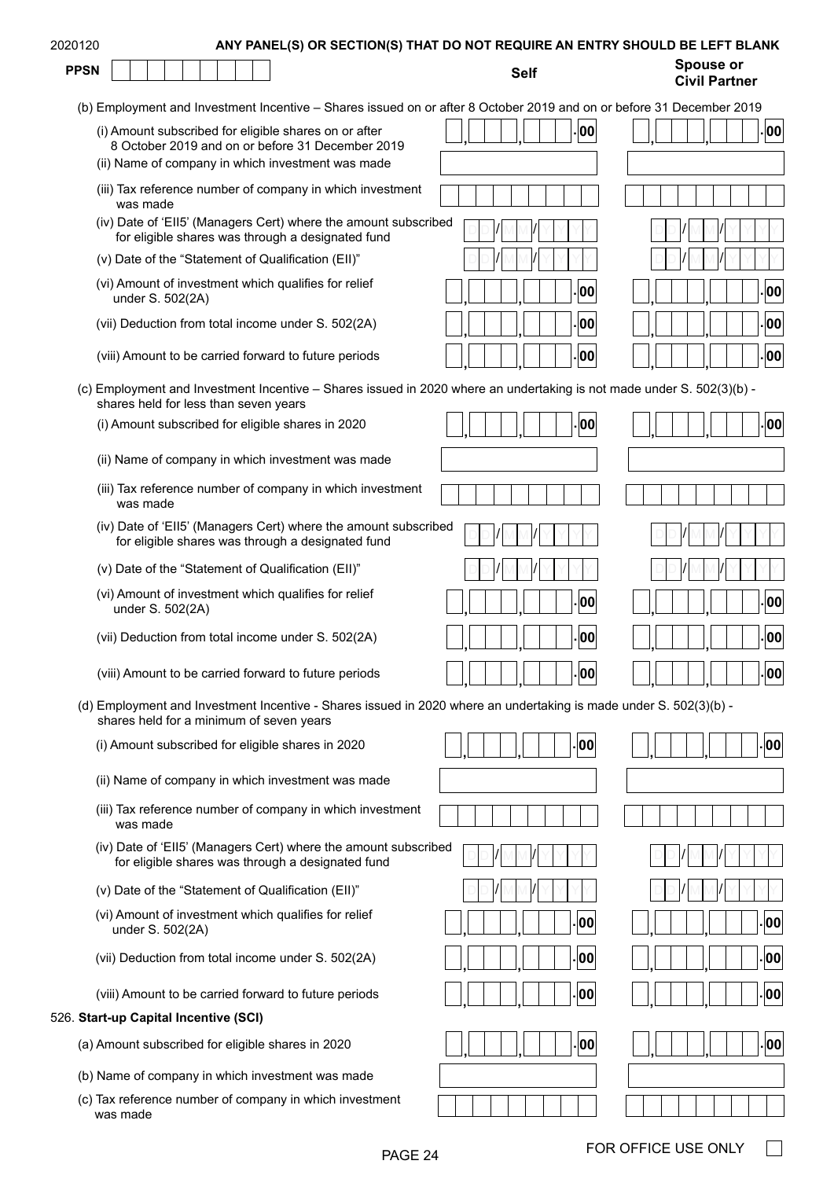| 2020120     | ANY PANEL(S) OR SECTION(S) THAT DO NOT REQUIRE AN ENTRY SHOULD BE LEFT BLANK                                                                                   |             |                                          |
|-------------|----------------------------------------------------------------------------------------------------------------------------------------------------------------|-------------|------------------------------------------|
| <b>PPSN</b> |                                                                                                                                                                | <b>Self</b> | <b>Spouse or</b><br><b>Civil Partner</b> |
|             | (b) Employment and Investment Incentive - Shares issued on or after 8 October 2019 and on or before 31 December 2019                                           |             |                                          |
|             | (i) Amount subscribed for eligible shares on or after<br>8 October 2019 and on or before 31 December 2019<br>(ii) Name of company in which investment was made | 00          | . 00                                     |
|             | (iii) Tax reference number of company in which investment                                                                                                      |             |                                          |
|             | was made<br>(iv) Date of 'EII5' (Managers Cert) where the amount subscribed<br>for eligible shares was through a designated fund                               |             |                                          |
|             | (v) Date of the "Statement of Qualification (EII)"                                                                                                             |             |                                          |
|             | (vi) Amount of investment which qualifies for relief<br>under S. 502(2A)                                                                                       | 00          | . 00                                     |
|             | (vii) Deduction from total income under S. 502(2A)                                                                                                             | 00          | .00                                      |
|             | (viii) Amount to be carried forward to future periods                                                                                                          | 00          | .00                                      |
|             | (c) Employment and Investment Incentive - Shares issued in 2020 where an undertaking is not made under S. 502(3)(b) -<br>shares held for less than seven years |             |                                          |
|             | (i) Amount subscribed for eligible shares in 2020                                                                                                              | 00          | 00                                       |
|             | (ii) Name of company in which investment was made                                                                                                              |             |                                          |
|             | (iii) Tax reference number of company in which investment<br>was made                                                                                          |             |                                          |
|             | (iv) Date of 'Ell5' (Managers Cert) where the amount subscribed<br>for eligible shares was through a designated fund                                           |             |                                          |
|             | (v) Date of the "Statement of Qualification (Ell)"                                                                                                             |             |                                          |
|             | (vi) Amount of investment which qualifies for relief<br>under S. 502(2A)                                                                                       | 00          | 00                                       |
|             | (vii) Deduction from total income under S. 502(2A)                                                                                                             | 00          | 00                                       |
|             | (viii) Amount to be carried forward to future periods                                                                                                          | 00          | 00                                       |
|             | (d) Employment and Investment Incentive - Shares issued in 2020 where an undertaking is made under S. 502(3)(b) -<br>shares held for a minimum of seven years  |             |                                          |
|             | (i) Amount subscribed for eligible shares in 2020                                                                                                              | 00          | 00                                       |
|             | (ii) Name of company in which investment was made                                                                                                              |             |                                          |
|             | (iii) Tax reference number of company in which investment<br>was made                                                                                          |             |                                          |
|             | (iv) Date of 'EII5' (Managers Cert) where the amount subscribed<br>for eligible shares was through a designated fund                                           |             |                                          |
|             | (v) Date of the "Statement of Qualification (EII)"                                                                                                             |             |                                          |
|             | (vi) Amount of investment which qualifies for relief<br>under S. 502(2A)                                                                                       | 00          | 00                                       |
|             | (vii) Deduction from total income under S. 502(2A)                                                                                                             | 00          | 00                                       |
|             | (viii) Amount to be carried forward to future periods                                                                                                          | 00          | 00                                       |
|             | 526. Start-up Capital Incentive (SCI)                                                                                                                          |             |                                          |
|             | (a) Amount subscribed for eligible shares in 2020                                                                                                              | 00          | -00                                      |
|             | (b) Name of company in which investment was made                                                                                                               |             |                                          |
|             | (c) Tax reference number of company in which investment<br>was made                                                                                            |             |                                          |

 $\Box$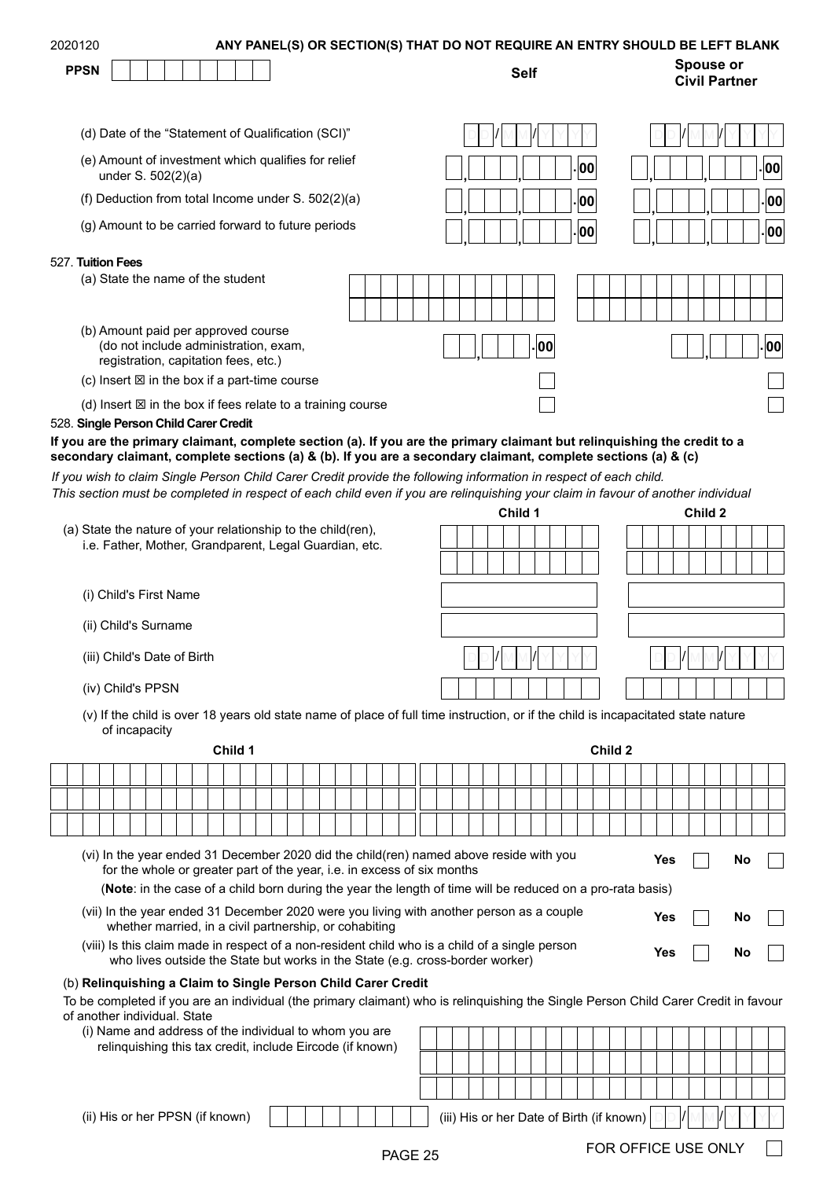| 2020120<br><b>PPSN</b> |                                                                                                                      | ANY PANEL(S) OR SECTION(S) THAT DO NOT REQUIRE AN ENTRY SHOULD BE LEFT BLANK<br><b>Self</b> | <b>Spouse or</b><br><b>Civil Partner</b> |
|------------------------|----------------------------------------------------------------------------------------------------------------------|---------------------------------------------------------------------------------------------|------------------------------------------|
|                        | (d) Date of the "Statement of Qualification (SCI)"                                                                   |                                                                                             |                                          |
|                        | (e) Amount of investment which qualifies for relief<br>under S. 502(2)(a)                                            | - 00                                                                                        | - 00                                     |
|                        | (f) Deduction from total Income under S. 502(2)(a)                                                                   | - 00                                                                                        | 00 .                                     |
|                        | (g) Amount to be carried forward to future periods                                                                   | - 00                                                                                        | . 00                                     |
| 527. Tuition Fees      |                                                                                                                      |                                                                                             |                                          |
|                        | (a) State the name of the student                                                                                    |                                                                                             |                                          |
|                        | (b) Amount paid per approved course<br>(do not include administration, exam,<br>registration, capitation fees, etc.) | -100                                                                                        | 00.                                      |
|                        | (c) Insert $\boxtimes$ in the box if a part-time course                                                              |                                                                                             |                                          |
|                        | (d) Insert $\boxtimes$ in the box if fees relate to a training course                                                |                                                                                             |                                          |

#### 528. **Single Person Child Carer Credit**

**If you are the primary claimant, complete section (a). If you are the primary claimant but relinquishing the credit to a secondary claimant, complete sections (a) & (b). If you are a secondary claimant, complete sections (a) & (c)**

*If you wish to claim Single Person Child Carer Credit provide the following information in respect of each child. This section must be completed in respect of each child even if you are relinquishing your claim in favour of another individual*

|                                                                                                                                                    | Child 1 | Child 2 |
|----------------------------------------------------------------------------------------------------------------------------------------------------|---------|---------|
| (a) State the nature of your relationship to the child(ren),<br>i.e. Father, Mother, Grandparent, Legal Guardian, etc.                             |         |         |
|                                                                                                                                                    |         |         |
| Child's First Name<br>(i)                                                                                                                          |         |         |
| (ii) Child's Surname                                                                                                                               |         |         |
| (iii) Child's Date of Birth                                                                                                                        |         |         |
| (iv) Child's PPSN                                                                                                                                  |         |         |
| (v) If the child is over 18 years old state name of place of full time instruction, or if the child is incapacitated state nature<br>of incapacity |         |         |
| Child 1                                                                                                                                            | Child 2 |         |
|                                                                                                                                                    |         |         |
|                                                                                                                                                    |         |         |

| (vi) In the year ended 31 December 2020 did the child(ren) named above reside with you<br>for the whole or greater part of the year, i.e. in excess of six months | Yes. |
|-------------------------------------------------------------------------------------------------------------------------------------------------------------------|------|
| (Note: in the case of a child born during the year the length of time will be reduced on a pro-rata basis)                                                        |      |

(vii) In the year ended 31 December 2020 were you living with another person as a couple

- whether married, in a civil partnership, or cohabiting (viii) Is this claim made in respect of a non-resident child who is a child of a single person who lives outside the State but works in the State (e.g. cross-border worker) **Yes No**
- **Yes No**

**Yes No**

## (b) **Relinquishing a Claim to Single Person Child Carer Credit**

To be completed if you are an individual (the primary claimant) who is relinquishing the Single Person Child Carer Credit in favour of another individual. State

| <u>anvuon marraaa. Olalo</u>                              |         |                                                                             |
|-----------------------------------------------------------|---------|-----------------------------------------------------------------------------|
| (i) Name and address of the individual to whom you are    |         |                                                                             |
| relinquishing this tax credit, include Eircode (if known) |         |                                                                             |
|                                                           |         |                                                                             |
|                                                           |         |                                                                             |
| (ii) His or her PPSN (if known)                           |         | $\vert \vert$<br>(iii) His or her Date of Birth (if known)<br>$\vert \vert$ |
|                                                           | PAGE 25 | FOR OFFICE USE ONLY                                                         |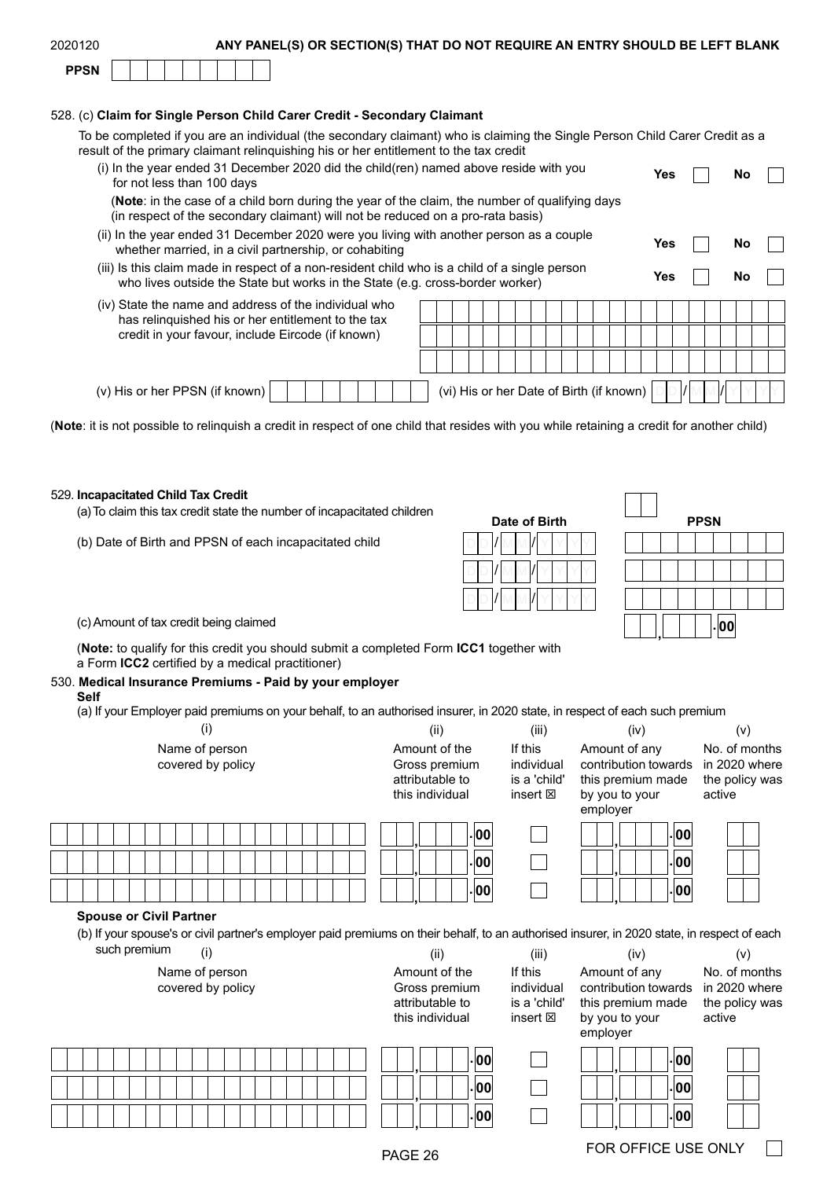| 2020120     | ANY PANEL(S) OR SECTION(S) THAT DO NOT REQUIRE AN ENTRY SHOULD BE LEFT BLANK |
|-------------|------------------------------------------------------------------------------|
| <b>PPSN</b> |                                                                              |
|             |                                                                              |

#### 528. (c) **Claim for Single Person Child Carer Credit - Secondary Claimant**

To be completed if you are an individual (the secondary claimant) who is claiming the Single Person Child Carer Credit as a result of the primary claimant relinquishing his or her entitlement to the tax credit

| (i) In the year ended 31 December 2020 did the child (ren) named above reside with you<br>for not less than 100 days                                                              | Yes | Nο |  |
|-----------------------------------------------------------------------------------------------------------------------------------------------------------------------------------|-----|----|--|
| (Note: in the case of a child born during the year of the claim, the number of qualifying days<br>(in respect of the secondary claimant) will not be reduced on a pro-rata basis) |     |    |  |
| (ii) In the year ended 31 December 2020 were you living with another person as a couple<br>whether married, in a civil partnership, or cohabiting                                 | Yes | No |  |
| (iii) Is this claim made in respect of a non-resident child who is a child of a single person<br>who lives outside the State but works in the State (e.g. cross-border worker)    | Yes | No |  |
| (iv) State the name and address of the individual who<br>has relinguished his or her entitlement to the tax<br>credit in your favour, include Eircode (if known)                  |     |    |  |
|                                                                                                                                                                                   |     |    |  |
| (vi) His or her Date of Birth (if known)<br>(v) His or her PPSN (if known)                                                                                                        |     |    |  |

(**Note**: it is not possible to relinquish a credit in respect of one child that resides with you while retaining a credit for another child)

#### 529. **Incapacitated Child Tax Credit**

(a) To claim this tax credit state the number of incapacitated children

(b) Date of Birth and PPSN of each incapacitated child

| Date of Birth | <b>PPSN</b> |
|---------------|-------------|
|               |             |
|               |             |
|               |             |
|               |             |

|  |  | <b>PPSN</b> |    |  |  |
|--|--|-------------|----|--|--|
|  |  |             |    |  |  |
|  |  |             |    |  |  |
|  |  |             |    |  |  |
|  |  |             | 00 |  |  |

(c) Amount of tax credit being claimed **. , <sup>00</sup>**

(**Note:** to qualify for this credit you should submit a completed Form **[ICC1](https://www.revenue.ie/en/personal-tax-credits-reliefs-and-exemptions/children/incapacitated-child-credit/index.aspx)** together with a Form **[ICC2](https://www.revenue.ie/en/personal-tax-credits-reliefs-and-exemptions/children/incapacitated-child-credit/index.aspx)** certified by a medical practitioner)

### 530. **Medical Insurance Premiums - Paid by your employer**

**Self**

(a) If your Employer paid premiums on your behalf, to an authorised insurer, in 2020 state, in respect of each such premium

| (i)                                                                                                                                                                                                  | (ii)                                                                 | (iii)                                                       | (iv)                                                                                     | (v)                                                        |  |  |
|------------------------------------------------------------------------------------------------------------------------------------------------------------------------------------------------------|----------------------------------------------------------------------|-------------------------------------------------------------|------------------------------------------------------------------------------------------|------------------------------------------------------------|--|--|
| Name of person<br>covered by policy                                                                                                                                                                  | Amount of the<br>Gross premium<br>attributable to<br>this individual | If this<br>individual<br>is a 'child'<br>insert $\boxtimes$ | Amount of any<br>contribution towards<br>this premium made<br>by you to your<br>employer | No. of months<br>in 2020 where<br>the policy was<br>active |  |  |
|                                                                                                                                                                                                      | . 00                                                                 |                                                             | 00                                                                                       |                                                            |  |  |
|                                                                                                                                                                                                      | 00                                                                   |                                                             | 00                                                                                       |                                                            |  |  |
|                                                                                                                                                                                                      | . 00                                                                 |                                                             | .00                                                                                      |                                                            |  |  |
| <b>Spouse or Civil Partner</b><br>(b) If your spouse's or civil partner's employer paid premiums on their behalf, to an authorised insurer, in 2020 state, in respect of each<br>such premium<br>(i) | (ii)                                                                 | (iii)                                                       | (iv)                                                                                     | (v)                                                        |  |  |
| Name of person<br>covered by policy                                                                                                                                                                  | Amount of the<br>Gross premium<br>attributable to<br>this individual | If this<br>individual<br>is a 'child'<br>insert $\boxtimes$ | Amount of any<br>contribution towards<br>this premium made<br>by you to your<br>employer | No. of months<br>in 2020 where<br>the policy was<br>active |  |  |
|                                                                                                                                                                                                      | 00                                                                   |                                                             | 00                                                                                       |                                                            |  |  |
|                                                                                                                                                                                                      | 00                                                                   |                                                             | 00                                                                                       |                                                            |  |  |
|                                                                                                                                                                                                      |                                                                      |                                                             |                                                                                          |                                                            |  |  |
|                                                                                                                                                                                                      | 00                                                                   |                                                             | .00                                                                                      |                                                            |  |  |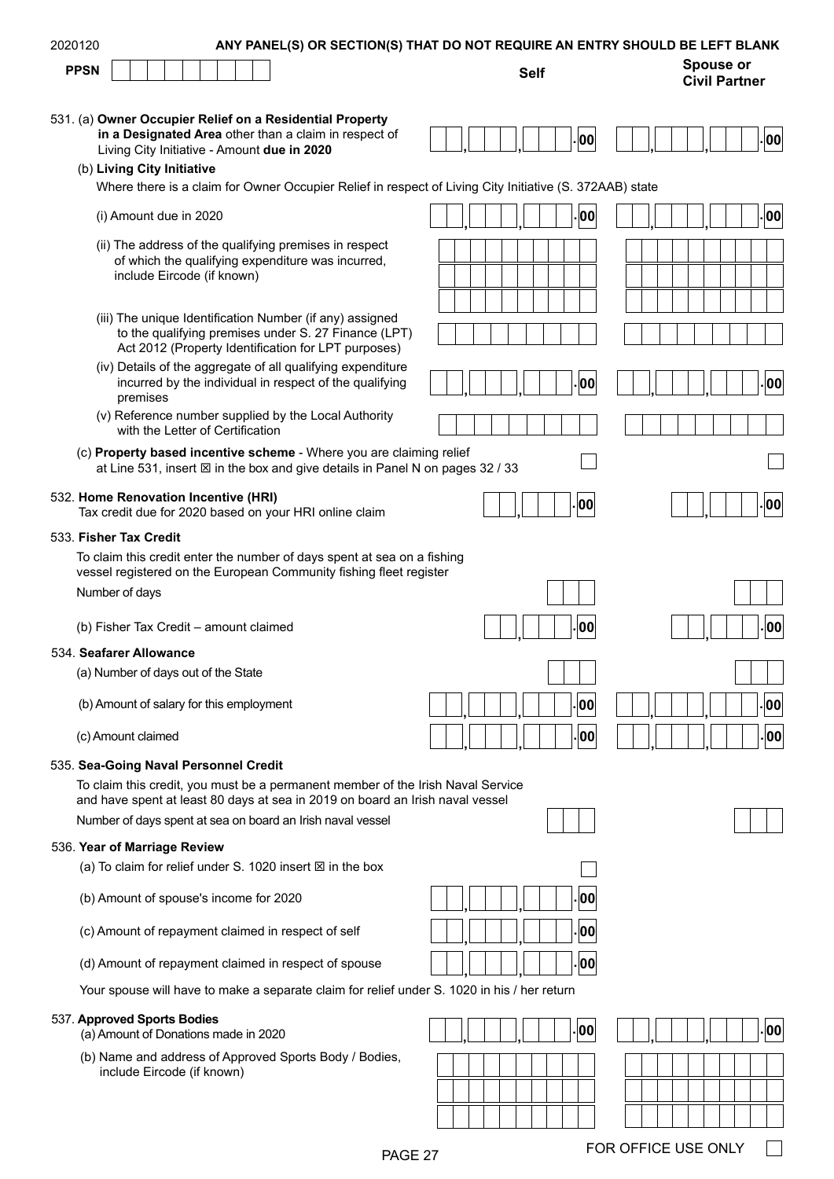| 2020120     |                                                                                                                                                                                                | ANY PANEL(S) OR SECTION(S) THAT DO NOT REQUIRE AN ENTRY SHOULD BE LEFT BLANK |                                          |
|-------------|------------------------------------------------------------------------------------------------------------------------------------------------------------------------------------------------|------------------------------------------------------------------------------|------------------------------------------|
| <b>PPSN</b> |                                                                                                                                                                                                | <b>Self</b>                                                                  | <b>Spouse or</b><br><b>Civil Partner</b> |
|             | 531. (a) Owner Occupier Relief on a Residential Property<br>in a Designated Area other than a claim in respect of<br>Living City Initiative - Amount due in 2020<br>(b) Living City Initiative | 00                                                                           | 00                                       |
|             | Where there is a claim for Owner Occupier Relief in respect of Living City Initiative (S. 372AAB) state                                                                                        |                                                                              |                                          |
|             | (i) Amount due in 2020                                                                                                                                                                         | 00                                                                           | 00                                       |
|             | (ii) The address of the qualifying premises in respect<br>of which the qualifying expenditure was incurred,<br>include Eircode (if known)                                                      |                                                                              |                                          |
|             | (iii) The unique Identification Number (if any) assigned<br>to the qualifying premises under S. 27 Finance (LPT)<br>Act 2012 (Property Identification for LPT purposes)                        |                                                                              |                                          |
|             | (iv) Details of the aggregate of all qualifying expenditure<br>incurred by the individual in respect of the qualifying<br>premises                                                             | 00                                                                           | 00                                       |
|             | (v) Reference number supplied by the Local Authority<br>with the Letter of Certification                                                                                                       |                                                                              |                                          |
|             | (c) Property based incentive scheme - Where you are claiming relief<br>at Line 531, insert $\boxtimes$ in the box and give details in Panel N on pages 32 / 33                                 |                                                                              |                                          |
|             | 532. Home Renovation Incentive (HRI)<br>Tax credit due for 2020 based on your HRI online claim                                                                                                 | 00                                                                           | 00                                       |
|             | 533. Fisher Tax Credit                                                                                                                                                                         |                                                                              |                                          |
|             | To claim this credit enter the number of days spent at sea on a fishing<br>vessel registered on the European Community fishing fleet register                                                  |                                                                              |                                          |
|             | Number of days                                                                                                                                                                                 |                                                                              |                                          |
|             | (b) Fisher Tax Credit - amount claimed                                                                                                                                                         | 00                                                                           | 00                                       |
|             | 534. Seafarer Allowance                                                                                                                                                                        |                                                                              |                                          |
|             | (a) Number of days out of the State                                                                                                                                                            |                                                                              |                                          |
|             | (b) Amount of salary for this employment                                                                                                                                                       | 00                                                                           | 00                                       |
|             | (c) Amount claimed                                                                                                                                                                             | 00                                                                           | 00                                       |
|             | 535. Sea-Going Naval Personnel Credit                                                                                                                                                          |                                                                              |                                          |
|             | To claim this credit, you must be a permanent member of the Irish Naval Service<br>and have spent at least 80 days at sea in 2019 on board an Irish naval vessel                               |                                                                              |                                          |
|             | Number of days spent at sea on board an Irish naval vessel                                                                                                                                     |                                                                              |                                          |
|             | 536. Year of Marriage Review                                                                                                                                                                   |                                                                              |                                          |
|             | (a) To claim for relief under S. 1020 insert $\boxtimes$ in the box                                                                                                                            |                                                                              |                                          |
|             | (b) Amount of spouse's income for 2020                                                                                                                                                         | 00                                                                           |                                          |
|             | (c) Amount of repayment claimed in respect of self                                                                                                                                             | 00                                                                           |                                          |
|             | (d) Amount of repayment claimed in respect of spouse                                                                                                                                           | 00                                                                           |                                          |
|             | Your spouse will have to make a separate claim for relief under S. 1020 in his / her return                                                                                                    |                                                                              |                                          |
|             | 537. Approved Sports Bodies<br>(a) Amount of Donations made in 2020                                                                                                                            | 00                                                                           | 00                                       |
|             | (b) Name and address of Approved Sports Body / Bodies,<br>include Eircode (if known)                                                                                                           |                                                                              |                                          |
|             |                                                                                                                                                                                                |                                                                              |                                          |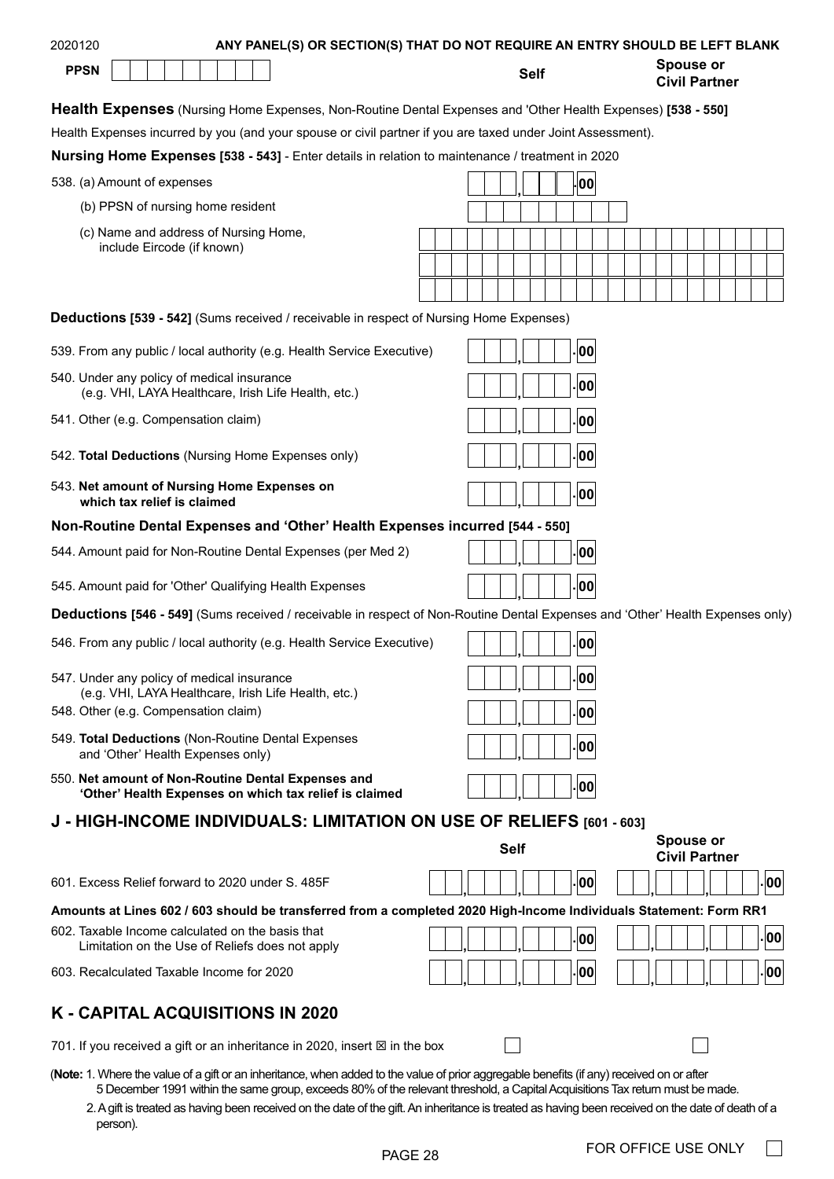| 2020120                                                                                                                                   |                                                                     |  | ANY PANEL(S) OR SECTION(S) THAT DO NOT REQUIRE AN ENTRY SHOULD BE LEFT BLANK |  |  |  |  |             |             |                    |  |                                          |  |    |
|-------------------------------------------------------------------------------------------------------------------------------------------|---------------------------------------------------------------------|--|------------------------------------------------------------------------------|--|--|--|--|-------------|-------------|--------------------|--|------------------------------------------|--|----|
| <b>PPSN</b>                                                                                                                               |                                                                     |  |                                                                              |  |  |  |  |             | <b>Self</b> |                    |  | <b>Spouse or</b><br><b>Civil Partner</b> |  |    |
| <b>Health Expenses</b> (Nursing Home Expenses, Non-Routine Dental Expenses and 'Other Health Expenses) [538 - 550]                        |                                                                     |  |                                                                              |  |  |  |  |             |             |                    |  |                                          |  |    |
| Health Expenses incurred by you (and your spouse or civil partner if you are taxed under Joint Assessment).                               |                                                                     |  |                                                                              |  |  |  |  |             |             |                    |  |                                          |  |    |
| Nursing Home Expenses [538 - 543] - Enter details in relation to maintenance / treatment in 2020                                          |                                                                     |  |                                                                              |  |  |  |  |             |             |                    |  |                                          |  |    |
| 538. (a) Amount of expenses                                                                                                               |                                                                     |  |                                                                              |  |  |  |  |             |             | <b>00</b>          |  |                                          |  |    |
|                                                                                                                                           | (b) PPSN of nursing home resident                                   |  |                                                                              |  |  |  |  |             |             |                    |  |                                          |  |    |
|                                                                                                                                           | (c) Name and address of Nursing Home,<br>include Eircode (if known) |  |                                                                              |  |  |  |  |             |             |                    |  |                                          |  |    |
|                                                                                                                                           |                                                                     |  |                                                                              |  |  |  |  |             |             |                    |  |                                          |  |    |
|                                                                                                                                           |                                                                     |  |                                                                              |  |  |  |  |             |             |                    |  |                                          |  |    |
| <b>Deductions [539 - 542]</b> (Sums received / receivable in respect of Nursing Home Expenses)                                            |                                                                     |  |                                                                              |  |  |  |  |             |             |                    |  |                                          |  |    |
| 539. From any public / local authority (e.g. Health Service Executive)                                                                    |                                                                     |  |                                                                              |  |  |  |  |             |             | $\vert$ 00 $\vert$ |  |                                          |  |    |
| 540. Under any policy of medical insurance                                                                                                | (e.g. VHI, LAYA Healthcare, Irish Life Health, etc.)                |  |                                                                              |  |  |  |  |             |             | .00                |  |                                          |  |    |
| 541. Other (e.g. Compensation claim)                                                                                                      |                                                                     |  |                                                                              |  |  |  |  |             |             | . 00               |  |                                          |  |    |
| 542. Total Deductions (Nursing Home Expenses only)                                                                                        |                                                                     |  |                                                                              |  |  |  |  |             |             | .00                |  |                                          |  |    |
| 543. Net amount of Nursing Home Expenses on                                                                                               | which tax relief is claimed                                         |  |                                                                              |  |  |  |  |             |             | . 00               |  |                                          |  |    |
| Non-Routine Dental Expenses and 'Other' Health Expenses incurred [544 - 550]                                                              |                                                                     |  |                                                                              |  |  |  |  |             |             |                    |  |                                          |  |    |
| 544. Amount paid for Non-Routine Dental Expenses (per Med 2)                                                                              |                                                                     |  |                                                                              |  |  |  |  |             |             | 00                 |  |                                          |  |    |
| 545. Amount paid for 'Other' Qualifying Health Expenses                                                                                   |                                                                     |  |                                                                              |  |  |  |  |             |             | .00                |  |                                          |  |    |
| Deductions [546 - 549] (Sums received / receivable in respect of Non-Routine Dental Expenses and 'Other' Health Expenses only)            |                                                                     |  |                                                                              |  |  |  |  |             |             |                    |  |                                          |  |    |
| 546. From any public / local authority (e.g. Health Service Executive)                                                                    |                                                                     |  |                                                                              |  |  |  |  |             |             | . 00               |  |                                          |  |    |
| 547. Under any policy of medical insurance                                                                                                | (e.g. VHI, LAYA Healthcare, Irish Life Health, etc.)                |  |                                                                              |  |  |  |  |             |             | <b>00</b>          |  |                                          |  |    |
| 548. Other (e.g. Compensation claim)                                                                                                      |                                                                     |  |                                                                              |  |  |  |  |             |             | <b>00</b>          |  |                                          |  |    |
| 549. Total Deductions (Non-Routine Dental Expenses                                                                                        | and 'Other' Health Expenses only)                                   |  |                                                                              |  |  |  |  |             |             | 00                 |  |                                          |  |    |
| 550. Net amount of Non-Routine Dental Expenses and                                                                                        | 'Other' Health Expenses on which tax relief is claimed              |  |                                                                              |  |  |  |  |             |             | .00                |  |                                          |  |    |
| J - HIGH-INCOME INDIVIDUALS: LIMITATION ON USE OF RELIEFS [601 - 603]                                                                     |                                                                     |  |                                                                              |  |  |  |  |             |             |                    |  |                                          |  |    |
|                                                                                                                                           |                                                                     |  |                                                                              |  |  |  |  | <b>Self</b> |             |                    |  | <b>Spouse or</b>                         |  |    |
|                                                                                                                                           |                                                                     |  |                                                                              |  |  |  |  |             |             |                    |  | <b>Civil Partner</b>                     |  |    |
| 601. Excess Relief forward to 2020 under S. 485F                                                                                          |                                                                     |  |                                                                              |  |  |  |  |             |             | . 00               |  |                                          |  | 00 |
| Amounts at Lines 602 / 603 should be transferred from a completed 2020 High-Income Individuals Statement: Form RR1                        |                                                                     |  |                                                                              |  |  |  |  |             |             |                    |  |                                          |  |    |
| 602. Taxable Income calculated on the basis that                                                                                          | Limitation on the Use of Reliefs does not apply                     |  |                                                                              |  |  |  |  |             |             | $ 00\rangle$       |  |                                          |  | 00 |
| 603. Recalculated Taxable Income for 2020                                                                                                 |                                                                     |  |                                                                              |  |  |  |  |             |             | . 00               |  |                                          |  | 00 |
| K - CAPITAL ACQUISITIONS IN 2020                                                                                                          |                                                                     |  |                                                                              |  |  |  |  |             |             |                    |  |                                          |  |    |
| 701. If you received a gift or an inheritance in 2020, insert $\boxtimes$ in the box                                                      |                                                                     |  |                                                                              |  |  |  |  |             |             |                    |  |                                          |  |    |
| (Note: 1. Where the value of a gift or an inheritance, when added to the value of prior aggregable benefits (if any) received on or after |                                                                     |  |                                                                              |  |  |  |  |             |             |                    |  |                                          |  |    |

5 December 1991 within the same group, exceeds 80% of the relevant threshold, a Capital Acquisitions Tax return must be made.

2. A gift is treated as having been received on the date of the gift. An inheritance is treated as having been received on the date of death of a person).

 $\Box$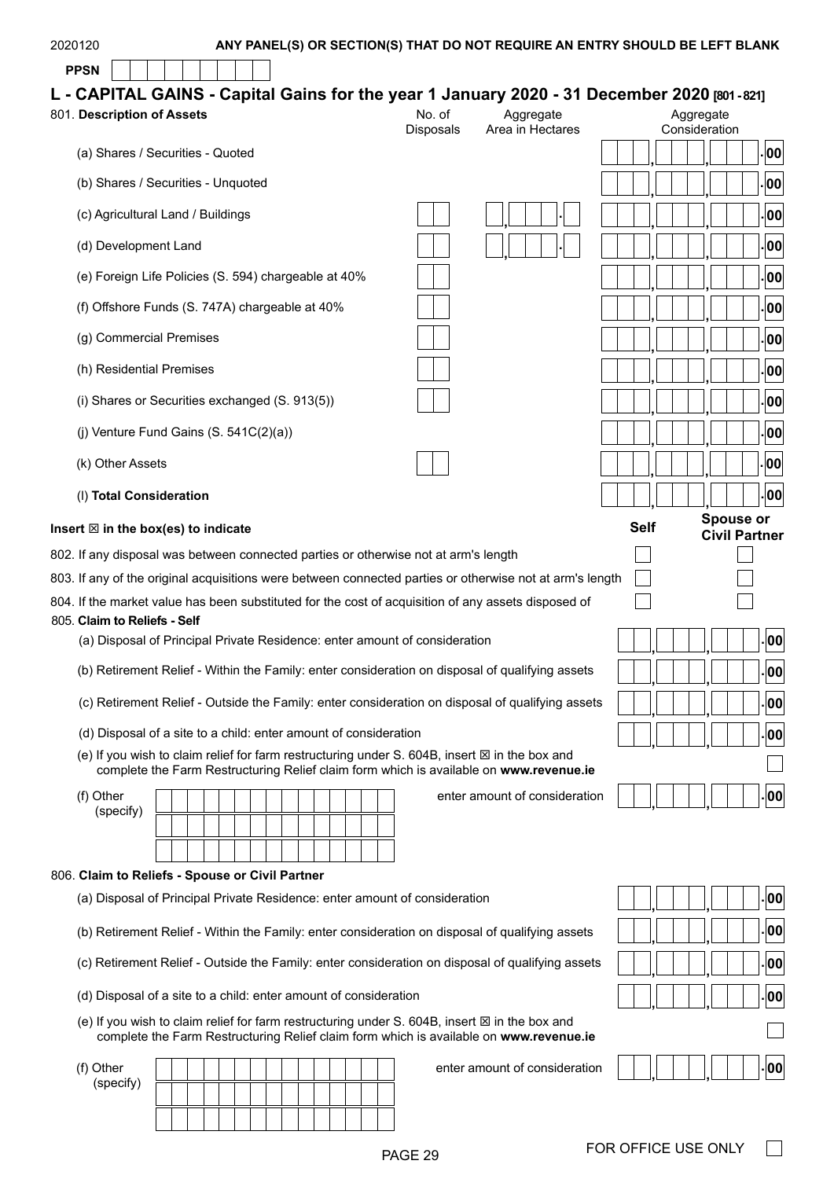#### 2020120 **ANY PANEL(S) OR SECTION(S) THAT DO NOT REQUIRE AN ENTRY SHOULD BE LEFT BLANK PPSN L - CAPITAL GAINS - Capital Gains for the year 1 January 2020 - 31 December 2020 [801 - 821]** 801. **Description of Assets** No. of Disposals Aggregate Area in Hectares Aggregate Consideration (a) Shares / Securities - Quoted (b) Shares / Securities - Unquoted **. ,** (c) Agricultural Land / Buildings **. ,** (d) Development Land (e) Foreign Life Policies (S. 594) chargeable at 40% (f) Offshore Funds (S. 747A) chargeable at 40% **. , , <sup>00</sup> . , , <sup>00</sup> . , , <sup>00</sup> . , , <sup>00</sup> . , , <sup>00</sup> . , , <sup>00</sup>**

- (g) Commercial Premises
- (h) Residential Premises
- (i) Shares or Securities exchanged (S. 913(5))
- (j) Venture Fund Gains  $(S. 541C(2)(a))$
- (k) Other Assets
- (l) **Total Consideration**

#### Insert  $\boxtimes$  in the box(es) to indicate

802. If any disposal was between connected parties or otherwise not at arm's length

- 803. If any of the original acquisitions were between connected parties or otherwise not at arm's length of  $\alpha$
- 804. If the market value has been substituted for the cost of acquisition of any assets disposed of

#### 805. **Claim to Reliefs - Self**

(a) Disposal of Principal Private Residence: enter amount of consideration **. , , <sup>00</sup>**

- (b) Retirement Relief Within the Family: enter consideration on disposal of qualifying assets **. , , <sup>00</sup>**
- (c) Retirement Relief Outside the Family: enter consideration on disposal of qualifying assets **. , , <sup>00</sup>**
- (d) Disposal of a site to a child: enter amount of consideration **. , , <sup>00</sup>**
- (e) If you wish to claim relief for farm restructuring under S. 604B, insert  $\boxtimes$  in the box and complete the Farm Restructuring Relief claim form which is available on **[www.revenue.ie](https://www.revenue.ie/en/Home.aspx)**
- (f) Other (specify)

enter amount of consideration **. , , <sup>00</sup>**

#### 806. **Claim to Reliefs - Spouse or Civil Partner**

- (a) Disposal of Principal Private Residence: enter amount of consideration **. , , <sup>00</sup>**
- (b) Retirement Relief Within the Family: enter consideration on disposal of qualifying assets **. , , <sup>00</sup>**
- (c) Retirement Relief Outside the Family: enter consideration on disposal of qualifying assets **. , , <sup>00</sup>**
- (d) Disposal of a site to a child: enter amount of consideration **. , , <sup>00</sup>**
- (e) If you wish to claim relief for farm restructuring under S, 604B, insert  $\boxtimes$  in the box and complete the Farm Restructuring Relief claim form which is available on **[www.revenue.ie](https://www.revenue.ie/en/Home.aspx)**

(f) Other

(specify)

enter amount of consideration **. , , <sup>00</sup>**

|      |             |  |  |       |        |    | . 00       |
|------|-------------|--|--|-------|--------|----|------------|
|      |             |  |  |       |        |    | .00        |
|      |             |  |  |       |        |    | 00         |
|      |             |  |  |       |        |    | 00         |
|      |             |  |  |       |        |    | . 00       |
|      |             |  |  |       |        |    | 00         |
|      |             |  |  |       |        |    | 00         |
|      |             |  |  |       |        |    | 00         |
|      |             |  |  |       |        |    | 00         |
|      |             |  |  |       |        |    | 00         |
|      |             |  |  |       |        |    |            |
|      |             |  |  |       |        |    |            |
|      | <b>Self</b> |  |  |       | Spouse | or |            |
|      |             |  |  | Civil |        |    | Partner    |
|      |             |  |  |       |        |    |            |
| ngth |             |  |  |       |        |    |            |
|      |             |  |  |       |        |    |            |
|      |             |  |  |       |        |    | . 00       |
|      |             |  |  |       |        |    | 00 .       |
| 3    |             |  |  |       |        |    |            |
|      |             |  |  |       |        |    | .00        |
|      |             |  |  |       |        |    | 00         |
|      |             |  |  |       |        |    | $\cdot$ 00 |

| 00      |  |
|---------|--|
| 00      |  |
| 00<br>٠ |  |
| 00      |  |
|         |  |
| ۱       |  |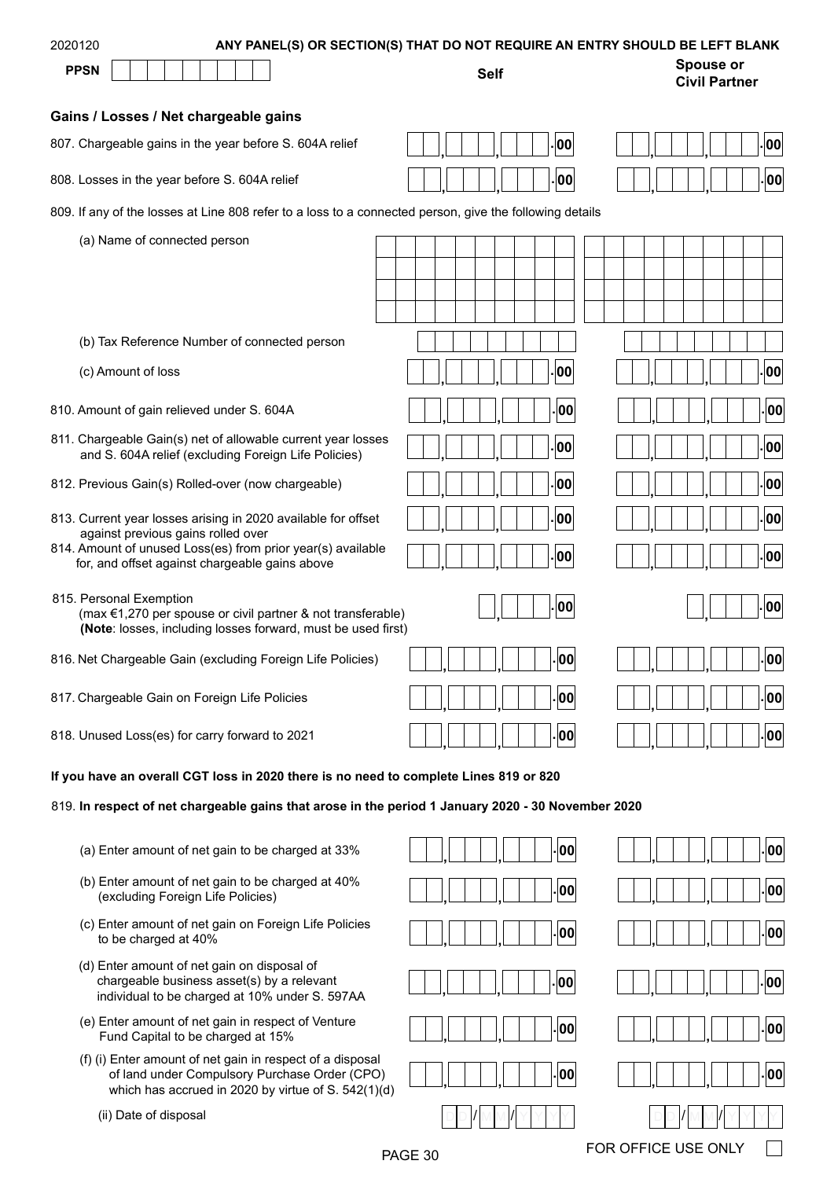| 2020120                                                                                                                                                                | ANY PANEL(S) OR SECTION(S) THAT DO NOT REQUIRE AN ENTRY SHOULD BE LEFT BLANK |                                          |  |  |  |  |  |  |  |  |  |  |
|------------------------------------------------------------------------------------------------------------------------------------------------------------------------|------------------------------------------------------------------------------|------------------------------------------|--|--|--|--|--|--|--|--|--|--|
| <b>PPSN</b>                                                                                                                                                            | <b>Self</b>                                                                  | <b>Spouse or</b><br><b>Civil Partner</b> |  |  |  |  |  |  |  |  |  |  |
| Gains / Losses / Net chargeable gains                                                                                                                                  |                                                                              |                                          |  |  |  |  |  |  |  |  |  |  |
| 807. Chargeable gains in the year before S. 604A relief                                                                                                                | 00                                                                           | 00                                       |  |  |  |  |  |  |  |  |  |  |
| 808. Losses in the year before S. 604A relief                                                                                                                          | 00                                                                           | 00                                       |  |  |  |  |  |  |  |  |  |  |
| 809. If any of the losses at Line 808 refer to a loss to a connected person, give the following details                                                                |                                                                              |                                          |  |  |  |  |  |  |  |  |  |  |
| (a) Name of connected person                                                                                                                                           |                                                                              |                                          |  |  |  |  |  |  |  |  |  |  |
|                                                                                                                                                                        |                                                                              |                                          |  |  |  |  |  |  |  |  |  |  |
|                                                                                                                                                                        |                                                                              |                                          |  |  |  |  |  |  |  |  |  |  |
| (b) Tax Reference Number of connected person                                                                                                                           |                                                                              |                                          |  |  |  |  |  |  |  |  |  |  |
|                                                                                                                                                                        |                                                                              |                                          |  |  |  |  |  |  |  |  |  |  |
| (c) Amount of loss                                                                                                                                                     | 00                                                                           | 00                                       |  |  |  |  |  |  |  |  |  |  |
| 810. Amount of gain relieved under S. 604A                                                                                                                             | 00                                                                           | 00                                       |  |  |  |  |  |  |  |  |  |  |
| 811. Chargeable Gain(s) net of allowable current year losses<br>and S. 604A relief (excluding Foreign Life Policies)                                                   | 00                                                                           | 00                                       |  |  |  |  |  |  |  |  |  |  |
| 812. Previous Gain(s) Rolled-over (now chargeable)                                                                                                                     | 00                                                                           | 00                                       |  |  |  |  |  |  |  |  |  |  |
| 813. Current year losses arising in 2020 available for offset                                                                                                          | 00                                                                           | 00                                       |  |  |  |  |  |  |  |  |  |  |
| against previous gains rolled over<br>814. Amount of unused Loss(es) from prior year(s) available<br>for, and offset against chargeable gains above                    | 00                                                                           | 00                                       |  |  |  |  |  |  |  |  |  |  |
| 815. Personal Exemption<br>(max $\epsilon$ 1,270 per spouse or civil partner & not transferable)<br>(Note: losses, including losses forward, must be used first)       | 00                                                                           | 00                                       |  |  |  |  |  |  |  |  |  |  |
| 816. Net Chargeable Gain (excluding Foreign Life Policies)                                                                                                             | loo                                                                          | lool                                     |  |  |  |  |  |  |  |  |  |  |
| 817. Chargeable Gain on Foreign Life Policies                                                                                                                          | 00                                                                           | 00                                       |  |  |  |  |  |  |  |  |  |  |
| 818. Unused Loss(es) for carry forward to 2021                                                                                                                         | 00                                                                           | .00                                      |  |  |  |  |  |  |  |  |  |  |
| If you have an overall CGT loss in 2020 there is no need to complete Lines 819 or 820                                                                                  |                                                                              |                                          |  |  |  |  |  |  |  |  |  |  |
| 819. In respect of net chargeable gains that arose in the period 1 January 2020 - 30 November 2020                                                                     |                                                                              |                                          |  |  |  |  |  |  |  |  |  |  |
| (a) Enter amount of net gain to be charged at 33%                                                                                                                      | 00                                                                           | 00                                       |  |  |  |  |  |  |  |  |  |  |
| (b) Enter amount of net gain to be charged at 40%<br>(excluding Foreign Life Policies)                                                                                 | 00                                                                           | 00                                       |  |  |  |  |  |  |  |  |  |  |
| (c) Enter amount of net gain on Foreign Life Policies<br>to be charged at 40%                                                                                          | 00                                                                           | 00                                       |  |  |  |  |  |  |  |  |  |  |
| (d) Enter amount of net gain on disposal of<br>chargeable business asset(s) by a relevant<br>individual to be charged at 10% under S. 597AA                            | 00                                                                           | 00                                       |  |  |  |  |  |  |  |  |  |  |
| (e) Enter amount of net gain in respect of Venture<br>Fund Capital to be charged at 15%                                                                                | 00                                                                           | 00                                       |  |  |  |  |  |  |  |  |  |  |
| (f) (i) Enter amount of net gain in respect of a disposal<br>of land under Compulsory Purchase Order (CPO)<br>which has accrued in 2020 by virtue of $S$ , $542(1)(d)$ | 00                                                                           | 00                                       |  |  |  |  |  |  |  |  |  |  |

(ii) Date of disposal

which has accrued in 2020 by virtue of S. 542(1)(d)

PAGE 30 FOR OFFICE USE ONLY

 $\Box$ 

D D M M Y Y Y Y / / D D M M Y Y Y Y / /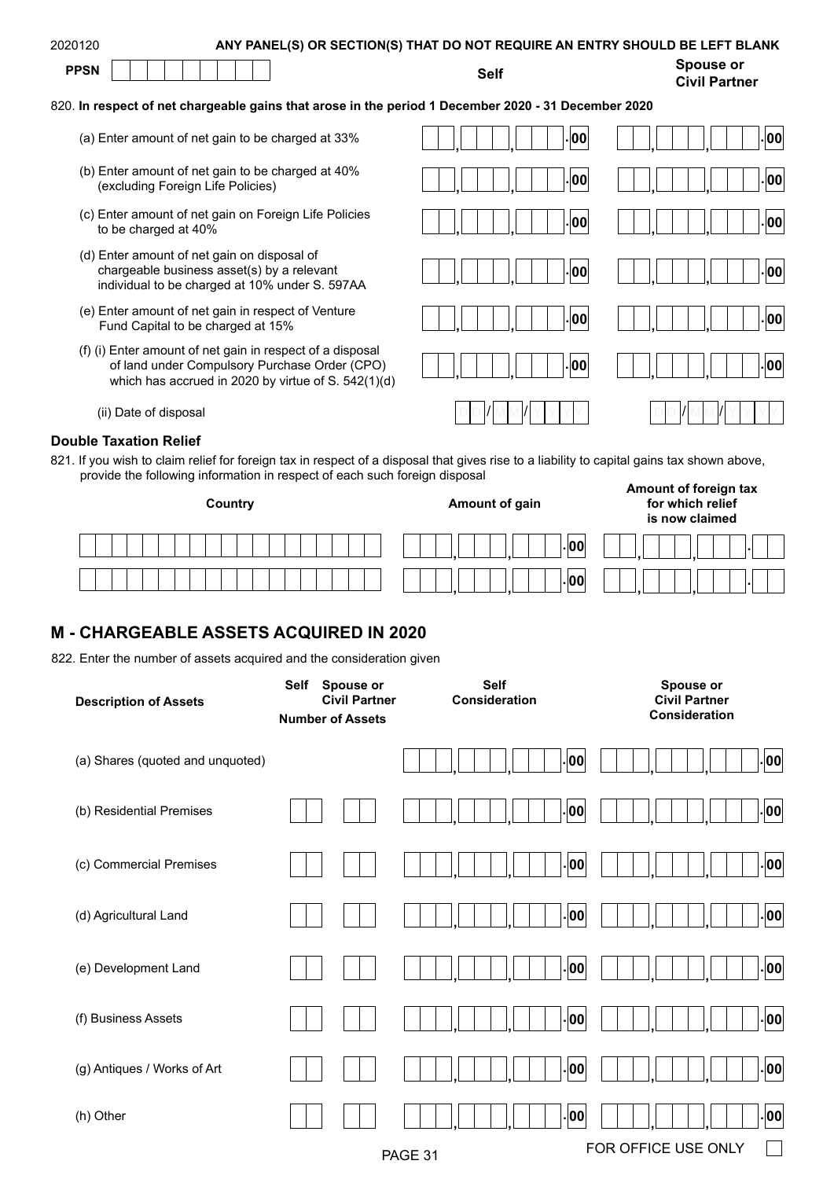| 2020120     | ANY PANEL(S) OR SECTION(S) THAT DO NOT REQUIRE AN ENTRY SHOULD BE LEFT BLANK |                            |
|-------------|------------------------------------------------------------------------------|----------------------------|
| <b>PPSN</b> | Self                                                                         | Spouse or<br>Civil Dortnor |

#### 820. **In respect of net chargeable gains that arose in the period 1 December 2020 - 31 December 2020**

- (a) Enter amount of net gain to be charged at 33% **. , , . <sup>00</sup> , , <sup>00</sup>**
- (b) Enter amount of net gain to be charged at 40% (excluding Foreign Life Policies)
- (c) Enter amount of net gain on Foreign Life Policies to be charged at 40%
- (d) Enter amount of net gain on disposal of chargeable business asset(s) by a relevant individual to be charged at 10% under S. 597AA
- (e) Enter amount of net gain in respect of Venture Fund Capital to be charged at 15% **. , , . <sup>00</sup> , , <sup>00</sup>**
- (f) (i) Enter amount of net gain in respect of a disposal of land under Compulsory Purchase Order (CPO) which has accrued in 2020 by virtue of S. 542(1)(d)

(ii) Date of disposal

#### **Double Taxation Relief**

821. If you wish to claim relief for foreign tax in respect of a disposal that gives rise to a liability to capital gains tax shown above, provide the following information in respect of each such foreign disposal **Amount of foreign tax** 

| Country | Amount of gain | for which relief<br>is now claimed |  |  |  |  |  |  |  |  |
|---------|----------------|------------------------------------|--|--|--|--|--|--|--|--|
|         | . 00           |                                    |  |  |  |  |  |  |  |  |
|         | . 00           |                                    |  |  |  |  |  |  |  |  |

## **M - CHARGEABLE ASSETS ACQUIRED IN 2020**

822. Enter the number of assets acquired and the consideration given

| <b>Description of Assets</b>     | <b>Spouse or</b><br>Self<br><b>Civil Partner</b><br><b>Number of Assets</b> | <b>Self</b><br>Consideration | Spouse or<br><b>Civil Partner</b><br>Consideration |
|----------------------------------|-----------------------------------------------------------------------------|------------------------------|----------------------------------------------------|
| (a) Shares (quoted and unquoted) |                                                                             | 00                           | -00                                                |
| (b) Residential Premises         |                                                                             | 00                           | -00                                                |
| (c) Commercial Premises          |                                                                             | . 00                         | -00                                                |
| (d) Agricultural Land            |                                                                             | .00                          | $\vert$ 00 $\vert$                                 |
| (e) Development Land             |                                                                             | -00                          | $\vert$ 00 $\vert$                                 |
| (f) Business Assets              |                                                                             | . 00                         | $\vert$ 00 $\vert$                                 |
| (g) Antiques / Works of Art      |                                                                             | - 00                         | $\cdot$ 00 $\mid$                                  |
| (h) Other                        |                                                                             | - 00                         | $\cdot$ 00                                         |
|                                  |                                                                             | PAGE 31                      | FOR OFFICE USE ONLY                                |

| $ \;\; \;\; $ - $ $ oo $ \;\; $<br>$\vert \vert$ $\vert \vert \vert$<br>$\mathbb{R}$ | $\begin{array}{c c c c c c} \hline \textbf{1} & \textbf{1} & \textbf{1} & \textbf{1} & \textbf{1} & \textbf{1} & \textbf{1} & \textbf{1} & \textbf{1} & \textbf{1} & \textbf{1} & \textbf{1} & \textbf{1} & \textbf{1} & \textbf{1} & \textbf{1} & \textbf{1} & \textbf{1} & \textbf{1} & \textbf{1} & \textbf{1} & \textbf{1} & \textbf{1} & \textbf{1} & \textbf{1} & \textbf{1} & \textbf{1} & \textbf{1} & \textbf{$<br>$ . $ 00 $ $ |
|--------------------------------------------------------------------------------------|------------------------------------------------------------------------------------------------------------------------------------------------------------------------------------------------------------------------------------------------------------------------------------------------------------------------------------------------------------------------------------------------------------------------------------------|
| $\vert \ \vert$ . $\vert$ 00 $\vert$                                                 | . 00 <br>$\Box$                                                                                                                                                                                                                                                                                                                                                                                                                          |
| $ \;\; \;\; $ - $ $ 00 $ \;\; $<br>$\Box$                                            | $\vert \vert \cdot \vert$ oo $\vert$<br>$\vert \vert$ $\vert \vert \vert \vert$                                                                                                                                                                                                                                                                                                                                                          |
|                                                                                      | $\vert \vert \cdot \vert$ oo $\vert$                                                                                                                                                                                                                                                                                                                                                                                                     |
| $ \;\; \;\; $ - $ $ 00 $ \;\;$                                                       | $\vert$ $\vert$ $\vert$ oo $\vert$<br>   1  1  1  1                                                                                                                                                                                                                                                                                                                                                                                      |
| $ \;\; \;\; $ - $ $ 00 $ \;$                                                         | $ . $ 00 $ $                                                                                                                                                                                                                                                                                                                                                                                                                             |
| YY                                                                                   |                                                                                                                                                                                                                                                                                                                                                                                                                                          |

**Civil Partner**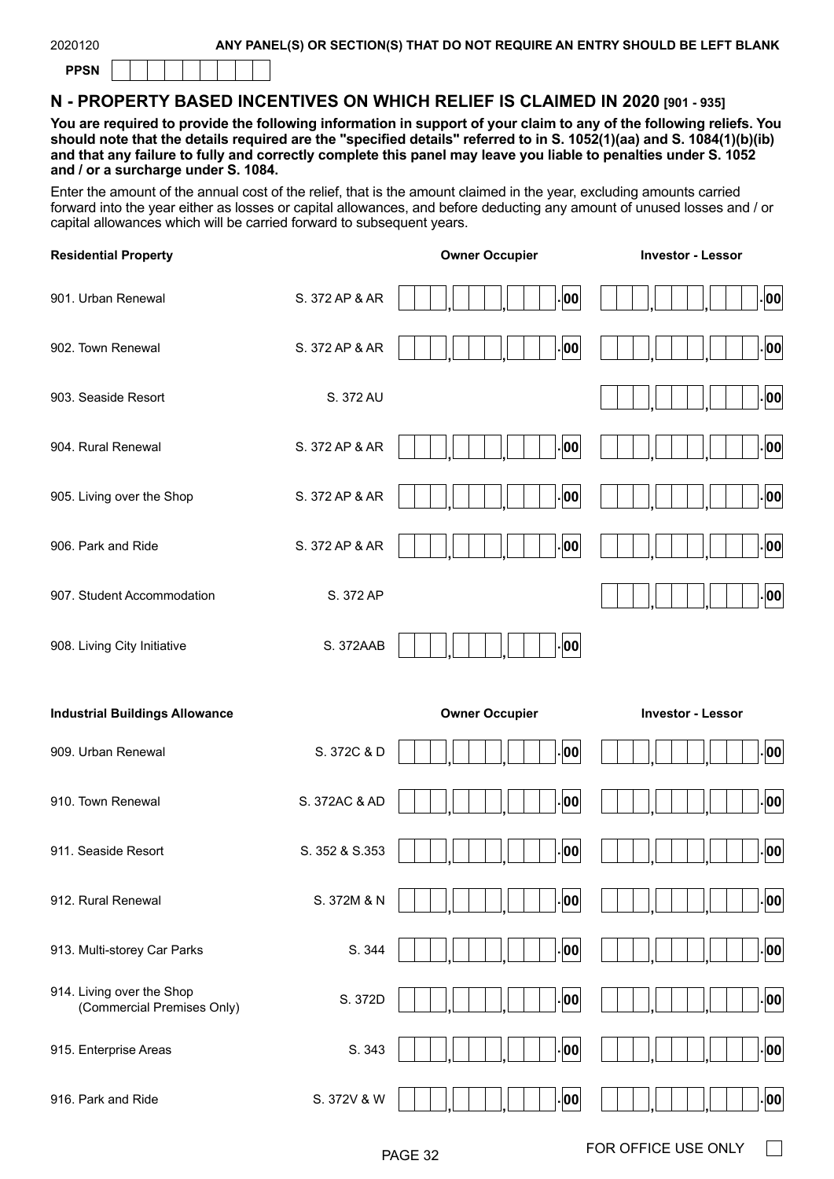| ., |
|----|
|----|

## **N - PROPERTY BASED INCENTIVES ON WHICH RELIEF IS CLAIMED IN 2020 [901 - 935]**

**You are required to provide the following information in support of your claim to any of the following reliefs. You should note that the details required are the "specified details" referred to in S. 1052(1)(aa) and S. 1084(1)(b)(ib) and that any failure to fully and correctly complete this panel may leave you liable to penalties under S. 1052 and / or a surcharge under S. 1084.**

Enter the amount of the annual cost of the relief, that is the amount claimed in the year, excluding amounts carried forward into the year either as losses or capital allowances, and before deducting any amount of unused losses and / or capital allowances which will be carried forward to subsequent years.

| <b>Residential Property</b>                             |                | <b>Owner Occupier</b> | <b>Investor - Lessor</b> |
|---------------------------------------------------------|----------------|-----------------------|--------------------------|
| 901. Urban Renewal                                      | S. 372 AP & AR | 00                    | 00                       |
| 902. Town Renewal                                       | S. 372 AP & AR | 00                    | 00                       |
| 903. Seaside Resort                                     | S. 372 AU      |                       | 00                       |
| 904. Rural Renewal                                      | S. 372 AP & AR | 00                    | 00                       |
| 905. Living over the Shop                               | S. 372 AP & AR | 00                    | 00                       |
| 906. Park and Ride                                      | S. 372 AP & AR | 00                    | 00                       |
| 907. Student Accommodation                              | S. 372 AP      |                       | 00                       |
| 908. Living City Initiative                             | S. 372AAB      | 00                    |                          |
|                                                         |                |                       |                          |
| <b>Industrial Buildings Allowance</b>                   |                | <b>Owner Occupier</b> | <b>Investor - Lessor</b> |
| 909. Urban Renewal                                      | S. 372C & D    | 00                    | 00                       |
| 910. Town Renewal                                       | S. 372AC & AD  | 00                    | 00                       |
| 911. Seaside Resort                                     | S. 352 & S.353 | 00                    | 00                       |
| 912. Rural Renewal                                      | S. 372M & N    | 00                    | 00                       |
| 913. Multi-storey Car Parks                             | S. 344         | 00                    | 00                       |
| 914. Living over the Shop<br>(Commercial Premises Only) | S. 372D        | 00                    | 00                       |
| 915. Enterprise Areas                                   | S. 343         | 00                    | 00                       |

 $\Box$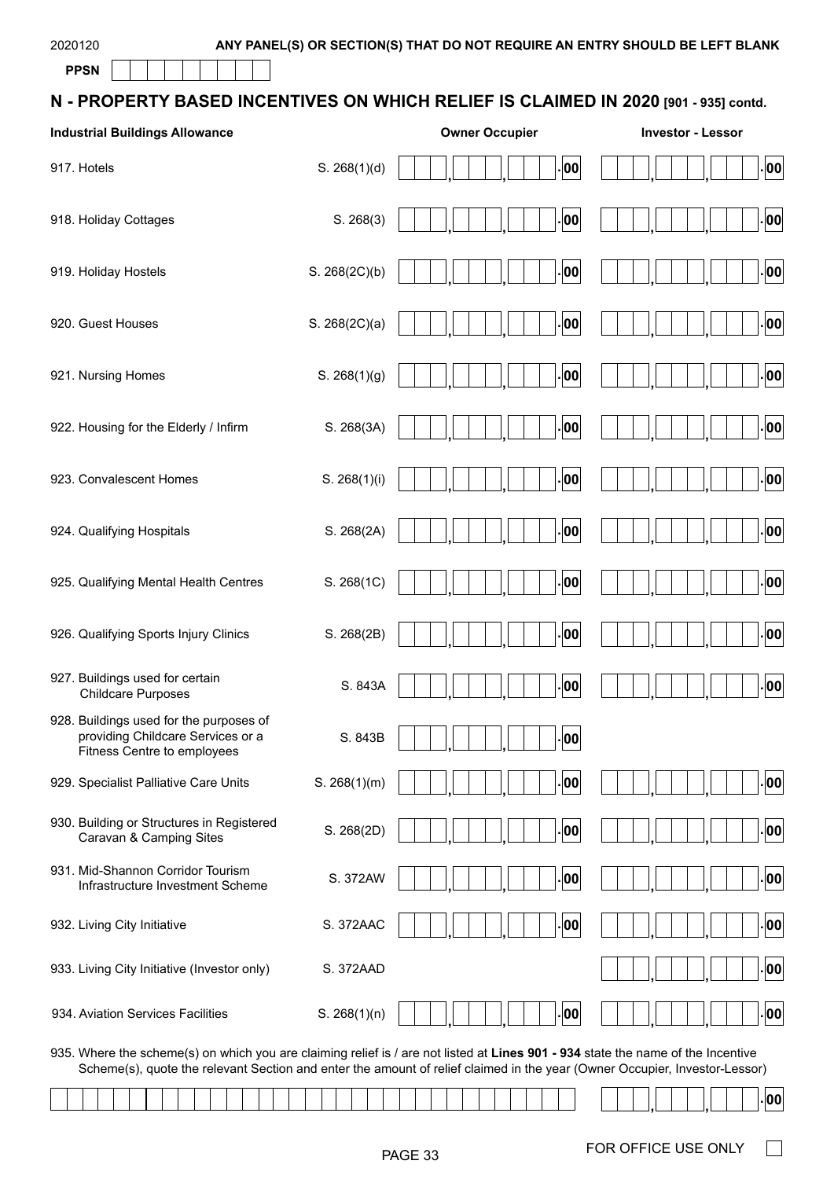**PPSN**

| N - PROPERTY BASED INCENTIVES ON WHICH RELIEF IS CLAIMED IN 2020 [901 - 935] contd. |  |
|-------------------------------------------------------------------------------------|--|
|-------------------------------------------------------------------------------------|--|

| <b>Industrial Buildings Allowance</b>                                                                                            |               | <b>Owner Occupier</b> | <b>Investor - Lessor</b> |
|----------------------------------------------------------------------------------------------------------------------------------|---------------|-----------------------|--------------------------|
| 917. Hotels                                                                                                                      | S. 268(1)(d)  | 00                    | 00                       |
| 918. Holiday Cottages                                                                                                            | S. 268(3)     | 00                    | 00                       |
| 919. Holiday Hostels                                                                                                             | S. 268(2C)(b) | 00                    | 00                       |
| 920. Guest Houses                                                                                                                | S. 268(2C)(a) | 00                    | 00                       |
| 921. Nursing Homes                                                                                                               | S. 268(1)(g)  | 00                    | 00                       |
| 922. Housing for the Elderly / Infirm                                                                                            | S. 268(3A)    | 00                    | 00                       |
| 923. Convalescent Homes                                                                                                          | S. 268(1)(i)  | 00                    | 00                       |
| 924. Qualifying Hospitals                                                                                                        | S. 268(2A)    | 00                    | 00                       |
| 925. Qualifying Mental Health Centres                                                                                            | S. 268(1C)    | $ 00\rangle$          | 00                       |
| 926. Qualifying Sports Injury Clinics                                                                                            | S. 268(2B)    | 00                    | 00                       |
| 927. Buildings used for certain<br><b>Childcare Purposes</b>                                                                     | S. 843A       | 00                    | 00                       |
| 928. Buildings used for the purposes of<br>providing Childcare Services or a<br>Fitness Centre to employees                      | S. 843B       | - 00                  |                          |
| 929. Specialist Palliative Care Units                                                                                            | S. 268(1)(m)  | 00                    | 00                       |
| 930. Building or Structures in Registered<br>Caravan & Camping Sites                                                             | S. 268(2D)    | 00.                   | 00                       |
| 931. Mid-Shannon Corridor Tourism<br>Infrastructure Investment Scheme                                                            | S. 372AW      | $ 00\rangle$          | 00                       |
| 932. Living City Initiative                                                                                                      | S. 372AAC     | 00                    | 00                       |
| 933. Living City Initiative (Investor only)                                                                                      | S. 372AAD     |                       | 00                       |
| 934. Aviation Services Facilities                                                                                                | S. 268(1)(n)  | 00                    | 00                       |
| 935. Where the scheme(s) on which you are claiming relief is / are not listed at Lines 901 - 934 state the name of the Incentive |               |                       |                          |

Scheme(s), quote the relevant Section and enter the amount of relief claimed in the year (Owner Occupier, Investor-Lessor)

|  |  |  |  |  |  |  | , , , , , , , , , , , , , , |  |  |  |  |  |  |  |  |  |  |  |  |  |  |  |
|--|--|--|--|--|--|--|-----------------------------|--|--|--|--|--|--|--|--|--|--|--|--|--|--|--|
|  |  |  |  |  |  |  |                             |  |  |  |  |  |  |  |  |  |  |  |  |  |  |  |

 $\Box$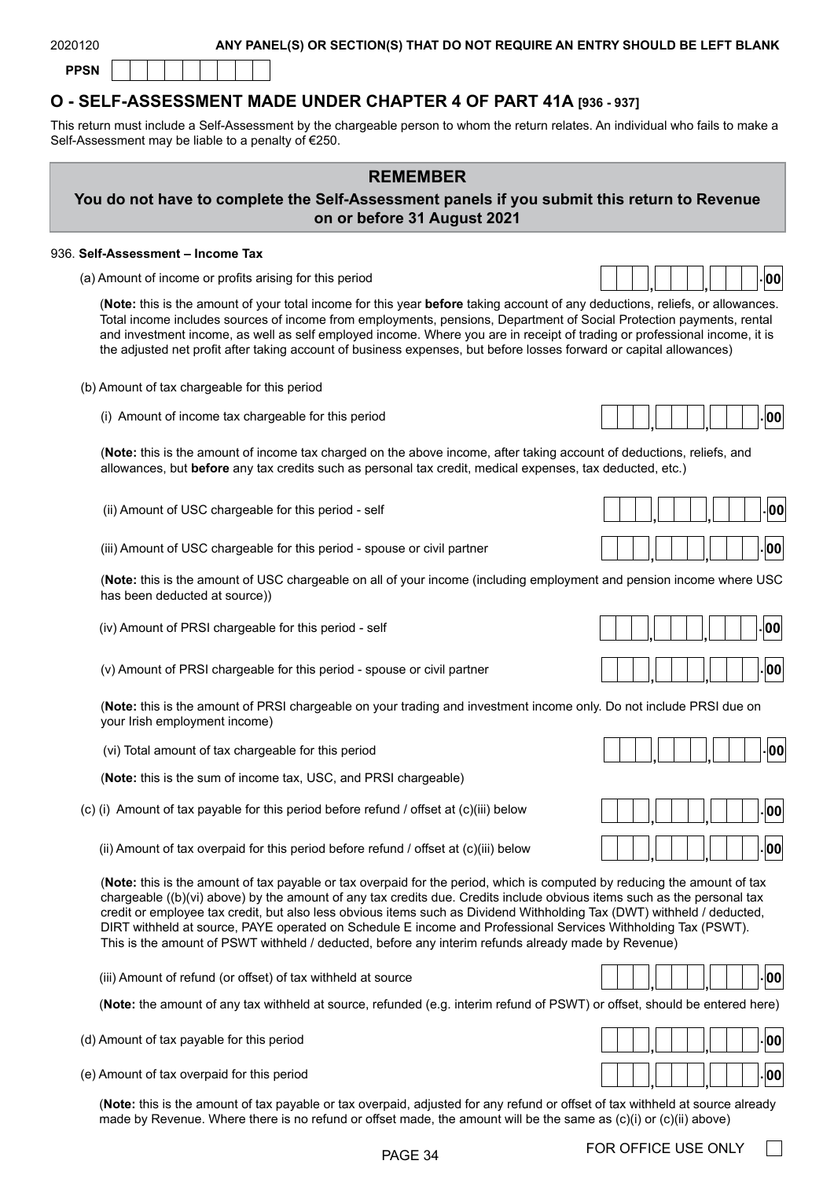

## **O - SELF-ASSESSMENT MADE UNDER CHAPTER 4 OF PART 41A [936 - 937]**

This return must include a Self-Assessment by the chargeable person to whom the return relates. An individual who fails to make a Self-Assessment may be liable to a penalty of €250.

| <b>REMEMBER</b><br>You do not have to complete the Self-Assessment panels if you submit this return to Revenue<br>on or before 31 August 2021                                                                                                                                                                                                                                                                                                                                                                                                                                                         |     |
|-------------------------------------------------------------------------------------------------------------------------------------------------------------------------------------------------------------------------------------------------------------------------------------------------------------------------------------------------------------------------------------------------------------------------------------------------------------------------------------------------------------------------------------------------------------------------------------------------------|-----|
| 936. Self-Assessment - Income Tax                                                                                                                                                                                                                                                                                                                                                                                                                                                                                                                                                                     |     |
| (a) Amount of income or profits arising for this period                                                                                                                                                                                                                                                                                                                                                                                                                                                                                                                                               | 00  |
| (Note: this is the amount of your total income for this year before taking account of any deductions, reliefs, or allowances.<br>Total income includes sources of income from employments, pensions, Department of Social Protection payments, rental<br>and investment income, as well as self employed income. Where you are in receipt of trading or professional income, it is<br>the adjusted net profit after taking account of business expenses, but before losses forward or capital allowances)                                                                                             |     |
| (b) Amount of tax chargeable for this period                                                                                                                                                                                                                                                                                                                                                                                                                                                                                                                                                          |     |
| (i) Amount of income tax chargeable for this period                                                                                                                                                                                                                                                                                                                                                                                                                                                                                                                                                   | 00  |
| (Note: this is the amount of income tax charged on the above income, after taking account of deductions, reliefs, and<br>allowances, but before any tax credits such as personal tax credit, medical expenses, tax deducted, etc.)                                                                                                                                                                                                                                                                                                                                                                    |     |
| (ii) Amount of USC chargeable for this period - self                                                                                                                                                                                                                                                                                                                                                                                                                                                                                                                                                  | 00  |
| (iii) Amount of USC chargeable for this period - spouse or civil partner                                                                                                                                                                                                                                                                                                                                                                                                                                                                                                                              | 00  |
| (Note: this is the amount of USC chargeable on all of your income (including employment and pension income where USC<br>has been deducted at source))                                                                                                                                                                                                                                                                                                                                                                                                                                                 |     |
| (iv) Amount of PRSI chargeable for this period - self                                                                                                                                                                                                                                                                                                                                                                                                                                                                                                                                                 | 00  |
| (v) Amount of PRSI chargeable for this period - spouse or civil partner                                                                                                                                                                                                                                                                                                                                                                                                                                                                                                                               | 00  |
| (Note: this is the amount of PRSI chargeable on your trading and investment income only. Do not include PRSI due on<br>your Irish employment income)                                                                                                                                                                                                                                                                                                                                                                                                                                                  |     |
| (vi) Total amount of tax chargeable for this period                                                                                                                                                                                                                                                                                                                                                                                                                                                                                                                                                   | 00  |
| (Note: this is the sum of income tax, USC, and PRSI chargeable)                                                                                                                                                                                                                                                                                                                                                                                                                                                                                                                                       |     |
| (c) (i) Amount of tax payable for this period before refund / offset at (c)(iii) below                                                                                                                                                                                                                                                                                                                                                                                                                                                                                                                | 100 |
| (ii) Amount of tax overpaid for this period before refund / offset at (c)(iii) below                                                                                                                                                                                                                                                                                                                                                                                                                                                                                                                  | 00  |
| (Note: this is the amount of tax payable or tax overpaid for the period, which is computed by reducing the amount of tax<br>chargeable ((b)(vi) above) by the amount of any tax credits due. Credits include obvious items such as the personal tax<br>credit or employee tax credit, but also less obvious items such as Dividend Withholding Tax (DWT) withheld / deducted,<br>DIRT withheld at source, PAYE operated on Schedule E income and Professional Services Withholding Tax (PSWT).<br>This is the amount of PSWT withheld / deducted, before any interim refunds already made by Revenue) |     |

(iii) Amount of refund (or offset) of tax withheld at source

(**Note:** the amount of any tax withheld at source, refunded (e.g. interim refund of PSWT) or offset, should be entered here)

- (d) Amount of tax payable for this period
- (e) Amount of tax overpaid for this period

(**Note:** this is the amount of tax payable or tax overpaid, adjusted for any refund or offset of tax withheld at source already made by Revenue. Where there is no refund or offset made, the amount will be the same as (c)(i) or (c)(ii) above)

PAGE 34 FOR OFFICE USE ONLY

|  |  |  |  |  |  | 001<br>Ш |  |
|--|--|--|--|--|--|----------|--|
|  |  |  |  |  |  |          |  |

**, , . <sup>00</sup>**

**. , , <sup>00</sup>**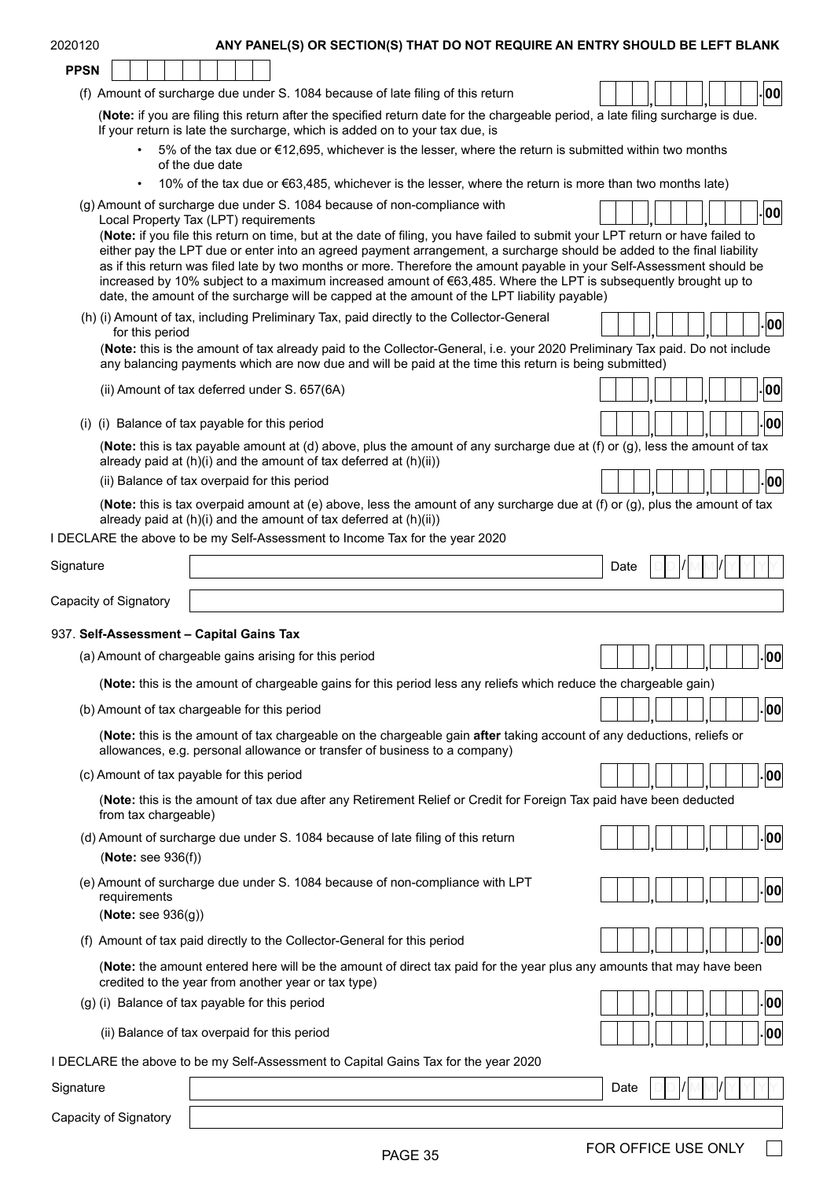| 2020120                                   | ANY PANEL(S) OR SECTION(S) THAT DO NOT REQUIRE AN ENTRY SHOULD BE LEFT BLANK                                                                                                                                                                                                                                                                                                                                                                                       |      |  |  |                   |
|-------------------------------------------|--------------------------------------------------------------------------------------------------------------------------------------------------------------------------------------------------------------------------------------------------------------------------------------------------------------------------------------------------------------------------------------------------------------------------------------------------------------------|------|--|--|-------------------|
| <b>PPSN</b>                               |                                                                                                                                                                                                                                                                                                                                                                                                                                                                    |      |  |  |                   |
|                                           | (f) Amount of surcharge due under S. 1084 because of late filing of this return                                                                                                                                                                                                                                                                                                                                                                                    |      |  |  | 00                |
|                                           | (Note: if you are filing this return after the specified return date for the chargeable period, a late filing surcharge is due.<br>If your return is late the surcharge, which is added on to your tax due, is                                                                                                                                                                                                                                                     |      |  |  |                   |
|                                           | 5% of the tax due or €12,695, whichever is the lesser, where the return is submitted within two months<br>of the due date                                                                                                                                                                                                                                                                                                                                          |      |  |  |                   |
|                                           | 10% of the tax due or €63,485, whichever is the lesser, where the return is more than two months late)                                                                                                                                                                                                                                                                                                                                                             |      |  |  |                   |
|                                           | (g) Amount of surcharge due under S. 1084 because of non-compliance with<br>Local Property Tax (LPT) requirements<br>(Note: if you file this return on time, but at the date of filing, you have failed to submit your LPT return or have failed to                                                                                                                                                                                                                |      |  |  | - 00              |
|                                           | either pay the LPT due or enter into an agreed payment arrangement, a surcharge should be added to the final liability<br>as if this return was filed late by two months or more. Therefore the amount payable in your Self-Assessment should be<br>increased by 10% subject to a maximum increased amount of €63,485. Where the LPT is subsequently brought up to<br>date, the amount of the surcharge will be capped at the amount of the LPT liability payable) |      |  |  |                   |
| for this period                           | (h) (i) Amount of tax, including Preliminary Tax, paid directly to the Collector-General                                                                                                                                                                                                                                                                                                                                                                           |      |  |  | - 00              |
|                                           | (Note: this is the amount of tax already paid to the Collector-General, i.e. your 2020 Preliminary Tax paid. Do not include<br>any balancing payments which are now due and will be paid at the time this return is being submitted)                                                                                                                                                                                                                               |      |  |  |                   |
|                                           | (ii) Amount of tax deferred under S. 657(6A)                                                                                                                                                                                                                                                                                                                                                                                                                       |      |  |  | . 00              |
|                                           | (i) (i) Balance of tax payable for this period                                                                                                                                                                                                                                                                                                                                                                                                                     |      |  |  | 00                |
|                                           | (Note: this is tax payable amount at (d) above, plus the amount of any surcharge due at (f) or (g), less the amount of tax<br>already paid at (h)(i) and the amount of tax deferred at (h)(ii))                                                                                                                                                                                                                                                                    |      |  |  |                   |
|                                           | (ii) Balance of tax overpaid for this period                                                                                                                                                                                                                                                                                                                                                                                                                       |      |  |  | - 00              |
|                                           | (Note: this is tax overpaid amount at (e) above, less the amount of any surcharge due at (f) or (g), plus the amount of tax<br>already paid at (h)(i) and the amount of tax deferred at (h)(ii))<br>I DECLARE the above to be my Self-Assessment to Income Tax for the year 2020                                                                                                                                                                                   |      |  |  |                   |
| Signature                                 |                                                                                                                                                                                                                                                                                                                                                                                                                                                                    | Date |  |  |                   |
|                                           |                                                                                                                                                                                                                                                                                                                                                                                                                                                                    |      |  |  |                   |
| Capacity of Signatory                     |                                                                                                                                                                                                                                                                                                                                                                                                                                                                    |      |  |  |                   |
|                                           |                                                                                                                                                                                                                                                                                                                                                                                                                                                                    |      |  |  |                   |
| 937. Self-Assessment - Capital Gains Tax  |                                                                                                                                                                                                                                                                                                                                                                                                                                                                    |      |  |  |                   |
|                                           | (a) Amount of chargeable gains arising for this period                                                                                                                                                                                                                                                                                                                                                                                                             |      |  |  | . <sub> 00 </sub> |
|                                           | (Note: this is the amount of chargeable gains for this period less any reliefs which reduce the chargeable gain)                                                                                                                                                                                                                                                                                                                                                   |      |  |  |                   |
|                                           | (b) Amount of tax chargeable for this period                                                                                                                                                                                                                                                                                                                                                                                                                       |      |  |  | 00                |
|                                           | (Note: this is the amount of tax chargeable on the chargeable gain after taking account of any deductions, reliefs or<br>allowances, e.g. personal allowance or transfer of business to a company)                                                                                                                                                                                                                                                                 |      |  |  |                   |
| (c) Amount of tax payable for this period |                                                                                                                                                                                                                                                                                                                                                                                                                                                                    |      |  |  | 00                |
| from tax chargeable)                      | (Note: this is the amount of tax due after any Retirement Relief or Credit for Foreign Tax paid have been deducted                                                                                                                                                                                                                                                                                                                                                 |      |  |  |                   |
| (Note: see $936(f)$ )                     | (d) Amount of surcharge due under S. 1084 because of late filing of this return                                                                                                                                                                                                                                                                                                                                                                                    |      |  |  | 00                |
| requirements                              | (e) Amount of surcharge due under S. 1084 because of non-compliance with LPT                                                                                                                                                                                                                                                                                                                                                                                       |      |  |  | 00                |
| (Note: see $936(g)$ )                     |                                                                                                                                                                                                                                                                                                                                                                                                                                                                    |      |  |  |                   |
|                                           | (f) Amount of tax paid directly to the Collector-General for this period                                                                                                                                                                                                                                                                                                                                                                                           |      |  |  | 00                |
|                                           | (Note: the amount entered here will be the amount of direct tax paid for the year plus any amounts that may have been<br>credited to the year from another year or tax type)                                                                                                                                                                                                                                                                                       |      |  |  |                   |
|                                           | (g) (i) Balance of tax payable for this period                                                                                                                                                                                                                                                                                                                                                                                                                     |      |  |  | 00                |
|                                           | (ii) Balance of tax overpaid for this period                                                                                                                                                                                                                                                                                                                                                                                                                       |      |  |  | 00                |
|                                           | I DECLARE the above to be my Self-Assessment to Capital Gains Tax for the year 2020                                                                                                                                                                                                                                                                                                                                                                                |      |  |  |                   |
| Signature                                 |                                                                                                                                                                                                                                                                                                                                                                                                                                                                    | Date |  |  |                   |

PAGE 35 FOR OFFICE USE ONLY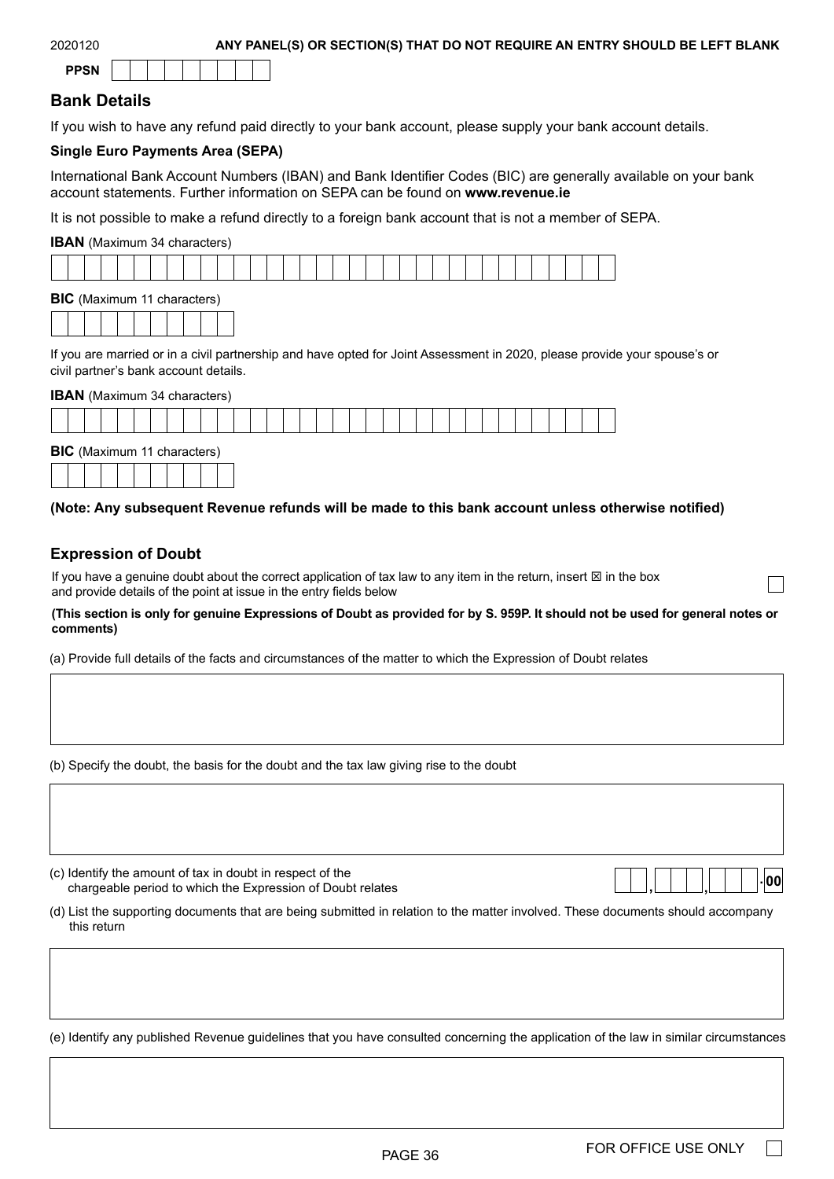| 2020120 |  |  |
|---------|--|--|
|         |  |  |

## **Bank Details**

If you wish to have any refund paid directly to your bank account, please supply your bank account details.

#### **Single Euro Payments Area (SEPA)**

International Bank Account Numbers (IBAN) and Bank Identifier Codes (BIC) are generally available on your bank account statements. Further information on SEPA can be found on **[www.revenue.ie](https://www.revenue.ie/en/Home.aspx)**

It is not possible to make a refund directly to a foreign bank account that is not a member of SEPA.

#### **IBAN** (Maximum 34 characters)



| <b>BIC</b> (Maximum 11 characters) |  |  |  |  |  |  |  |  |  |  |  |
|------------------------------------|--|--|--|--|--|--|--|--|--|--|--|
|                                    |  |  |  |  |  |  |  |  |  |  |  |

If you are married or in a civil partnership and have opted for Joint Assessment in 2020, please provide your spouse's or civil partner's bank account details.

#### **IBAN** (Maximum 34 characters)

| <b>RIC</b> (Maximum 11 charactors) |  |  |  |  |  |  |  |  |  |  |  |  |  |  |  |  |
|------------------------------------|--|--|--|--|--|--|--|--|--|--|--|--|--|--|--|--|

| <b>DIO</b> (MANITUM) IT CHARGES) |  |  |  |  |  |  |  |  |  |  |  |  |
|----------------------------------|--|--|--|--|--|--|--|--|--|--|--|--|
|                                  |  |  |  |  |  |  |  |  |  |  |  |  |

#### **(Note: Any subsequent Revenue refunds will be made to this bank account unless otherwise notified)**

#### **Expression of Doubt**

If you have a genuine doubt about the correct application of tax law to any item in the return, insert  $\boxtimes$  in the box and provide details of the point at issue in the entry fields below

**(This section is only for genuine Expressions of Doubt as provided for by S. 959P. It should not be used for general notes or comments)**

(a) Provide full details of the facts and circumstances of the matter to which the Expression of Doubt relates

(b) Specify the doubt, the basis for the doubt and the tax law giving rise to the doubt

(c) Identify the amount of tax in doubt in respect of the chargeable period to which the Expression of Doubt relates

(d) List the supporting documents that are being submitted in relation to the matter involved. These documents should accompany this return

(e) Identify any published Revenue guidelines that you have consulted concerning the application of the law in similar circumstances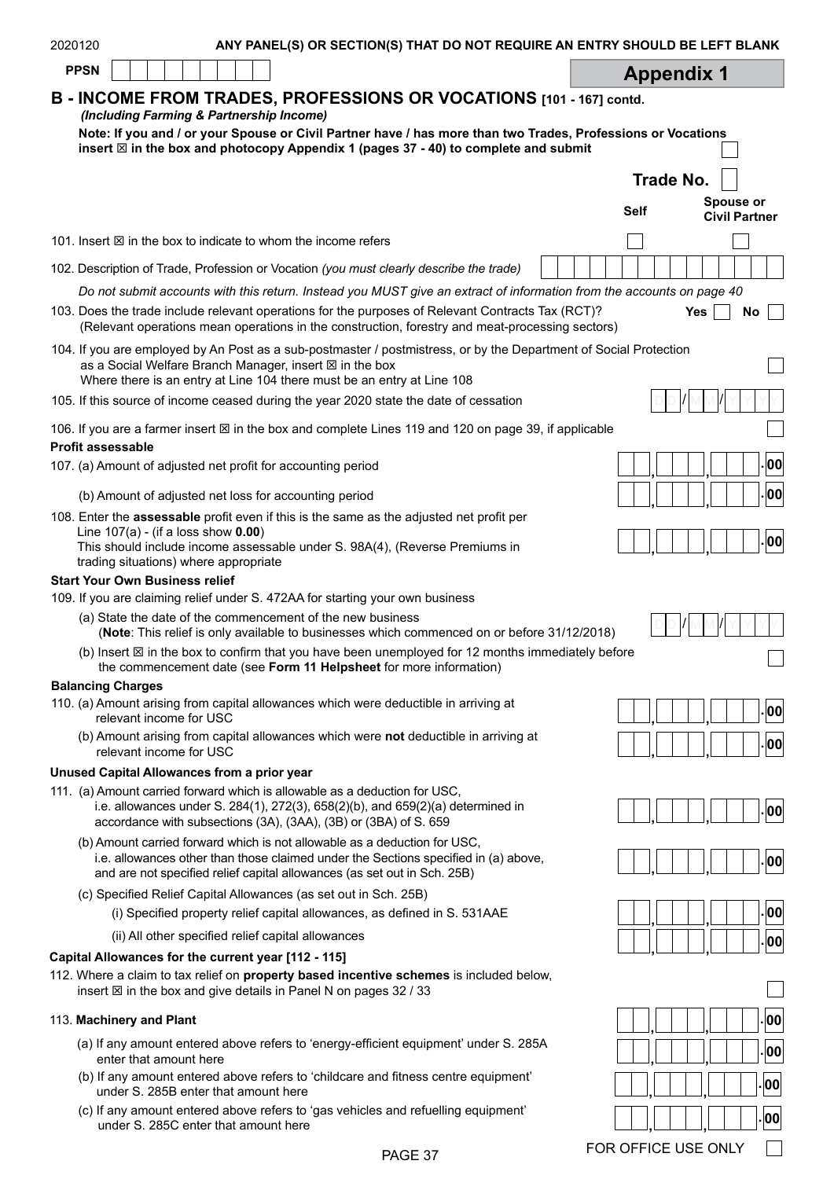| 2020120<br>ANY PANEL(S) OR SECTION(S) THAT DO NOT REQUIRE AN ENTRY SHOULD BE LEFT BLANK                                                                                                                                                                          |                                                  |
|------------------------------------------------------------------------------------------------------------------------------------------------------------------------------------------------------------------------------------------------------------------|--------------------------------------------------|
| <b>PPSN</b>                                                                                                                                                                                                                                                      | <b>Appendix 1</b>                                |
| B - INCOME FROM TRADES, PROFESSIONS OR VOCATIONS [101 - 167] contd.<br>(Including Farming & Partnership Income)                                                                                                                                                  |                                                  |
| Note: If you and / or your Spouse or Civil Partner have / has more than two Trades, Professions or Vocations<br>insert $\boxtimes$ in the box and photocopy Appendix 1 (pages 37 - 40) to complete and submit                                                    |                                                  |
|                                                                                                                                                                                                                                                                  | <b>Trade No.</b>                                 |
|                                                                                                                                                                                                                                                                  | <b>Spouse or</b><br>Self<br><b>Civil Partner</b> |
| 101. Insert $\boxtimes$ in the box to indicate to whom the income refers                                                                                                                                                                                         |                                                  |
| 102. Description of Trade, Profession or Vocation (you must clearly describe the trade)                                                                                                                                                                          |                                                  |
| Do not submit accounts with this return. Instead you MUST give an extract of information from the accounts on page 40                                                                                                                                            |                                                  |
| 103. Does the trade include relevant operations for the purposes of Relevant Contracts Tax (RCT)?<br>(Relevant operations mean operations in the construction, forestry and meat-processing sectors)                                                             | <b>Yes</b><br>No                                 |
| 104. If you are employed by An Post as a sub-postmaster / postmistress, or by the Department of Social Protection<br>as a Social Welfare Branch Manager, insert $\boxtimes$ in the box<br>Where there is an entry at Line 104 there must be an entry at Line 108 |                                                  |
| 105. If this source of income ceased during the year 2020 state the date of cessation                                                                                                                                                                            |                                                  |
| 106. If you are a farmer insert $\boxtimes$ in the box and complete Lines 119 and 120 on page 39, if applicable<br><b>Profit assessable</b>                                                                                                                      |                                                  |
| 107. (a) Amount of adjusted net profit for accounting period                                                                                                                                                                                                     | 00                                               |
|                                                                                                                                                                                                                                                                  | 00                                               |
| (b) Amount of adjusted net loss for accounting period<br>108. Enter the assessable profit even if this is the same as the adjusted net profit per                                                                                                                |                                                  |
| Line $107(a)$ - (if a loss show $0.00$ )<br>This should include income assessable under S. 98A(4), (Reverse Premiums in<br>trading situations) where appropriate                                                                                                 | 00                                               |
| <b>Start Your Own Business relief</b>                                                                                                                                                                                                                            |                                                  |
| 109. If you are claiming relief under S. 472AA for starting your own business<br>(a) State the date of the commencement of the new business                                                                                                                      |                                                  |
| (Note: This relief is only available to businesses which commenced on or before 31/12/2018)                                                                                                                                                                      |                                                  |
| (b) Insert $\boxtimes$ in the box to confirm that you have been unemployed for 12 months immediately before<br>the commencement date (see Form 11 Helpsheet for more information)                                                                                |                                                  |
| <b>Balancing Charges</b>                                                                                                                                                                                                                                         |                                                  |
| 110. (a) Amount arising from capital allowances which were deductible in arriving at<br>relevant income for USC                                                                                                                                                  | 00                                               |
| (b) Amount arising from capital allowances which were not deductible in arriving at<br>relevant income for USC                                                                                                                                                   | 00                                               |
| Unused Capital Allowances from a prior year                                                                                                                                                                                                                      |                                                  |
| 111. (a) Amount carried forward which is allowable as a deduction for USC,<br>i.e. allowances under S. 284(1), 272(3), 658(2)(b), and $659(2)(a)$ determined in<br>accordance with subsections (3A), (3AA), (3B) or (3BA) of S. 659                              | 00                                               |
| (b) Amount carried forward which is not allowable as a deduction for USC,<br>i.e. allowances other than those claimed under the Sections specified in (a) above,<br>and are not specified relief capital allowances (as set out in Sch. 25B)                     | 00                                               |
| (c) Specified Relief Capital Allowances (as set out in Sch. 25B)                                                                                                                                                                                                 |                                                  |
| (i) Specified property relief capital allowances, as defined in S. 531AAE                                                                                                                                                                                        | 00                                               |
| (ii) All other specified relief capital allowances                                                                                                                                                                                                               | 00                                               |
| Capital Allowances for the current year [112 - 115]                                                                                                                                                                                                              |                                                  |
| 112. Where a claim to tax relief on property based incentive schemes is included below,<br>insert ⊠ in the box and give details in Panel N on pages 32 / 33                                                                                                      |                                                  |
| 113. Machinery and Plant                                                                                                                                                                                                                                         | $ 00\rangle$                                     |
| (a) If any amount entered above refers to 'energy-efficient equipment' under S. 285A<br>enter that amount here                                                                                                                                                   | 00                                               |
| (b) If any amount entered above refers to 'childcare and fitness centre equipment'<br>under S. 285B enter that amount here                                                                                                                                       | 00                                               |
| (c) If any amount entered above refers to 'gas vehicles and refuelling equipment'<br>under S. 285C enter that amount here                                                                                                                                        | 00                                               |

(c) If any amount entered above refers to 'gas vehicles and refuelling equipment' under S. 285C enter that amount here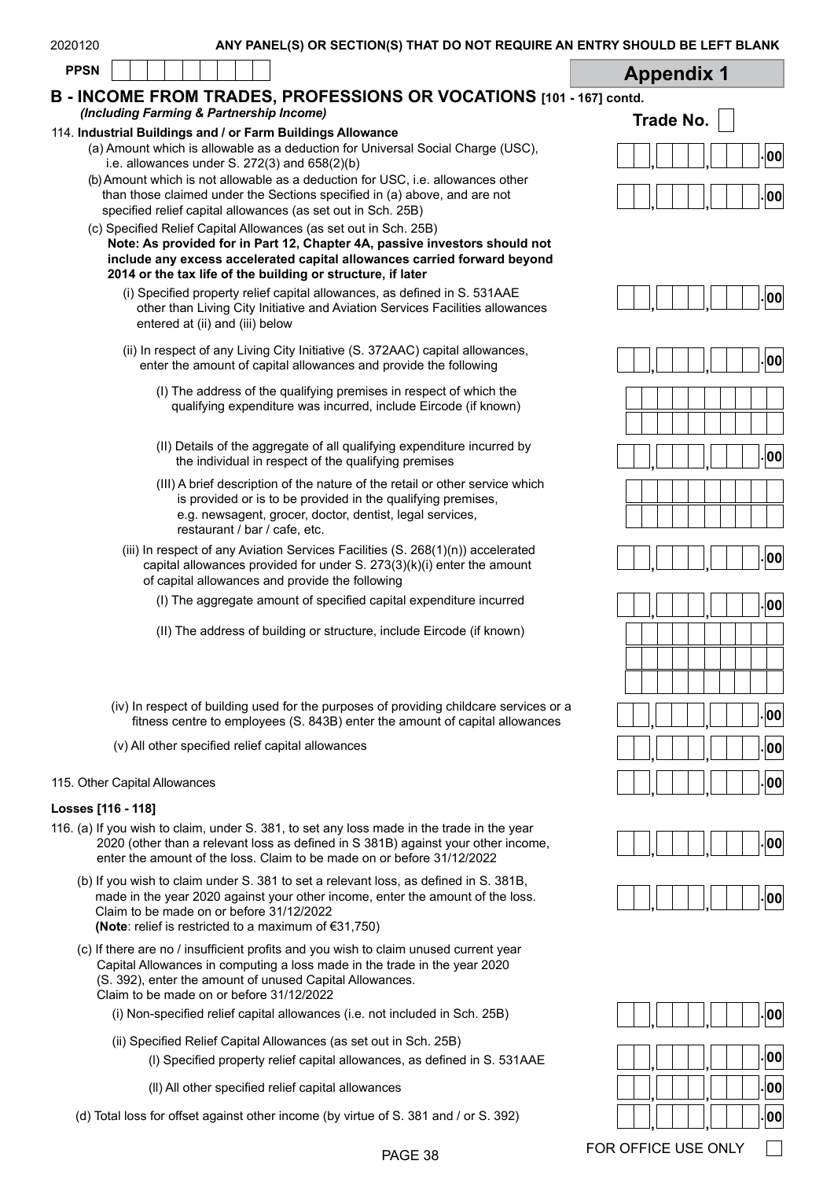| 2020120<br>ANY PANEL(S) OR SECTION(S) THAT DO NOT REQUIRE AN ENTRY SHOULD BE LEFT BLANK                                                                                                                                                                                                   |                   |
|-------------------------------------------------------------------------------------------------------------------------------------------------------------------------------------------------------------------------------------------------------------------------------------------|-------------------|
| <b>PPSN</b>                                                                                                                                                                                                                                                                               | <b>Appendix 1</b> |
| B - INCOME FROM TRADES, PROFESSIONS OR VOCATIONS [101 - 167] contd.                                                                                                                                                                                                                       |                   |
| (Including Farming & Partnership Income)                                                                                                                                                                                                                                                  | Trade No.         |
| 114. Industrial Buildings and / or Farm Buildings Allowance<br>(a) Amount which is allowable as a deduction for Universal Social Charge (USC),<br>i.e. allowances under S. $272(3)$ and $658(2)(b)$                                                                                       | 00                |
| (b) Amount which is not allowable as a deduction for USC, i.e. allowances other<br>than those claimed under the Sections specified in (a) above, and are not<br>specified relief capital allowances (as set out in Sch. 25B)                                                              | 00                |
| (c) Specified Relief Capital Allowances (as set out in Sch. 25B)<br>Note: As provided for in Part 12, Chapter 4A, passive investors should not<br>include any excess accelerated capital allowances carried forward beyond<br>2014 or the tax life of the building or structure, if later |                   |
| (i) Specified property relief capital allowances, as defined in S. 531AAE<br>other than Living City Initiative and Aviation Services Facilities allowances<br>entered at (ii) and (iii) below                                                                                             | 00                |
| (ii) In respect of any Living City Initiative (S. 372AAC) capital allowances,<br>enter the amount of capital allowances and provide the following                                                                                                                                         | 00                |
| (I) The address of the qualifying premises in respect of which the<br>qualifying expenditure was incurred, include Eircode (if known)                                                                                                                                                     |                   |
| (II) Details of the aggregate of all qualifying expenditure incurred by<br>the individual in respect of the qualifying premises                                                                                                                                                           | 00                |
| (III) A brief description of the nature of the retail or other service which<br>is provided or is to be provided in the qualifying premises,<br>e.g. newsagent, grocer, doctor, dentist, legal services,<br>restaurant / bar / cafe, etc.                                                 |                   |
| (iii) In respect of any Aviation Services Facilities (S. 268(1)(n)) accelerated<br>capital allowances provided for under S. 273(3)(k)(i) enter the amount<br>of capital allowances and provide the following                                                                              | 00                |
| (I) The aggregate amount of specified capital expenditure incurred                                                                                                                                                                                                                        | . 00              |
| (II) The address of building or structure, include Eircode (if known)                                                                                                                                                                                                                     |                   |
|                                                                                                                                                                                                                                                                                           |                   |
| (iv) In respect of building used for the purposes of providing childcare services or a<br>fitness centre to employees (S. 843B) enter the amount of capital allowances                                                                                                                    | 00                |
| (v) All other specified relief capital allowances                                                                                                                                                                                                                                         | 00                |
| 115. Other Capital Allowances                                                                                                                                                                                                                                                             | 00                |
| Losses [116 - 118]                                                                                                                                                                                                                                                                        |                   |
| 116. (a) If you wish to claim, under S. 381, to set any loss made in the trade in the year<br>2020 (other than a relevant loss as defined in S 381B) against your other income,<br>enter the amount of the loss. Claim to be made on or before 31/12/2022                                 | 00                |

- (b) If you wish to claim under S. 381 to set a relevant loss, as defined in S. 381B, made in the year 2020 against your other income, enter the amount of the loss. Claim to be made on or before 31/12/2022 **(Note**: relief is restricted to a maximum of €31,750)
- (c) If there are no / insufficient profits and you wish to claim unused current year Capital Allowances in computing a loss made in the trade in the year 2020 (S. 392), enter the amount of unused Capital Allowances. Claim to be made on or before 31/12/2022
	- (i) Non-specified relief capital allowances (i.e. not included in Sch. 25B)
	- (ii) Specified Relief Capital Allowances (as set out in Sch. 25B)
		- (l) Specified property relief capital allowances, as defined in S. 531AAE
		- (ll) All other specified relief capital allowances

(d) Total loss for offset against other income (by virtue of S. 381 and / or S. 392)  $\vert \vert \vert \vert \vert \vert \vert \vert \vert \vert \vert \vert \vert \vert \vert \vert$ 

PAGE 38 FOR OFFICE USE ONLY

**. , , <sup>00</sup>**

**. , , <sup>00</sup>**

**. , , <sup>00</sup>**

**. , , <sup>00</sup>**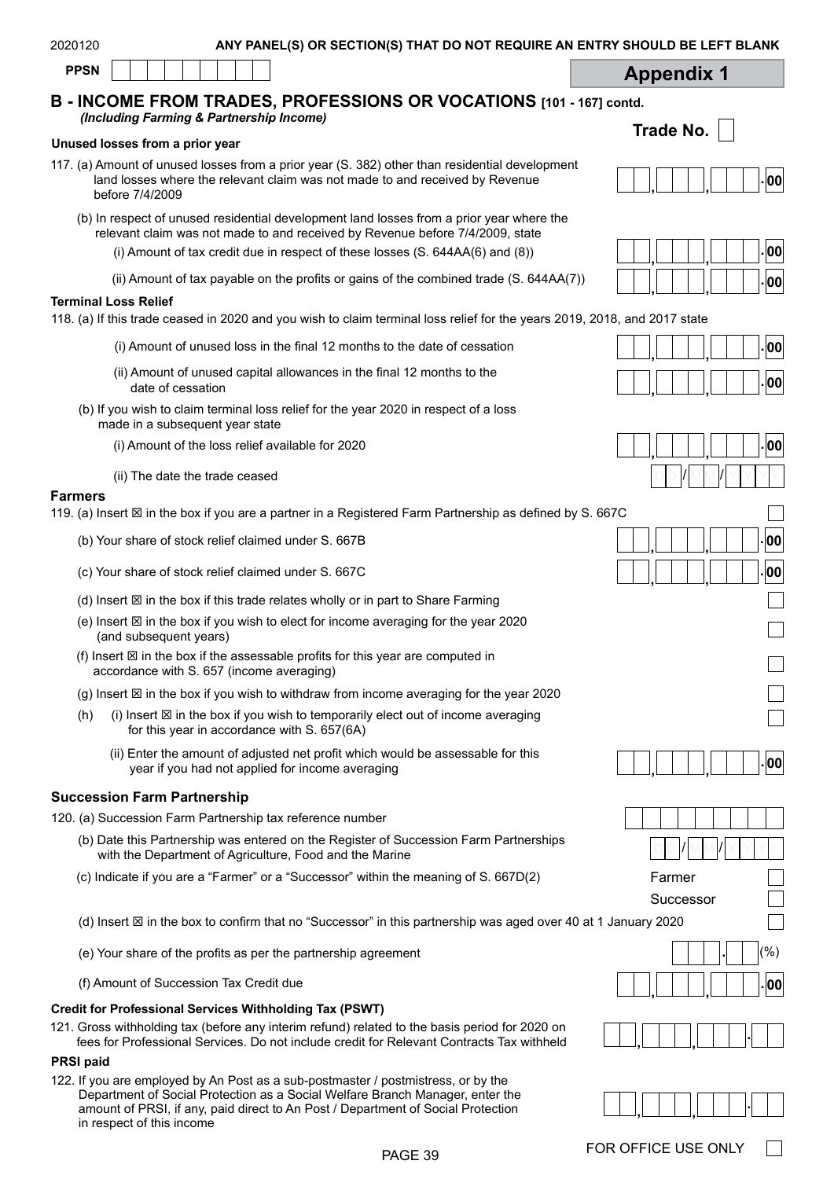| 2020120<br>ANY PANEL(S) OR SECTION(S) THAT DO NOT REQUIRE AN ENTRY SHOULD BE LEFT BLANK                                                                                                     |                     |
|---------------------------------------------------------------------------------------------------------------------------------------------------------------------------------------------|---------------------|
| <b>PPSN</b>                                                                                                                                                                                 | <b>Appendix 1</b>   |
| B - INCOME FROM TRADES, PROFESSIONS OR VOCATIONS [101 - 167] contd.<br>(Including Farming & Partnership Income)                                                                             |                     |
|                                                                                                                                                                                             | Trade No.           |
| Unused losses from a prior year<br>117. (a) Amount of unused losses from a prior year (S. 382) other than residential development                                                           |                     |
| land losses where the relevant claim was not made to and received by Revenue<br>before 7/4/2009                                                                                             | 00                  |
| (b) In respect of unused residential development land losses from a prior year where the<br>relevant claim was not made to and received by Revenue before 7/4/2009, state                   |                     |
| (i) Amount of tax credit due in respect of these losses (S. 644AA(6) and (8))                                                                                                               | 00                  |
| (ii) Amount of tax payable on the profits or gains of the combined trade $(S. 644AA(7))$                                                                                                    | 00                  |
| <b>Terminal Loss Relief</b><br>118. (a) If this trade ceased in 2020 and you wish to claim terminal loss relief for the years 2019, 2018, and 2017 state                                    |                     |
| (i) Amount of unused loss in the final 12 months to the date of cessation                                                                                                                   | 00                  |
| (ii) Amount of unused capital allowances in the final 12 months to the<br>date of cessation                                                                                                 | 00                  |
| (b) If you wish to claim terminal loss relief for the year 2020 in respect of a loss<br>made in a subsequent year state                                                                     |                     |
| (i) Amount of the loss relief available for 2020                                                                                                                                            | 00                  |
| (ii) The date the trade ceased                                                                                                                                                              |                     |
| <b>Farmers</b><br>119. (a) Insert ⊠ in the box if you are a partner in a Registered Farm Partnership as defined by S. 667C                                                                  |                     |
| (b) Your share of stock relief claimed under S. 667B                                                                                                                                        | 00                  |
| (c) Your share of stock relief claimed under S. 667C                                                                                                                                        | 00                  |
| (d) Insert $\boxtimes$ in the box if this trade relates wholly or in part to Share Farming                                                                                                  |                     |
| (e) Insert ⊠ in the box if you wish to elect for income averaging for the year 2020<br>(and subsequent years)                                                                               |                     |
| (f) Insert $\boxtimes$ in the box if the assessable profits for this year are computed in<br>accordance with S. 657 (income averaging)                                                      |                     |
| (g) Insert $\boxtimes$ in the box if you wish to withdraw from income averaging for the year 2020                                                                                           |                     |
| (i) Insert $\boxtimes$ in the box if you wish to temporarily elect out of income averaging<br>(h)<br>for this year in accordance with S. 657(6A)                                            |                     |
| (ii) Enter the amount of adjusted net profit which would be assessable for this<br>year if you had not applied for income averaging                                                         | 00                  |
| <b>Succession Farm Partnership</b>                                                                                                                                                          |                     |
| 120. (a) Succession Farm Partnership tax reference number                                                                                                                                   |                     |
| (b) Date this Partnership was entered on the Register of Succession Farm Partnerships<br>with the Department of Agriculture, Food and the Marine                                            |                     |
| (c) Indicate if you are a "Farmer" or a "Successor" within the meaning of S. 667D(2)                                                                                                        | Farmer<br>Successor |
| (d) Insert ⊠ in the box to confirm that no "Successor" in this partnership was aged over 40 at 1 January 2020                                                                               |                     |
| (e) Your share of the profits as per the partnership agreement                                                                                                                              | (%)                 |
| (f) Amount of Succession Tax Credit due                                                                                                                                                     | 00                  |
| <b>Credit for Professional Services Withholding Tax (PSWT)</b>                                                                                                                              |                     |
| 121. Gross withholding tax (before any interim refund) related to the basis period for 2020 on<br>fees for Professional Services. Do not include credit for Relevant Contracts Tax withheld |                     |
| <b>PRSI</b> paid                                                                                                                                                                            |                     |
| 122. If you are employed by An Post as a sub-postmaster / postmistress, or by the<br>Department of Social Protection as a Social Welfare Branch Manager, enter the                          |                     |

|                                                                                                                                  | _ _ _ _ __. _ _ _ _ |  |
|----------------------------------------------------------------------------------------------------------------------------------|---------------------|--|
| in respect of this income                                                                                                        |                     |  |
| amount of PRSI, if any, paid direct to An Post / Department of Social Protection                                                 |                     |  |
| $-$ . The change of the second contract of the second contract of the second contract $\alpha$ . The second contract of $\alpha$ |                     |  |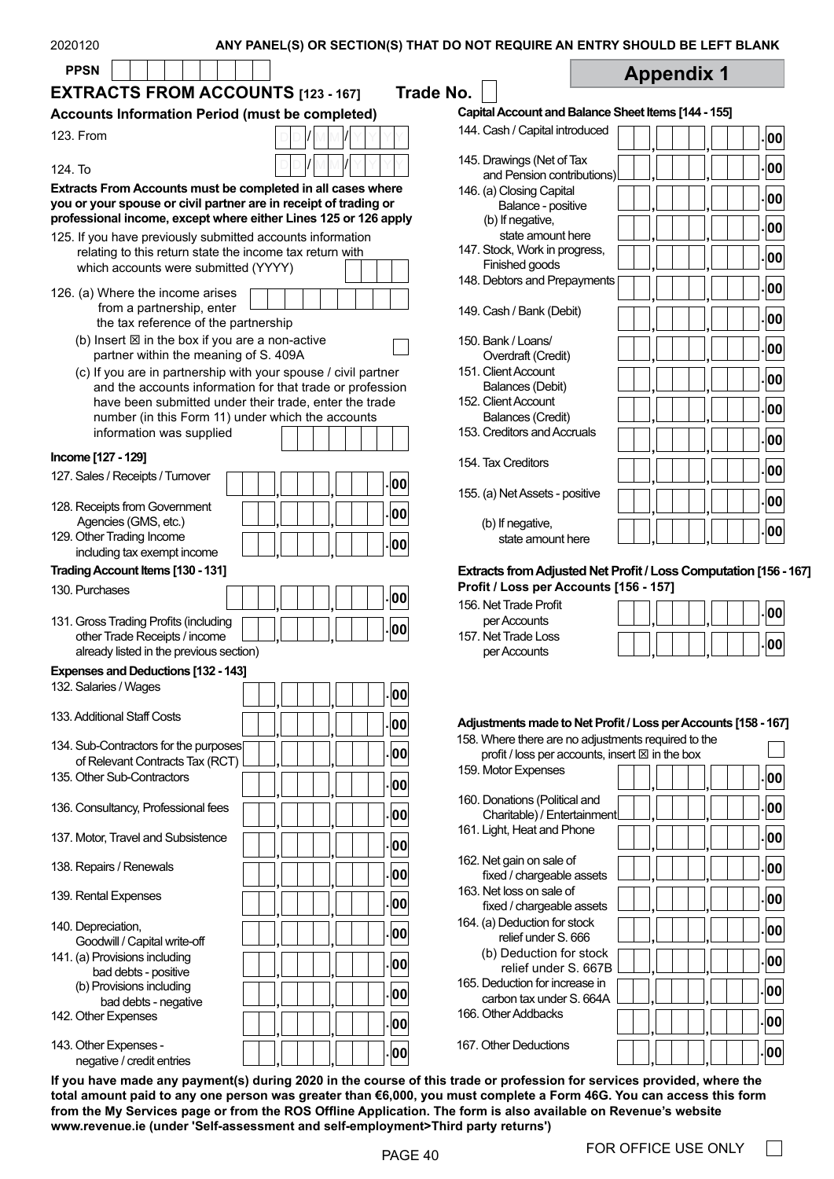| <b>PPSN</b><br><b>EXTRACTS FROM ACCOUNTS [123 - 167]</b>                                                                                                                                                                                                                                                                                                                                                                                                                          | <b>Trade No.</b>                                                                                                 | <b>Appendix 1</b>                                                |
|-----------------------------------------------------------------------------------------------------------------------------------------------------------------------------------------------------------------------------------------------------------------------------------------------------------------------------------------------------------------------------------------------------------------------------------------------------------------------------------|------------------------------------------------------------------------------------------------------------------|------------------------------------------------------------------|
| <b>Accounts Information Period (must be completed)</b>                                                                                                                                                                                                                                                                                                                                                                                                                            | Capital Account and Balance Sheet Items [144 - 155]                                                              |                                                                  |
|                                                                                                                                                                                                                                                                                                                                                                                                                                                                                   | 144. Cash / Capital introduced                                                                                   |                                                                  |
| 123. From                                                                                                                                                                                                                                                                                                                                                                                                                                                                         |                                                                                                                  | 00                                                               |
| 124. To                                                                                                                                                                                                                                                                                                                                                                                                                                                                           | 145. Drawings (Net of Tax                                                                                        | 00                                                               |
| Extracts From Accounts must be completed in all cases where                                                                                                                                                                                                                                                                                                                                                                                                                       | and Pension contributions)<br>146. (a) Closing Capital                                                           |                                                                  |
| you or your spouse or civil partner are in receipt of trading or                                                                                                                                                                                                                                                                                                                                                                                                                  | Balance - positive                                                                                               | 00                                                               |
| professional income, except where either Lines 125 or 126 apply                                                                                                                                                                                                                                                                                                                                                                                                                   | (b) If negative,                                                                                                 |                                                                  |
| 125. If you have previously submitted accounts information                                                                                                                                                                                                                                                                                                                                                                                                                        | state amount here                                                                                                | 00                                                               |
| relating to this return state the income tax return with                                                                                                                                                                                                                                                                                                                                                                                                                          | 147. Stock, Work in progress,                                                                                    | 00                                                               |
| which accounts were submitted (YYYY)                                                                                                                                                                                                                                                                                                                                                                                                                                              | Finished goods                                                                                                   |                                                                  |
| 126. (a) Where the income arises                                                                                                                                                                                                                                                                                                                                                                                                                                                  | 148. Debtors and Prepayments                                                                                     | 00                                                               |
| from a partnership, enter                                                                                                                                                                                                                                                                                                                                                                                                                                                         | 149. Cash / Bank (Debit)                                                                                         |                                                                  |
| the tax reference of the partnership                                                                                                                                                                                                                                                                                                                                                                                                                                              |                                                                                                                  | 00                                                               |
| (b) Insert $\boxtimes$ in the box if you are a non-active                                                                                                                                                                                                                                                                                                                                                                                                                         | 150. Bank / Loans/                                                                                               | 00                                                               |
| partner within the meaning of S. 409A                                                                                                                                                                                                                                                                                                                                                                                                                                             | Overdraft (Credit)                                                                                               |                                                                  |
| (c) If you are in partnership with your spouse / civil partner                                                                                                                                                                                                                                                                                                                                                                                                                    | 151. Client Account                                                                                              | 00                                                               |
| and the accounts information for that trade or profession                                                                                                                                                                                                                                                                                                                                                                                                                         | <b>Balances (Debit)</b>                                                                                          |                                                                  |
| have been submitted under their trade, enter the trade                                                                                                                                                                                                                                                                                                                                                                                                                            | 152. Client Account                                                                                              | 00                                                               |
| number (in this Form 11) under which the accounts<br>information was supplied                                                                                                                                                                                                                                                                                                                                                                                                     | Balances (Credit)<br>153. Creditors and Accruals                                                                 |                                                                  |
|                                                                                                                                                                                                                                                                                                                                                                                                                                                                                   |                                                                                                                  | 00                                                               |
| Income [127 - 129]                                                                                                                                                                                                                                                                                                                                                                                                                                                                | 154. Tax Creditors                                                                                               |                                                                  |
| 127. Sales / Receipts / Turnover<br>00                                                                                                                                                                                                                                                                                                                                                                                                                                            |                                                                                                                  | 00                                                               |
|                                                                                                                                                                                                                                                                                                                                                                                                                                                                                   | 155. (a) Net Assets - positive                                                                                   | 00                                                               |
| 128. Receipts from Government<br>00                                                                                                                                                                                                                                                                                                                                                                                                                                               |                                                                                                                  |                                                                  |
| Agencies (GMS, etc.)<br>129. Other Trading Income                                                                                                                                                                                                                                                                                                                                                                                                                                 | (b) If negative,                                                                                                 | 00                                                               |
| 00<br>including tax exempt income                                                                                                                                                                                                                                                                                                                                                                                                                                                 | state amount here                                                                                                |                                                                  |
| Trading Account Items [130 - 131]                                                                                                                                                                                                                                                                                                                                                                                                                                                 |                                                                                                                  |                                                                  |
| 00                                                                                                                                                                                                                                                                                                                                                                                                                                                                                | Profit / Loss per Accounts [156 - 157]                                                                           | Extracts from Adjusted Net Profit / Loss Computation [156 - 167] |
|                                                                                                                                                                                                                                                                                                                                                                                                                                                                                   | 156. Net Trade Profit                                                                                            | 00                                                               |
| 00                                                                                                                                                                                                                                                                                                                                                                                                                                                                                | per Accounts                                                                                                     |                                                                  |
| other Trade Receipts / income                                                                                                                                                                                                                                                                                                                                                                                                                                                     | 157. Net Trade Loss                                                                                              | 00                                                               |
| already listed in the previous section)                                                                                                                                                                                                                                                                                                                                                                                                                                           | per Accounts                                                                                                     |                                                                  |
|                                                                                                                                                                                                                                                                                                                                                                                                                                                                                   |                                                                                                                  |                                                                  |
| 00                                                                                                                                                                                                                                                                                                                                                                                                                                                                                |                                                                                                                  |                                                                  |
|                                                                                                                                                                                                                                                                                                                                                                                                                                                                                   |                                                                                                                  |                                                                  |
| 00                                                                                                                                                                                                                                                                                                                                                                                                                                                                                |                                                                                                                  | Adjustments made to Net Profit / Loss per Accounts [158 - 167]   |
| 00                                                                                                                                                                                                                                                                                                                                                                                                                                                                                | 158. Where there are no adjustments required to the<br>profit / loss per accounts, insert $\boxtimes$ in the box |                                                                  |
| of Relevant Contracts Tax (RCT)                                                                                                                                                                                                                                                                                                                                                                                                                                                   | 159. Motor Expenses                                                                                              |                                                                  |
| 00                                                                                                                                                                                                                                                                                                                                                                                                                                                                                |                                                                                                                  | 00                                                               |
|                                                                                                                                                                                                                                                                                                                                                                                                                                                                                   | 160. Donations (Political and                                                                                    |                                                                  |
| 00                                                                                                                                                                                                                                                                                                                                                                                                                                                                                | Charitable) / Entertainment                                                                                      | 00                                                               |
|                                                                                                                                                                                                                                                                                                                                                                                                                                                                                   | 161. Light, Heat and Phone                                                                                       | 00                                                               |
| 00                                                                                                                                                                                                                                                                                                                                                                                                                                                                                |                                                                                                                  |                                                                  |
| 00                                                                                                                                                                                                                                                                                                                                                                                                                                                                                | 162. Net gain on sale of                                                                                         | 00                                                               |
|                                                                                                                                                                                                                                                                                                                                                                                                                                                                                   | fixed / chargeable assets<br>163. Net loss on sale of                                                            |                                                                  |
| 00                                                                                                                                                                                                                                                                                                                                                                                                                                                                                | fixed / chargeable assets                                                                                        | 00                                                               |
|                                                                                                                                                                                                                                                                                                                                                                                                                                                                                   | 164. (a) Deduction for stock                                                                                     |                                                                  |
| 00<br>Goodwill / Capital write-off                                                                                                                                                                                                                                                                                                                                                                                                                                                | relief under S. 666                                                                                              | 00                                                               |
|                                                                                                                                                                                                                                                                                                                                                                                                                                                                                   | (b) Deduction for stock                                                                                          |                                                                  |
| 00<br>bad debts - positive                                                                                                                                                                                                                                                                                                                                                                                                                                                        | relief under S. 667B                                                                                             | 00                                                               |
| (b) Provisions including<br>00                                                                                                                                                                                                                                                                                                                                                                                                                                                    | 165. Deduction for increase in                                                                                   | 00                                                               |
| bad debts - negative                                                                                                                                                                                                                                                                                                                                                                                                                                                              | carbon tax under S. 664A                                                                                         |                                                                  |
| 00                                                                                                                                                                                                                                                                                                                                                                                                                                                                                | 166. Other Addbacks                                                                                              | 00                                                               |
| 130. Purchases<br>131. Gross Trading Profits (including<br><b>Expenses and Deductions [132 - 143]</b><br>132. Salaries / Wages<br>133. Additional Staff Costs<br>134. Sub-Contractors for the purposes<br>135. Other Sub-Contractors<br>136. Consultancy, Professional fees<br>137. Motor, Travel and Subsistence<br>138. Repairs / Renewals<br>139. Rental Expenses<br>140. Depreciation,<br>141. (a) Provisions including<br>142. Other Expenses<br>143. Other Expenses -<br>00 | 167. Other Deductions                                                                                            | 00                                                               |

**If you have made any payment(s) during 2020 in the course of this trade or profession for services provided, where the total amount paid to any one person was greater than €6,000, you must complete a Form 46G. You can access this form from the My Services page or from the ROS Offline Application. The form is also available on Revenue's website [www.revenue.ie](https://www.revenue.ie/en/self-assessment-and-self-employment/third-party-returns/index.aspx) (under 'Self-assessment and self-employment>Third party returns')**

٦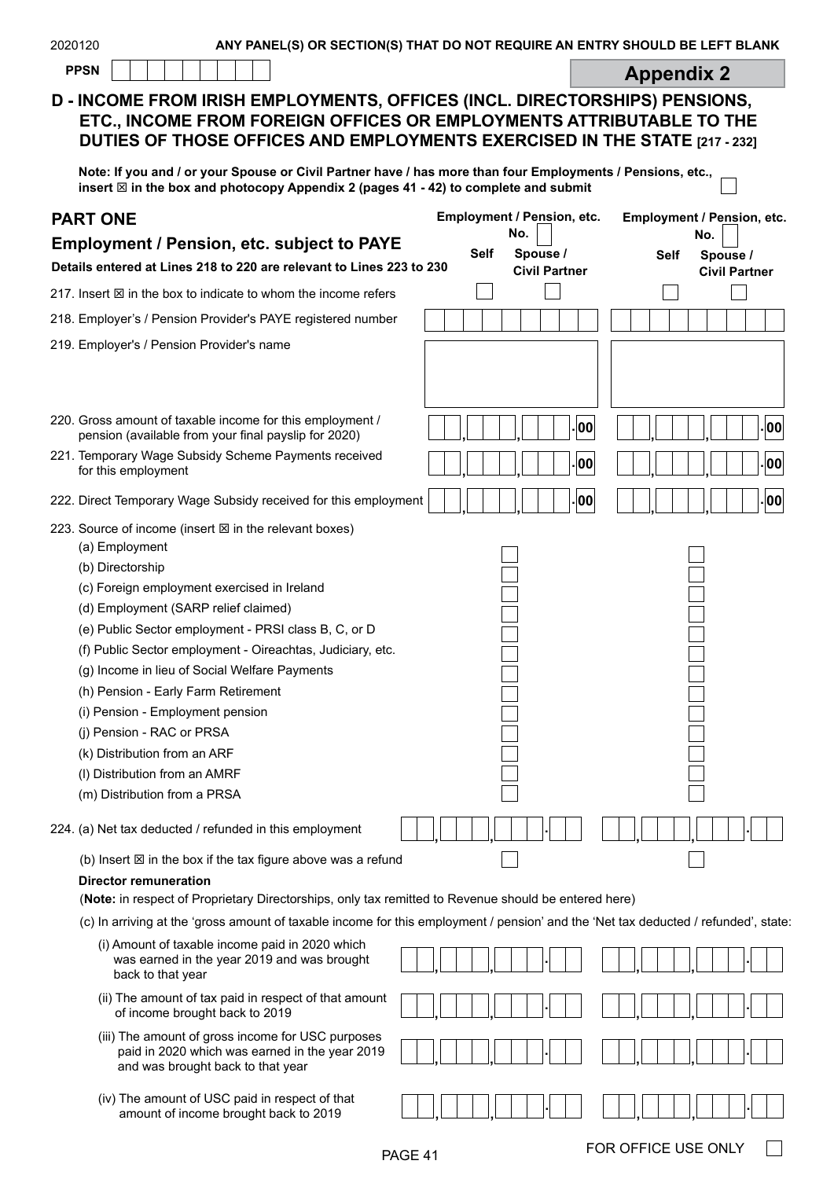| 2020120  |  |  |  |  | ANY PANEL(S) OR SECTION(S) THAT DO NOT REQUIRE AN ENTRY SHOULD BE LEFT BLANK |  |  |     |  |
|----------|--|--|--|--|------------------------------------------------------------------------------|--|--|-----|--|
| $     -$ |  |  |  |  |                                                                              |  |  | ___ |  |

| - |  |  |  |  |  |  |  |  |
|---|--|--|--|--|--|--|--|--|
|---|--|--|--|--|--|--|--|--|

**PPSN Appendix 2** 

٦

## **D - INCOME FROM IRISH EMPLOYMENTS, OFFICES (INCL. DIRECTORSHIPS) PENSIONS, ETC., INCOME FROM FOREIGN OFFICES OR EMPLOYMENTS ATTRIBUTABLE TO THE DUTIES OF THOSE OFFICES AND EMPLOYMENTS EXERCISED IN THE STATE [217 - 232]**

**Note: If you and / or your Spouse or Civil Partner have / has more than four Employments / Pensions, etc., insert** T **in the box and photocopy Appendix 2 (pages 41 - 42) to complete and submit** 

| <b>PART ONE</b>                                                                                                                                                                                                                                                                                                                                                                                                                                                                                                                                                     | Employment / Pension, etc.     | Employment / Pension, etc.                      |  |  |  |  |  |  |  |
|---------------------------------------------------------------------------------------------------------------------------------------------------------------------------------------------------------------------------------------------------------------------------------------------------------------------------------------------------------------------------------------------------------------------------------------------------------------------------------------------------------------------------------------------------------------------|--------------------------------|-------------------------------------------------|--|--|--|--|--|--|--|
| <b>Employment / Pension, etc. subject to PAYE</b>                                                                                                                                                                                                                                                                                                                                                                                                                                                                                                                   | No.<br>Spouse /<br><b>Self</b> | No.                                             |  |  |  |  |  |  |  |
| Details entered at Lines 218 to 220 are relevant to Lines 223 to 230                                                                                                                                                                                                                                                                                                                                                                                                                                                                                                | <b>Civil Partner</b>           | <b>Self</b><br>Spouse /<br><b>Civil Partner</b> |  |  |  |  |  |  |  |
| 217. Insert $\boxtimes$ in the box to indicate to whom the income refers                                                                                                                                                                                                                                                                                                                                                                                                                                                                                            |                                |                                                 |  |  |  |  |  |  |  |
| 218. Employer's / Pension Provider's PAYE registered number                                                                                                                                                                                                                                                                                                                                                                                                                                                                                                         |                                |                                                 |  |  |  |  |  |  |  |
| 219. Employer's / Pension Provider's name                                                                                                                                                                                                                                                                                                                                                                                                                                                                                                                           |                                |                                                 |  |  |  |  |  |  |  |
| 220. Gross amount of taxable income for this employment /<br>pension (available from your final payslip for 2020)                                                                                                                                                                                                                                                                                                                                                                                                                                                   | 00                             | 00                                              |  |  |  |  |  |  |  |
| 221. Temporary Wage Subsidy Scheme Payments received<br>for this employment                                                                                                                                                                                                                                                                                                                                                                                                                                                                                         | 00                             | 00                                              |  |  |  |  |  |  |  |
| 222. Direct Temporary Wage Subsidy received for this employment                                                                                                                                                                                                                                                                                                                                                                                                                                                                                                     | 00                             | 00                                              |  |  |  |  |  |  |  |
| 223. Source of income (insert ⊠ in the relevant boxes)<br>(a) Employment<br>(b) Directorship<br>(c) Foreign employment exercised in Ireland<br>(d) Employment (SARP relief claimed)<br>(e) Public Sector employment - PRSI class B, C, or D<br>(f) Public Sector employment - Oireachtas, Judiciary, etc.<br>(g) Income in lieu of Social Welfare Payments<br>(h) Pension - Early Farm Retirement<br>(i) Pension - Employment pension<br>(j) Pension - RAC or PRSA<br>(k) Distribution from an ARF<br>(I) Distribution from an AMRF<br>(m) Distribution from a PRSA |                                |                                                 |  |  |  |  |  |  |  |
| 224. (a) Net tax deducted / refunded in this employment                                                                                                                                                                                                                                                                                                                                                                                                                                                                                                             |                                |                                                 |  |  |  |  |  |  |  |
| (b) Insert $\boxtimes$ in the box if the tax figure above was a refund                                                                                                                                                                                                                                                                                                                                                                                                                                                                                              |                                |                                                 |  |  |  |  |  |  |  |
| <b>Director remuneration</b><br>(Note: in respect of Proprietary Directorships, only tax remitted to Revenue should be entered here)                                                                                                                                                                                                                                                                                                                                                                                                                                |                                |                                                 |  |  |  |  |  |  |  |
| (c) In arriving at the 'gross amount of taxable income for this employment / pension' and the 'Net tax deducted / refunded', state                                                                                                                                                                                                                                                                                                                                                                                                                                  |                                |                                                 |  |  |  |  |  |  |  |
| (i) Amount of taxable income paid in 2020 which<br>was earned in the year 2019 and was brought<br>back to that year                                                                                                                                                                                                                                                                                                                                                                                                                                                 |                                |                                                 |  |  |  |  |  |  |  |
| (ii) The amount of tax paid in respect of that amount<br>of income brought back to 2019                                                                                                                                                                                                                                                                                                                                                                                                                                                                             |                                |                                                 |  |  |  |  |  |  |  |
| (iii) The amount of gross income for USC purposes<br>paid in 2020 which was earned in the year 2019<br>and was brought back to that year                                                                                                                                                                                                                                                                                                                                                                                                                            |                                |                                                 |  |  |  |  |  |  |  |
| (iv) The amount of USC paid in respect of that<br>amount of income brought back to 2019                                                                                                                                                                                                                                                                                                                                                                                                                                                                             |                                |                                                 |  |  |  |  |  |  |  |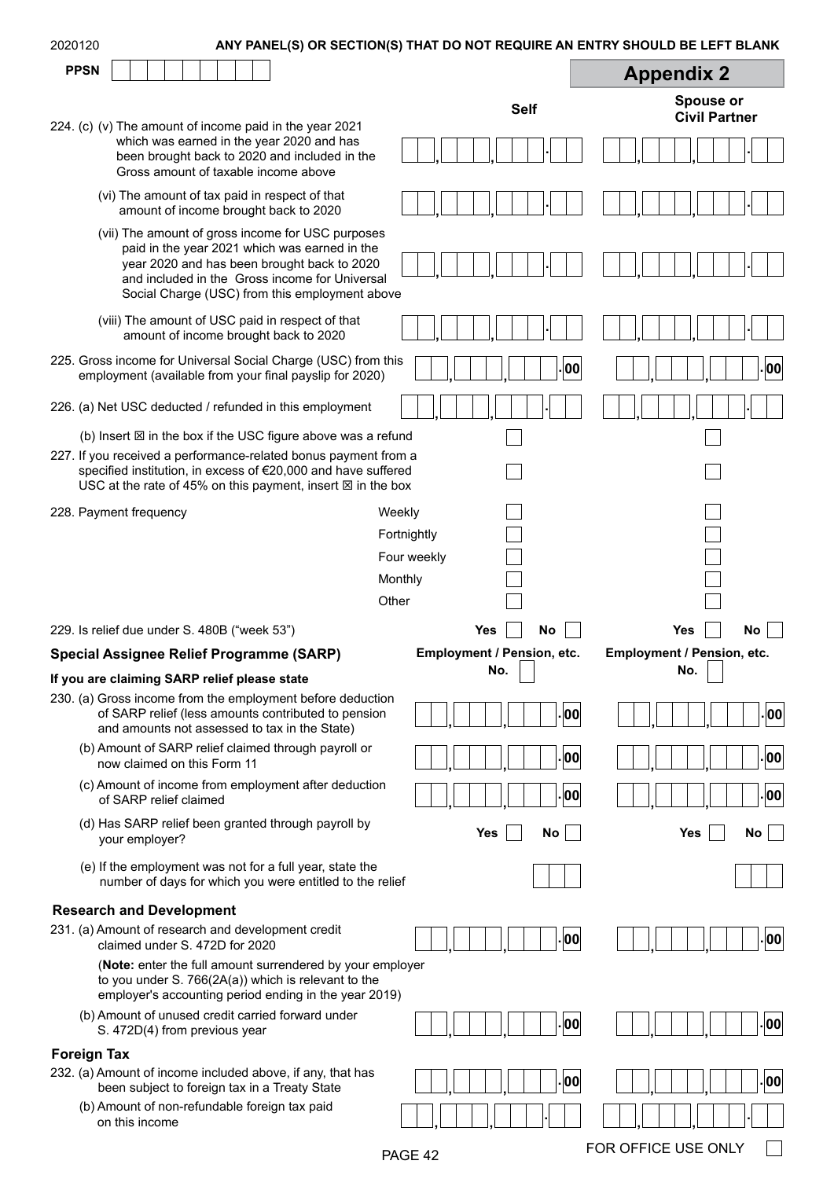| 2020120            |                                                                                         |  |                                                                                                                                                                                                                                                                                     |         |             |                                   | ANY PANEL(S) OR SECTION(S) THAT DO NOT REQUIRE AN ENTRY SHOULD BE LEFT BLANK |  |                                   |    |
|--------------------|-----------------------------------------------------------------------------------------|--|-------------------------------------------------------------------------------------------------------------------------------------------------------------------------------------------------------------------------------------------------------------------------------------|---------|-------------|-----------------------------------|------------------------------------------------------------------------------|--|-----------------------------------|----|
| <b>PPSN</b>        |                                                                                         |  |                                                                                                                                                                                                                                                                                     |         |             |                                   |                                                                              |  | <b>Appendix 2</b>                 |    |
|                    |                                                                                         |  |                                                                                                                                                                                                                                                                                     |         |             |                                   | <b>Self</b>                                                                  |  | Spouse or<br><b>Civil Partner</b> |    |
|                    | Gross amount of taxable income above                                                    |  | 224. (c) (v) The amount of income paid in the year 2021<br>which was earned in the year 2020 and has<br>been brought back to 2020 and included in the                                                                                                                               |         |             |                                   |                                                                              |  |                                   |    |
|                    | (vi) The amount of tax paid in respect of that<br>amount of income brought back to 2020 |  |                                                                                                                                                                                                                                                                                     |         |             |                                   |                                                                              |  |                                   |    |
|                    |                                                                                         |  | (vii) The amount of gross income for USC purposes<br>paid in the year 2021 which was earned in the<br>year 2020 and has been brought back to 2020<br>and included in the Gross income for Universal<br>Social Charge (USC) from this employment above                               |         |             |                                   |                                                                              |  |                                   |    |
|                    |                                                                                         |  | (viii) The amount of USC paid in respect of that<br>amount of income brought back to 2020                                                                                                                                                                                           |         |             |                                   |                                                                              |  |                                   |    |
|                    |                                                                                         |  | 225. Gross income for Universal Social Charge (USC) from this<br>employment (available from your final payslip for 2020)                                                                                                                                                            |         |             |                                   | 00                                                                           |  |                                   | 00 |
|                    |                                                                                         |  | 226. (a) Net USC deducted / refunded in this employment                                                                                                                                                                                                                             |         |             |                                   |                                                                              |  |                                   |    |
|                    |                                                                                         |  | (b) Insert $\boxtimes$ in the box if the USC figure above was a refund<br>227. If you received a performance-related bonus payment from a<br>specified institution, in excess of €20,000 and have suffered<br>USC at the rate of 45% on this payment, insert $\boxtimes$ in the box |         |             |                                   |                                                                              |  |                                   |    |
|                    | 228. Payment frequency                                                                  |  |                                                                                                                                                                                                                                                                                     | Weekly  |             |                                   |                                                                              |  |                                   |    |
|                    |                                                                                         |  |                                                                                                                                                                                                                                                                                     |         | Fortnightly |                                   |                                                                              |  |                                   |    |
|                    |                                                                                         |  |                                                                                                                                                                                                                                                                                     |         | Four weekly |                                   |                                                                              |  |                                   |    |
|                    |                                                                                         |  |                                                                                                                                                                                                                                                                                     | Monthly |             |                                   |                                                                              |  |                                   |    |
|                    |                                                                                         |  |                                                                                                                                                                                                                                                                                     | Other   |             |                                   |                                                                              |  |                                   |    |
|                    | 229. Is relief due under S. 480B ("week 53")                                            |  |                                                                                                                                                                                                                                                                                     |         |             | <b>Yes</b>                        | <b>No</b>                                                                    |  | Yes                               | No |
|                    | Special Assignee Relief Programme (SARP)                                                |  |                                                                                                                                                                                                                                                                                     |         |             | Employment / Pension, etc.<br>No. |                                                                              |  | Employment / Pension, etc.<br>No. |    |
|                    | If you are claiming SARP relief please state                                            |  |                                                                                                                                                                                                                                                                                     |         |             |                                   |                                                                              |  |                                   |    |
|                    |                                                                                         |  | 230. (a) Gross income from the employment before deduction<br>of SARP relief (less amounts contributed to pension<br>and amounts not assessed to tax in the State)                                                                                                                  |         |             |                                   | 00                                                                           |  |                                   | 00 |
|                    | now claimed on this Form 11                                                             |  | (b) Amount of SARP relief claimed through payroll or                                                                                                                                                                                                                                |         |             |                                   | 00                                                                           |  |                                   | 00 |
|                    | of SARP relief claimed                                                                  |  | (c) Amount of income from employment after deduction                                                                                                                                                                                                                                |         |             |                                   | 00                                                                           |  |                                   | 00 |
|                    | your employer?                                                                          |  | (d) Has SARP relief been granted through payroll by                                                                                                                                                                                                                                 |         |             | Yes                               | No                                                                           |  | Yes                               | No |
|                    |                                                                                         |  | (e) If the employment was not for a full year, state the<br>number of days for which you were entitled to the relief                                                                                                                                                                |         |             |                                   |                                                                              |  |                                   |    |
|                    | <b>Research and Development</b>                                                         |  |                                                                                                                                                                                                                                                                                     |         |             |                                   |                                                                              |  |                                   |    |
|                    | 231. (a) Amount of research and development credit<br>claimed under S. 472D for 2020    |  |                                                                                                                                                                                                                                                                                     |         |             |                                   | 00                                                                           |  |                                   | 00 |
|                    |                                                                                         |  | (Note: enter the full amount surrendered by your employer<br>to you under S. 766(2A(a)) which is relevant to the<br>employer's accounting period ending in the year 2019)                                                                                                           |         |             |                                   |                                                                              |  |                                   |    |
|                    | S. 472D(4) from previous year                                                           |  | (b) Amount of unused credit carried forward under                                                                                                                                                                                                                                   |         |             |                                   | 00                                                                           |  |                                   | 00 |
| <b>Foreign Tax</b> |                                                                                         |  |                                                                                                                                                                                                                                                                                     |         |             |                                   |                                                                              |  |                                   |    |
|                    | been subject to foreign tax in a Treaty State                                           |  | 232. (a) Amount of income included above, if any, that has                                                                                                                                                                                                                          |         |             |                                   | 00                                                                           |  |                                   | 00 |
|                    | (b) Amount of non-refundable foreign tax paid<br>on this income                         |  |                                                                                                                                                                                                                                                                                     |         |             |                                   |                                                                              |  |                                   |    |

PAGE 42 FOR OFFICE USE ONLY □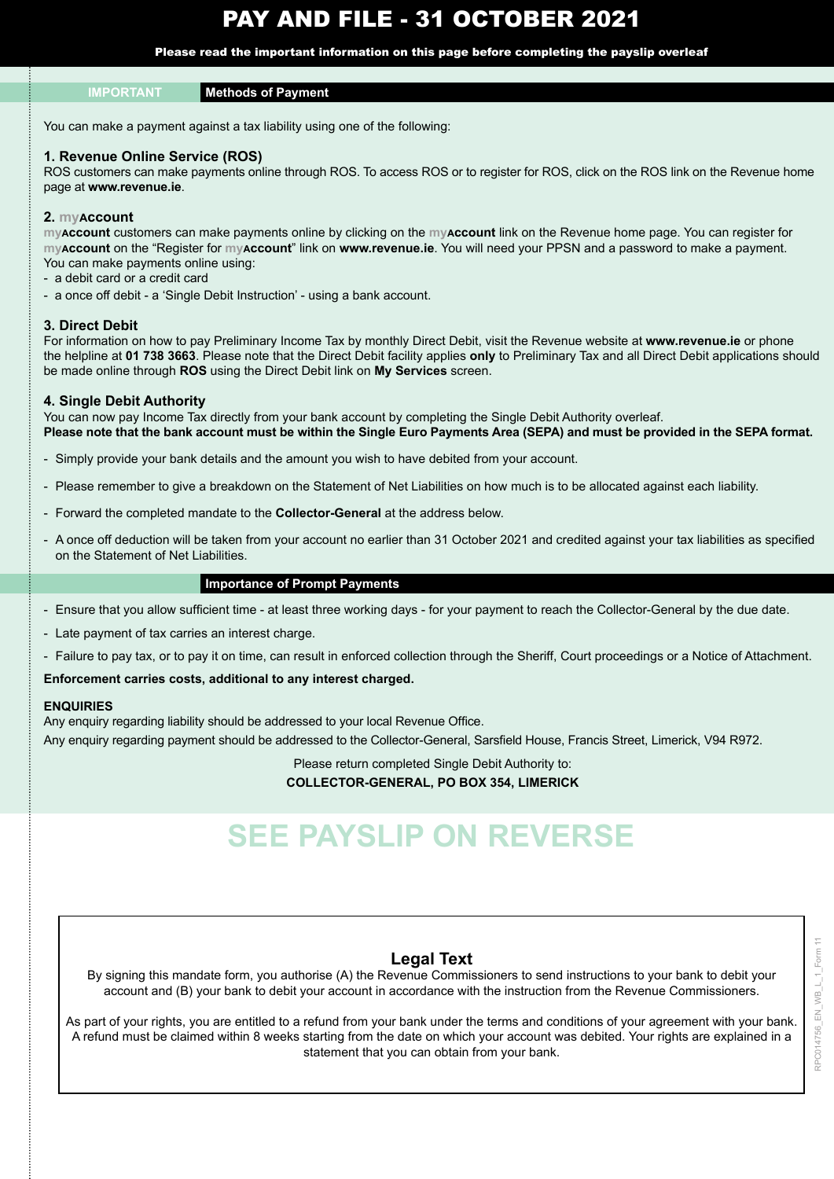# PAY AND FILE - 31 OCTOBER 2021

Please read the important information on this page before completing the payslip overleaf

#### **IMPORTANT Methods of Payment**

You can make a payment against a tax liability using one of the following:

#### **1. Revenue Online Service (ROS)**

ROS customers can make payments online through ROS. To access ROS or to register for ROS, click on the ROS link on the Revenue home page at **www.revenue.ie**.

#### **2. myAccount**

**myAccount** customers can make payments online by clicking on the **myAccount** link on the Revenue home page. You can register for **myAccount** on the "Register for **myAccount**" link on **www.revenue.ie**. You will need your PPSN and a password to make a payment. You can make payments online using:

- a debit card or a credit card
- a once off debit a 'Single Debit Instruction' using a bank account.

#### **3. Direct Debit**

For information on how to pay Preliminary Income Tax by monthly Direct Debit, visit the Revenue website at **www.revenue.ie** or phone the helpline at **01 738 3663**. Please note that the Direct Debit facility applies **only** to Preliminary Tax and all Direct Debit applications should be made online through **ROS** using the Direct Debit link on **My Services** screen.

#### **4. Single Debit Authority**

You can now pay Income Tax directly from your bank account by completing the Single Debit Authority overleaf. **Please note that the bank account must be within the Single Euro Payments Area (SEPA) and must be provided in the SEPA format.**

- Simply provide your bank details and the amount you wish to have debited from your account.
- Please remember to give a breakdown on the Statement of Net Liabilities on how much is to be allocated against each liability.
- Forward the completed mandate to the **Collector-General** at the address below.
- A once off deduction will be taken from your account no earlier than 31 October 2021 and credited against your tax liabilities as specified on the Statement of Net Liabilities.

#### **Importance of Prompt Payments**

- Ensure that you allow sufficient time at least three working days for your payment to reach the Collector-General by the due date.
- Late payment of tax carries an interest charge.
- Failure to pay tax, or to pay it on time, can result in enforced collection through the Sheriff, Court proceedings or a Notice of Attachment.

#### **Enforcement carries costs, additional to any interest charged.**

#### **ENQUIRIES**

Any enquiry regarding liability should be addressed to your local Revenue Office. Any enquiry regarding payment should be addressed to the Collector-General, Sarsfield House, Francis Street, Limerick, V94 R972.

Please return completed Single Debit Authority to:

#### **COLLECTOR-GENERAL, PO BOX 354, LIMERICK**

# **SEE PAYSLIP ON REVERSE**

#### **Legal Text**

By signing this mandate form, you authorise (A) the Revenue Commissioners to send instructions to your bank to debit your account and (B) your bank to debit your account in accordance with the instruction from the Revenue Commissioners.

As part of your rights, you are entitled to a refund from your bank under the terms and conditions of your agreement with your bank. A refund must be claimed within 8 weeks starting from the date on which your account was debited. Your rights are explained in a statement that you can obtain from your bank.